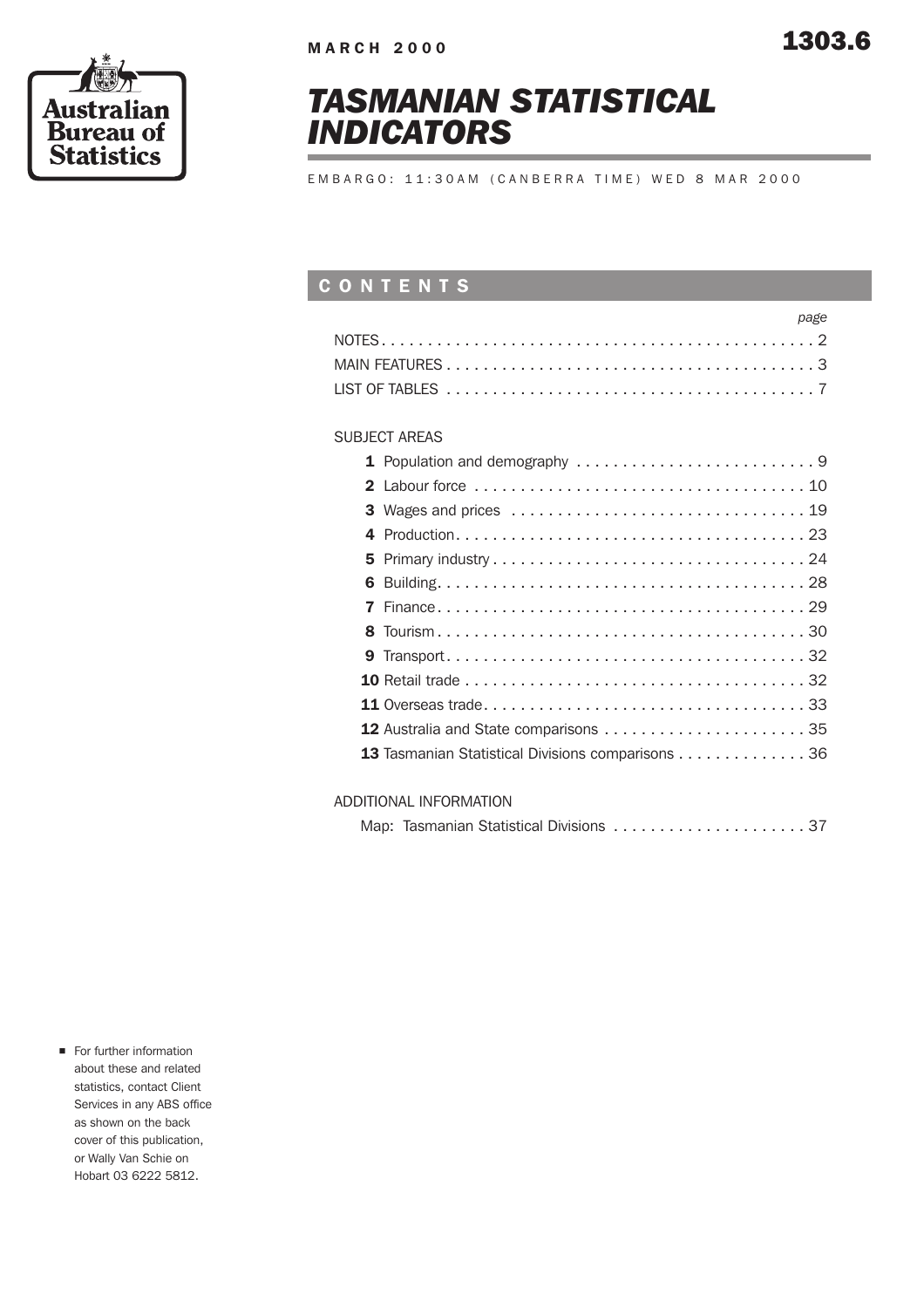



## *TASMANIAN STATISTICAL INDICATORS*

EMBARGO: 11:30AM (CANBERRA TIME) WED 8 MAR 2000

### CONTENTS

| page |  |
|------|--|
|      |  |
|      |  |
|      |  |

### SUBJECT AREAS

| <b>3</b> Wages and prices $\ldots \ldots \ldots \ldots \ldots \ldots \ldots \ldots \ldots \ldots \ldots 19$ |
|-------------------------------------------------------------------------------------------------------------|
|                                                                                                             |
|                                                                                                             |
|                                                                                                             |
|                                                                                                             |
|                                                                                                             |
|                                                                                                             |
|                                                                                                             |
|                                                                                                             |
|                                                                                                             |
| 13 Tasmanian Statistical Divisions comparisons 36                                                           |
|                                                                                                             |

### ADDITIONAL INFORMATION

| Map: Tasmanian Statistical Divisions 37 |  |  |  |  |  |  |
|-----------------------------------------|--|--|--|--|--|--|
|-----------------------------------------|--|--|--|--|--|--|

**n** For further information about these and related statistics, contact Client Services in any ABS office as shown on the back cover of this publication, or Wally Van Schie on Hobart 03 6222 5812.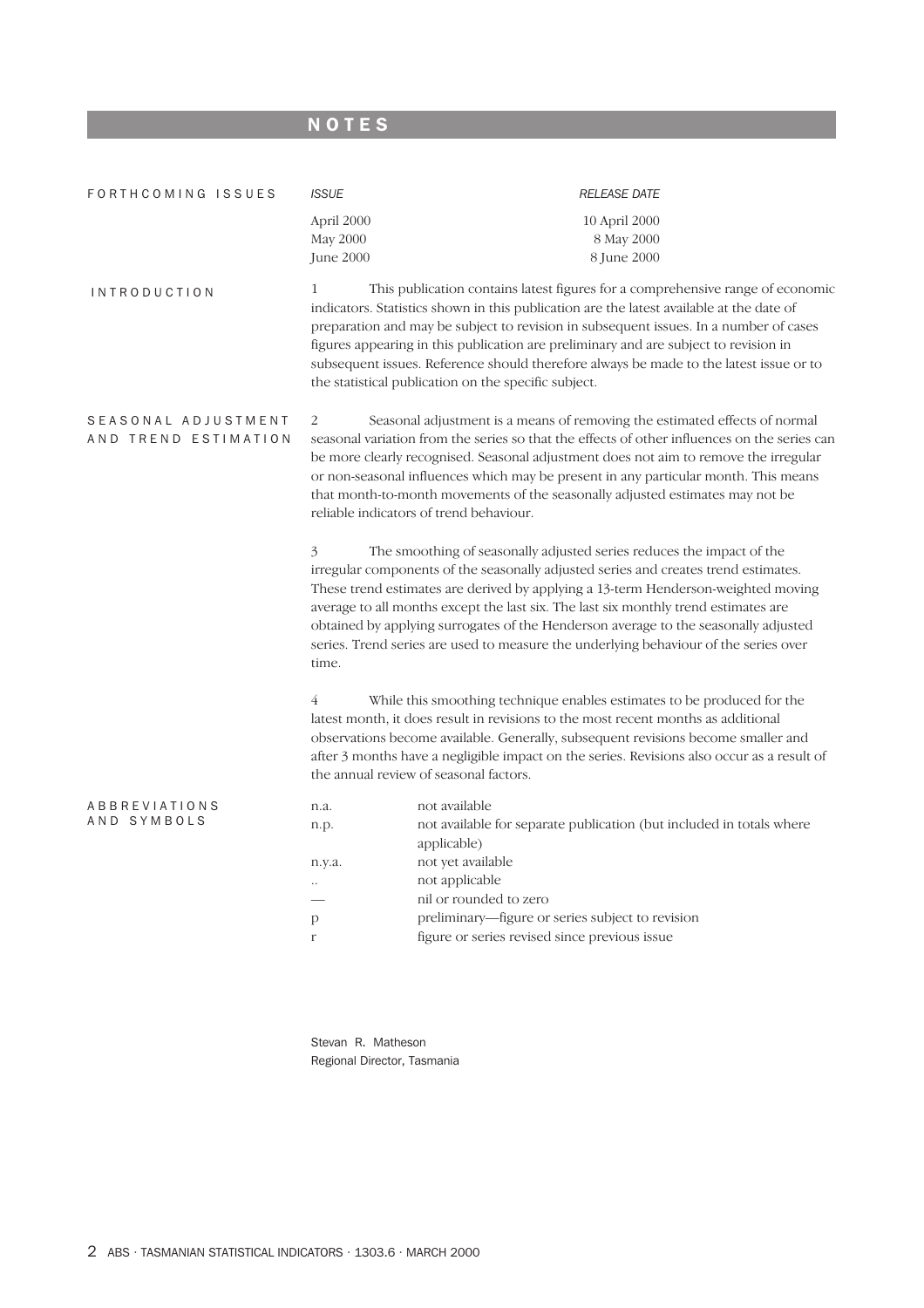## **NOTES**

| FORTHCOMING ISSUES                          | <b>ISSUE</b>                        | <b>RELEASE DATE</b>                                                                                                                                                                                                                                                                                                                                                                                                                                                                                                     |
|---------------------------------------------|-------------------------------------|-------------------------------------------------------------------------------------------------------------------------------------------------------------------------------------------------------------------------------------------------------------------------------------------------------------------------------------------------------------------------------------------------------------------------------------------------------------------------------------------------------------------------|
|                                             | April 2000<br>May 2000<br>June 2000 | 10 April 2000<br>8 May 2000<br>8 June 2000                                                                                                                                                                                                                                                                                                                                                                                                                                                                              |
| <i><b>INTRODUCTION</b></i>                  | 1                                   | This publication contains latest figures for a comprehensive range of economic<br>indicators. Statistics shown in this publication are the latest available at the date of<br>preparation and may be subject to revision in subsequent issues. In a number of cases<br>figures appearing in this publication are preliminary and are subject to revision in<br>subsequent issues. Reference should therefore always be made to the latest issue or to<br>the statistical publication on the specific subject.           |
| SEASONAL ADJUSTMENT<br>AND TREND ESTIMATION | 2                                   | Seasonal adjustment is a means of removing the estimated effects of normal<br>seasonal variation from the series so that the effects of other influences on the series can<br>be more clearly recognised. Seasonal adjustment does not aim to remove the irregular<br>or non-seasonal influences which may be present in any particular month. This means<br>that month-to-month movements of the seasonally adjusted estimates may not be<br>reliable indicators of trend behaviour.                                   |
|                                             | 3<br>time.                          | The smoothing of seasonally adjusted series reduces the impact of the<br>irregular components of the seasonally adjusted series and creates trend estimates.<br>These trend estimates are derived by applying a 13-term Henderson-weighted moving<br>average to all months except the last six. The last six monthly trend estimates are<br>obtained by applying surrogates of the Henderson average to the seasonally adjusted<br>series. Trend series are used to measure the underlying behaviour of the series over |
|                                             | $\overline{4}$                      | While this smoothing technique enables estimates to be produced for the<br>latest month, it does result in revisions to the most recent months as additional<br>observations become available. Generally, subsequent revisions become smaller and<br>after 3 months have a negligible impact on the series. Revisions also occur as a result of<br>the annual review of seasonal factors.                                                                                                                               |
| <b>ABBREVIATIONS</b><br>AND SYMBOLS         | n.a.<br>n.p.<br>n.y.a.              | not available<br>not available for separate publication (but included in totals where<br>applicable)<br>not yet available<br>not applicable<br>nil or rounded to zero                                                                                                                                                                                                                                                                                                                                                   |
|                                             | p<br>r                              | preliminary-figure or series subject to revision<br>figure or series revised since previous issue                                                                                                                                                                                                                                                                                                                                                                                                                       |

Stevan R. Matheson Regional Director, Tasmania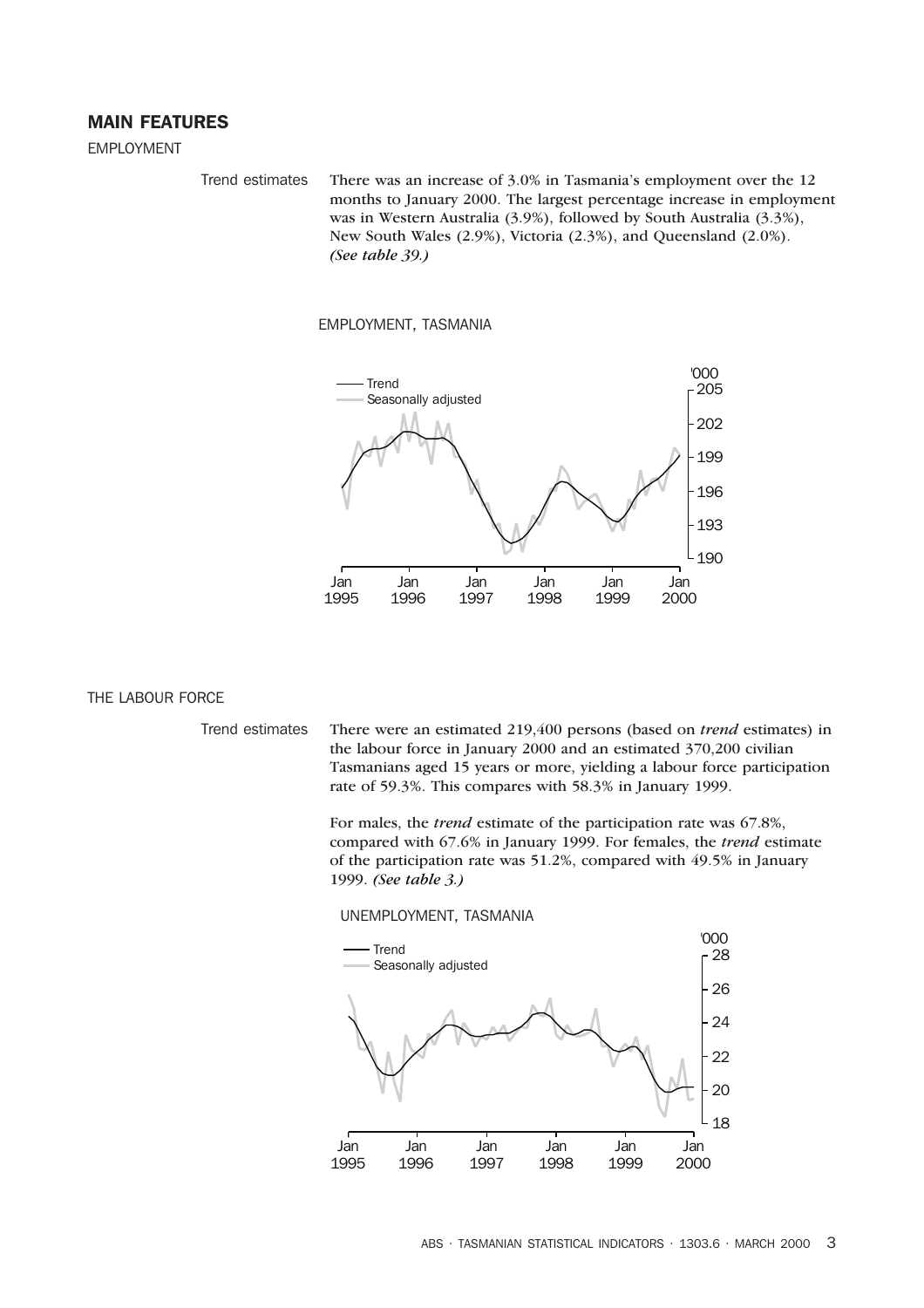### MAIN FEATURES

EMPLOYMENT

Trend estimates There was an increase of 3.0% in Tasmania's employment over the 12 months to January 2000. The largest percentage increase in employment was in Western Australia (3.9%), followed by South Australia (3.3%), New South Wales (2.9%), Victoria (2.3%), and Queensland (2.0%). *(See table 39.)*

### EMPLOYMENT, TASMANIA



### THE LABOUR FORCE

Trend estimates There were an estimated 219,400 persons (based on *trend* estimates) in the labour force in January 2000 and an estimated 370,200 civilian Tasmanians aged 15 years or more, yielding a labour force participation rate of 59.3%. This compares with 58.3% in January 1999.

> For males, the *trend* estimate of the participation rate was 67.8%, compared with 67.6% in January 1999. For females, the *trend* estimate of the participation rate was 51.2%, compared with 49.5% in January 1999. *(See table 3.)*

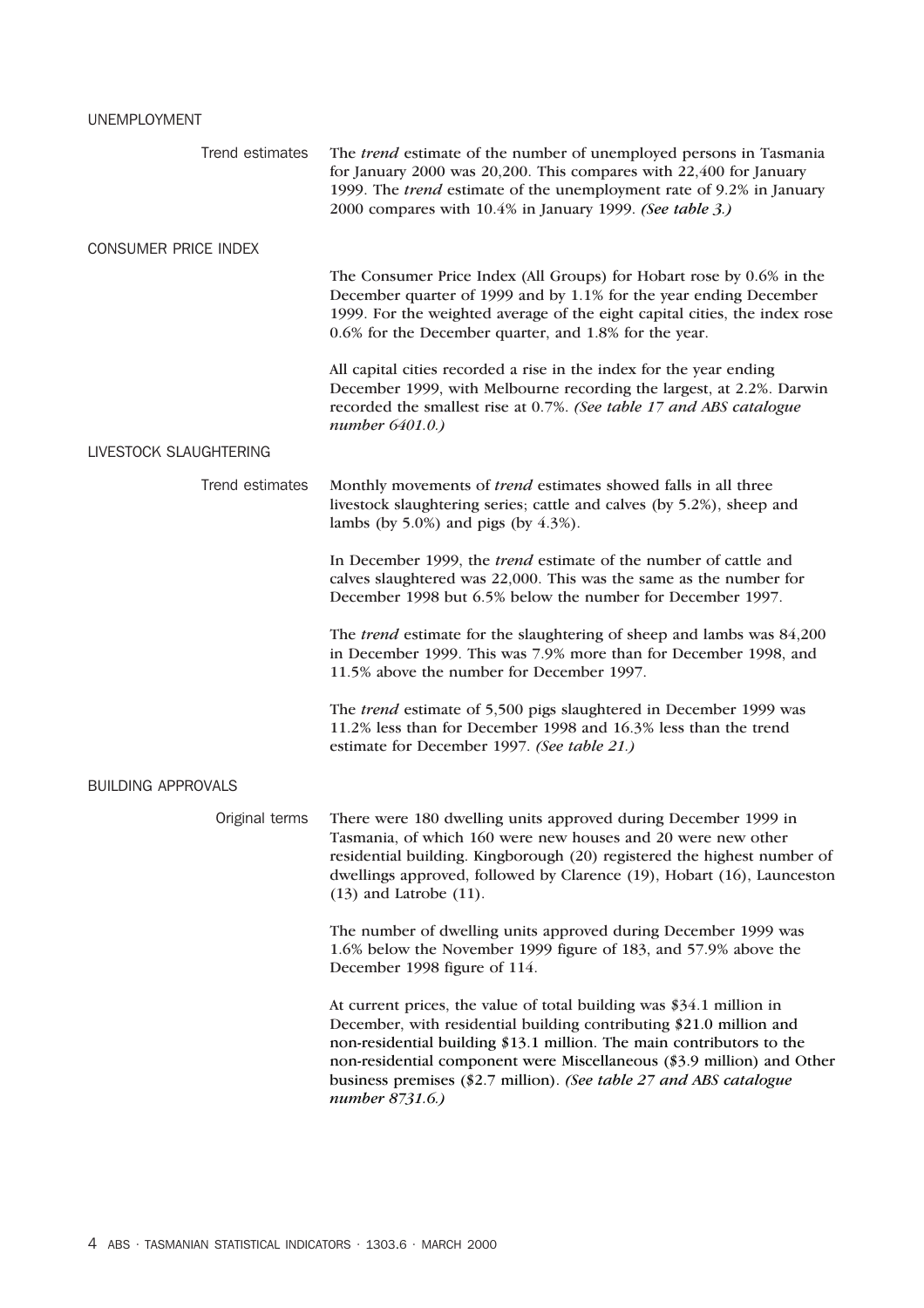### UNEMPLOYMENT

| Trend estimates             | The <i>trend</i> estimate of the number of unemployed persons in Tasmania<br>for January 2000 was 20,200. This compares with 22,400 for January<br>1999. The trend estimate of the unemployment rate of 9.2% in January<br>2000 compares with 10.4% in January 1999. (See table 3.)                                                                                                     |
|-----------------------------|-----------------------------------------------------------------------------------------------------------------------------------------------------------------------------------------------------------------------------------------------------------------------------------------------------------------------------------------------------------------------------------------|
| <b>CONSUMER PRICE INDEX</b> |                                                                                                                                                                                                                                                                                                                                                                                         |
|                             | The Consumer Price Index (All Groups) for Hobart rose by 0.6% in the<br>December quarter of 1999 and by 1.1% for the year ending December<br>1999. For the weighted average of the eight capital cities, the index rose<br>0.6% for the December quarter, and 1.8% for the year.                                                                                                        |
|                             | All capital cities recorded a rise in the index for the year ending<br>December 1999, with Melbourne recording the largest, at 2.2%. Darwin<br>recorded the smallest rise at 0.7%. (See table 17 and ABS catalogue<br>number 6401.0.)                                                                                                                                                   |
| LIVESTOCK SLAUGHTERING      |                                                                                                                                                                                                                                                                                                                                                                                         |
| Trend estimates             | Monthly movements of <i>trend</i> estimates showed falls in all three<br>livestock slaughtering series; cattle and calves (by 5.2%), sheep and<br>lambs (by $5.0\%$ ) and pigs (by $4.3\%$ ).                                                                                                                                                                                           |
|                             | In December 1999, the <i>trend</i> estimate of the number of cattle and<br>calves slaughtered was 22,000. This was the same as the number for<br>December 1998 but 6.5% below the number for December 1997.                                                                                                                                                                             |
|                             | The <i>trend</i> estimate for the slaughtering of sheep and lambs was 84,200<br>in December 1999. This was 7.9% more than for December 1998, and<br>11.5% above the number for December 1997.                                                                                                                                                                                           |
|                             | The trend estimate of 5,500 pigs slaughtered in December 1999 was<br>11.2% less than for December 1998 and 16.3% less than the trend<br>estimate for December 1997. (See table 21.)                                                                                                                                                                                                     |
| <b>BUILDING APPROVALS</b>   |                                                                                                                                                                                                                                                                                                                                                                                         |
| Original terms              | There were 180 dwelling units approved during December 1999 in<br>Tasmania, of which 160 were new houses and 20 were new other<br>residential building. Kingborough (20) registered the highest number of<br>dwellings approved, followed by Clarence (19), Hobart (16), Launceston<br>$(13)$ and Latrobe $(11)$ .                                                                      |
|                             | The number of dwelling units approved during December 1999 was<br>1.6% below the November 1999 figure of 183, and 57.9% above the<br>December 1998 figure of 114.                                                                                                                                                                                                                       |
|                             | At current prices, the value of total building was \$34.1 million in<br>December, with residential building contributing \$21.0 million and<br>non-residential building \$13.1 million. The main contributors to the<br>non-residential component were Miscellaneous (\$3.9 million) and Other<br>business premises (\$2.7 million). (See table 27 and ABS catalogue<br>number 8731.6.) |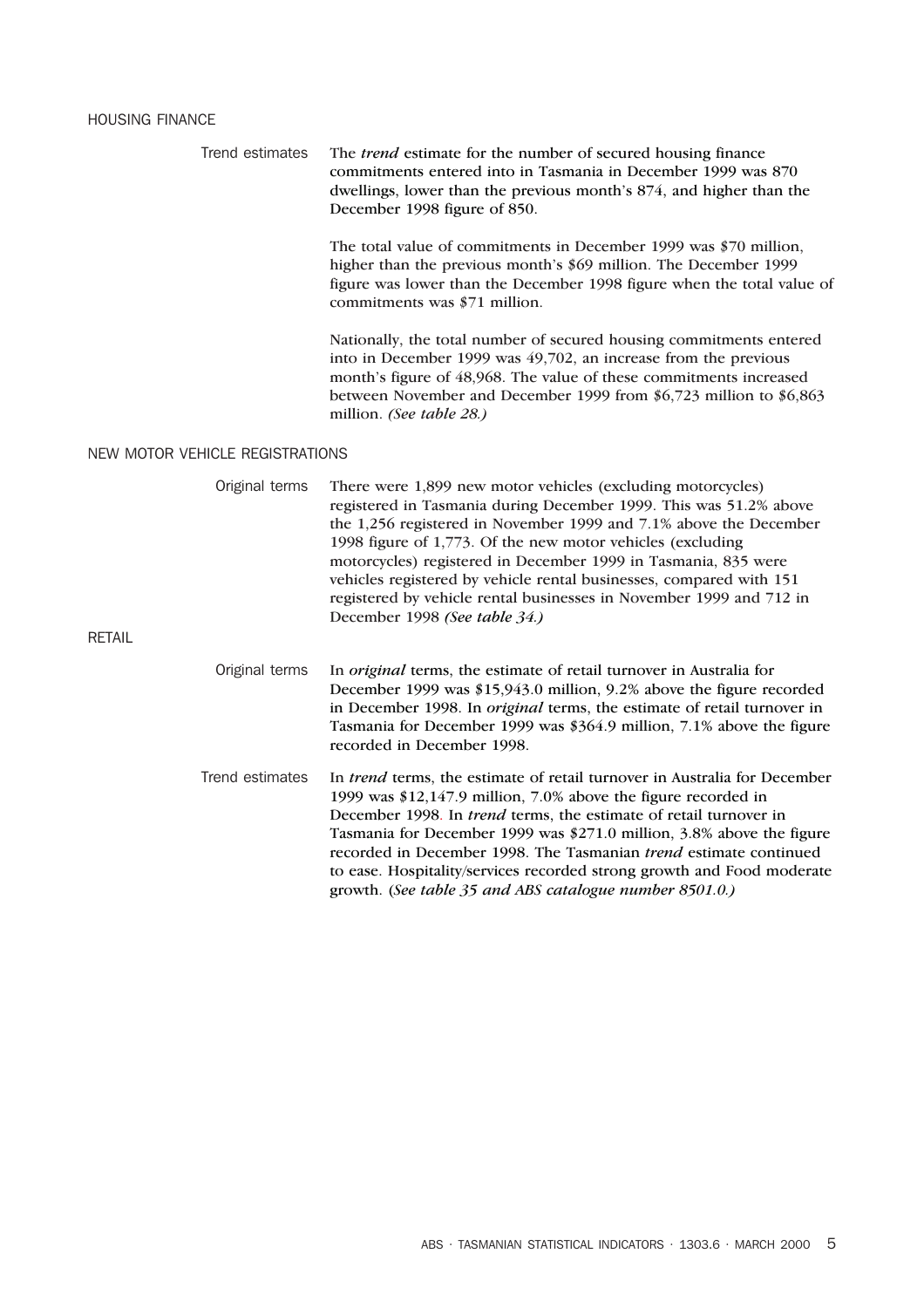Trend estimates The *trend* estimate for the number of secured housing finance commitments entered into in Tasmania in December 1999 was 870 dwellings, lower than the previous month's 874, and higher than the December 1998 figure of 850. The total value of commitments in December 1999 was \$70 million, higher than the previous month's \$69 million. The December 1999 figure was lower than the December 1998 figure when the total value of commitments was \$71 million. Nationally, the total number of secured housing commitments entered into in December 1999 was 49,702, an increase from the previous month's figure of 48,968. The value of these commitments increased between November and December 1999 from \$6,723 million to \$6,863 million. *(See table 28.)* NEW MOTOR VEHICLE REGISTRATIONS Original terms There were 1,899 new motor vehicles (excluding motorcycles) registered in Tasmania during December 1999. This was 51.2% above the 1,256 registered in November 1999 and 7.1% above the December 1998 figure of 1,773. Of the new motor vehicles (excluding motorcycles) registered in December 1999 in Tasmania, 835 were vehicles registered by vehicle rental businesses, compared with 151 registered by vehicle rental businesses in November 1999 and 712 in December 1998 *(See table 34.)* RETAIL Original terms In *original* terms, the estimate of retail turnover in Australia for December 1999 was \$15,943.0 million, 9.2% above the figure recorded in December 1998. In *original* terms, the estimate of retail turnover in Tasmania for December 1999 was \$364.9 million, 7.1% above the figure

> Trend estimates In *trend* terms, the estimate of retail turnover in Australia for December 1999 was \$12,147.9 million, 7.0% above the figure recorded in December 1998. In *trend* terms, the estimate of retail turnover in Tasmania for December 1999 was \$271.0 million, 3.8% above the figure recorded in December 1998. The Tasmanian *trend* estimate continued to ease. Hospitality/services recorded strong growth and Food moderate growth. (*See table 35 and ABS catalogue number 8501.0.)*

recorded in December 1998.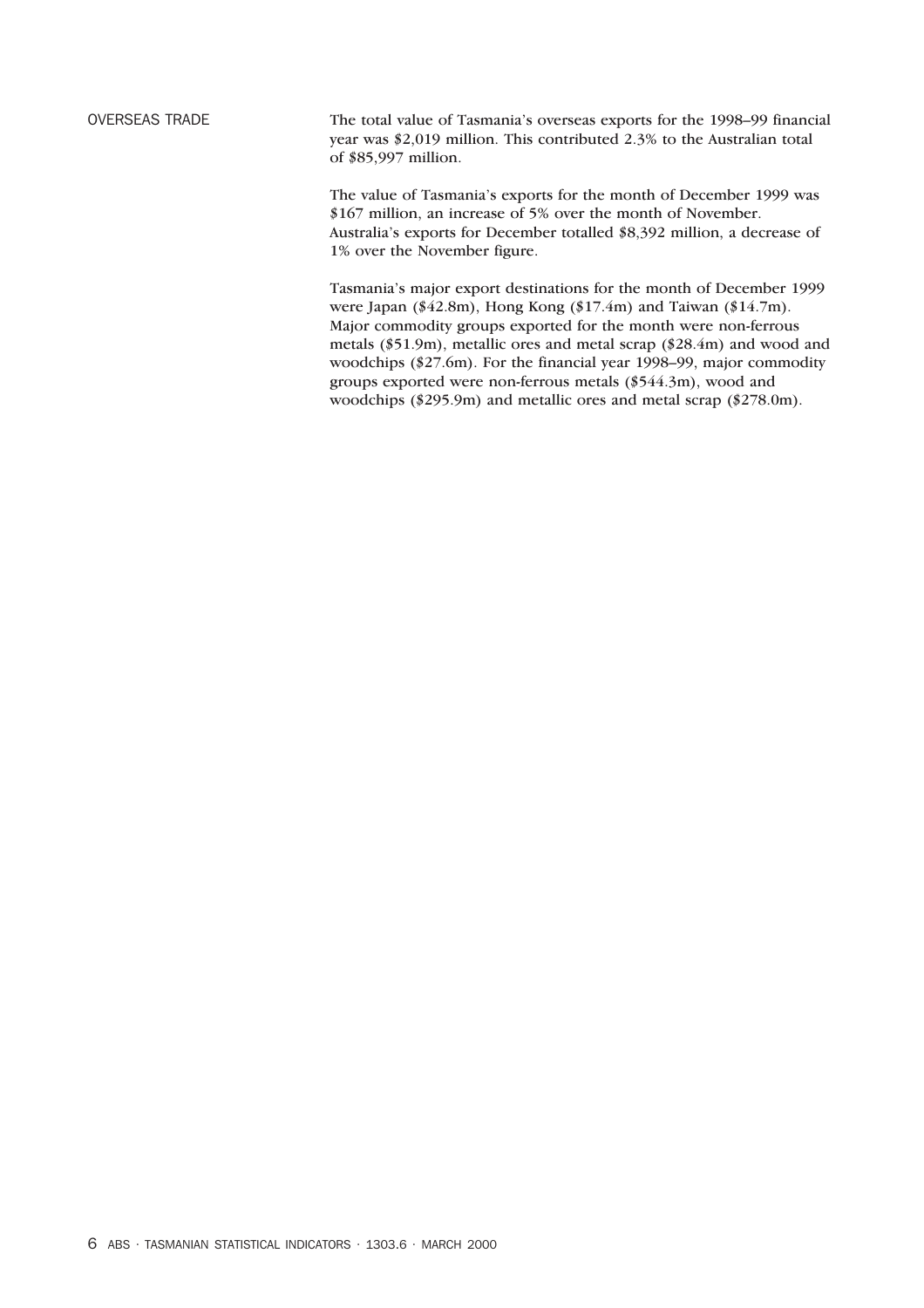OVERSEAS TRADE The total value of Tasmania's overseas exports for the 1998–99 financial year was \$2,019 million. This contributed 2.3% to the Australian total of \$85,997 million.

> The value of Tasmania's exports for the month of December 1999 was \$167 million, an increase of 5% over the month of November. Australia's exports for December totalled \$8,392 million, a decrease of 1% over the November figure.

Tasmania's major export destinations for the month of December 1999 were Japan (\$42.8m), Hong Kong (\$17.4m) and Taiwan (\$14.7m). Major commodity groups exported for the month were non-ferrous metals (\$51.9m), metallic ores and metal scrap (\$28.4m) and wood and woodchips (\$27.6m). For the financial year 1998–99, major commodity groups exported were non-ferrous metals (\$544.3m), wood and woodchips (\$295.9m) and metallic ores and metal scrap (\$278.0m).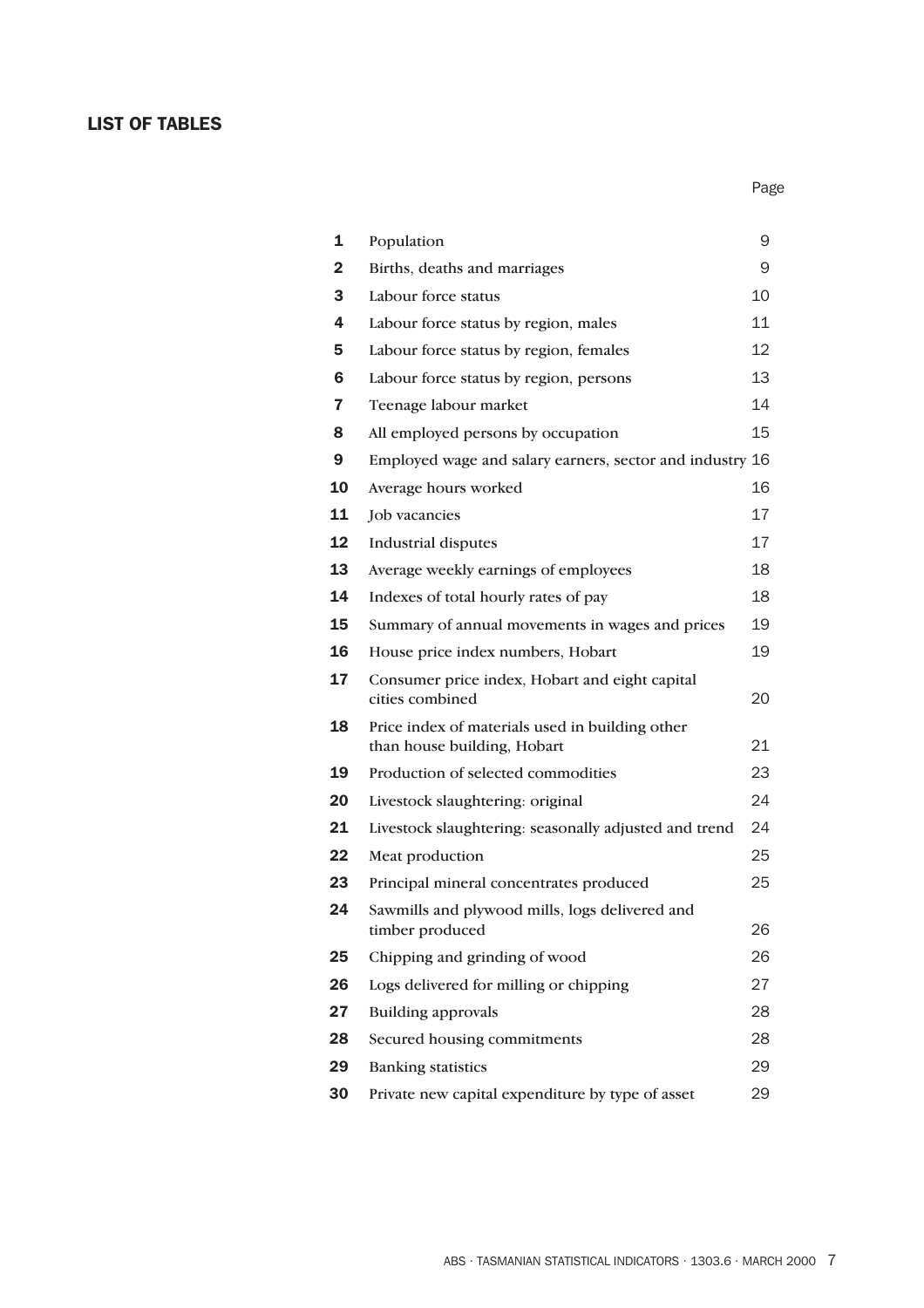### LIST OF TABLES

| 1  | Population                                                                     | 9  |
|----|--------------------------------------------------------------------------------|----|
| 2  | Births, deaths and marriages                                                   | 9  |
| 3  | Labour force status                                                            | 10 |
| 4  | Labour force status by region, males                                           | 11 |
| 5  | Labour force status by region, females                                         | 12 |
| 6  | Labour force status by region, persons                                         | 13 |
| 7  | Teenage labour market                                                          | 14 |
| 8  | All employed persons by occupation                                             | 15 |
| 9  | Employed wage and salary earners, sector and industry 16                       |    |
| 10 | Average hours worked                                                           | 16 |
| 11 | Job vacancies                                                                  | 17 |
| 12 | <b>Industrial disputes</b>                                                     | 17 |
| 13 | Average weekly earnings of employees                                           | 18 |
| 14 | Indexes of total hourly rates of pay                                           | 18 |
| 15 | Summary of annual movements in wages and prices                                | 19 |
| 16 | House price index numbers, Hobart                                              | 19 |
| 17 | Consumer price index, Hobart and eight capital<br>cities combined              | 20 |
| 18 | Price index of materials used in building other<br>than house building, Hobart | 21 |
| 19 | Production of selected commodities                                             | 23 |
| 20 | Livestock slaughtering: original                                               | 24 |
| 21 | Livestock slaughtering: seasonally adjusted and trend                          | 24 |
| 22 | Meat production                                                                | 25 |
| 23 | Principal mineral concentrates produced                                        | 25 |
| 24 | Sawmills and plywood mills, logs delivered and<br>timber produced              | 26 |
| 25 | Chipping and grinding of wood                                                  | 26 |
| 26 | Logs delivered for milling or chipping                                         | 27 |
| 27 | <b>Building approvals</b>                                                      | 28 |
| 28 | Secured housing commitments                                                    | 28 |
| 29 | <b>Banking statistics</b>                                                      | 29 |
| 30 | Private new capital expenditure by type of asset                               | 29 |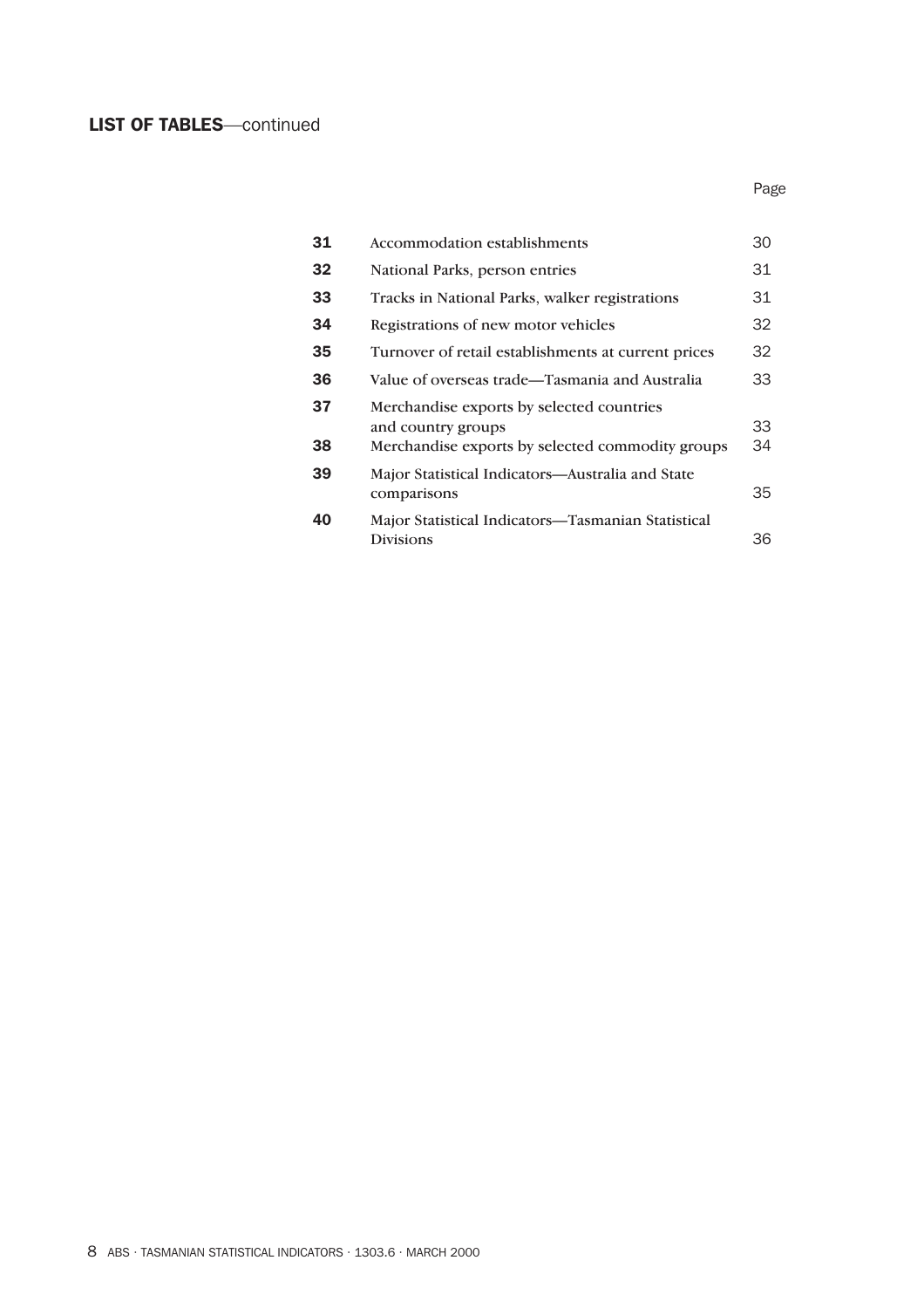### LIST OF TABLES—continued

| 31 | Accommodation establishments                                           | 30 |
|----|------------------------------------------------------------------------|----|
| 32 | National Parks, person entries                                         | 31 |
| 33 | Tracks in National Parks, walker registrations                         | 31 |
| 34 | Registrations of new motor vehicles                                    | 32 |
| 35 | Turnover of retail establishments at current prices                    | 32 |
| 36 | Value of overseas trade—Tasmania and Australia                         | 33 |
| 37 | Merchandise exports by selected countries<br>and country groups        | 33 |
| 38 | Merchandise exports by selected commodity groups                       | 34 |
| 39 | Major Statistical Indicators—Australia and State<br>comparisons        | 35 |
| 40 | Major Statistical Indicators—Tasmanian Statistical<br><b>Divisions</b> | 36 |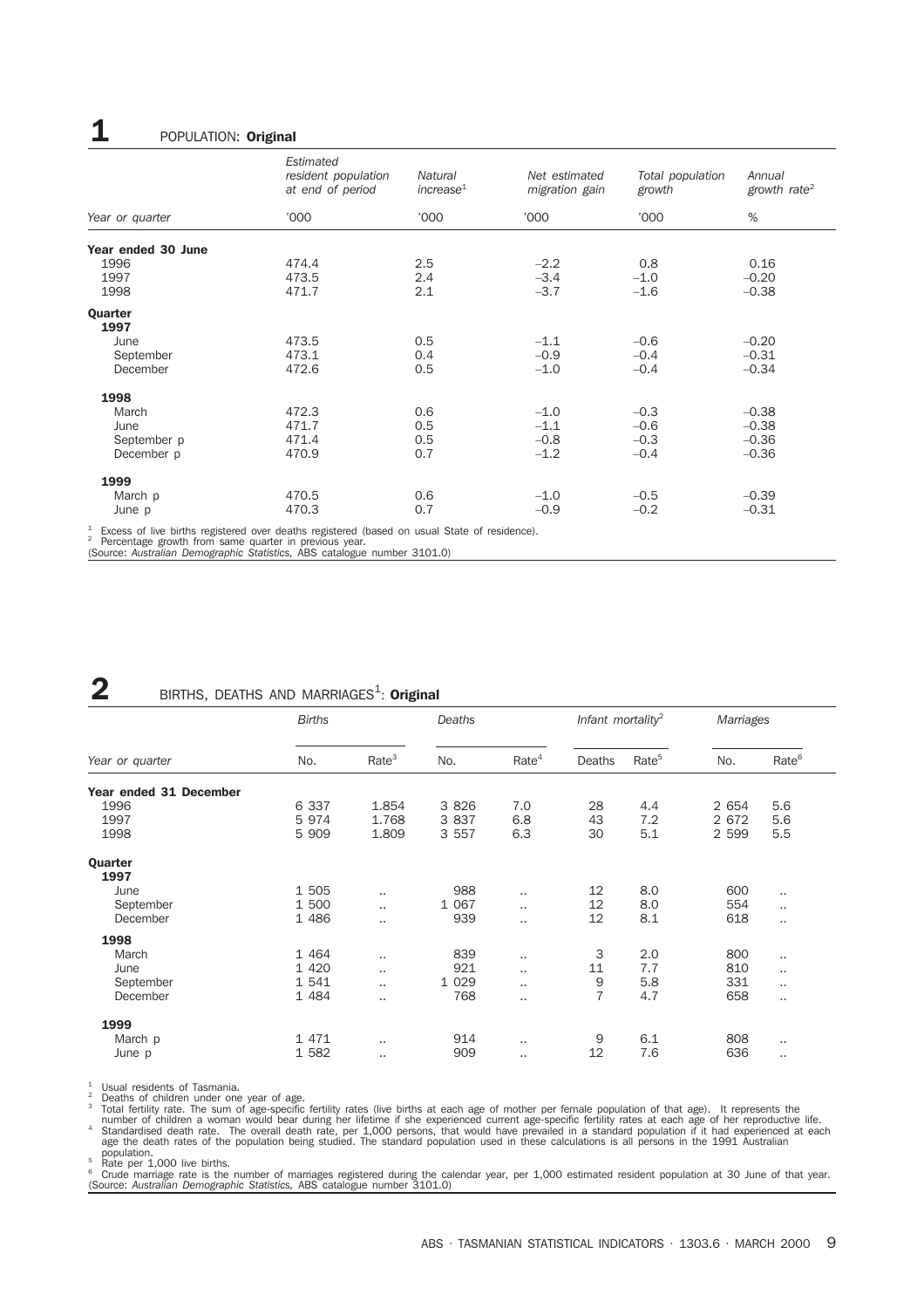### **1** POPULATION: **Original**

|                    | Estimated<br>resident population<br>at end of period | Natural<br>increase <sup>1</sup> | Net estimated<br>migration gain | Total population<br>growth | Annual<br>growth rate <sup>2</sup> |
|--------------------|------------------------------------------------------|----------------------------------|---------------------------------|----------------------------|------------------------------------|
| Year or quarter    | '000                                                 | '000                             | '000'                           | '000                       | %                                  |
| Year ended 30 June |                                                      |                                  |                                 |                            |                                    |
| 1996               | 474.4                                                | 2.5                              | $-2.2$                          | 0.8                        | 0.16                               |
| 1997               | 473.5                                                | 2.4                              | $-3.4$                          | $-1.0$                     | $-0.20$                            |
| 1998               | 471.7                                                | 2.1                              | $-3.7$                          | $-1.6$                     | $-0.38$                            |
| Quarter<br>1997    |                                                      |                                  |                                 |                            |                                    |
| June               | 473.5                                                | 0.5                              | $-1.1$                          | $-0.6$                     | $-0.20$                            |
| September          | 473.1                                                | 0.4                              | $-0.9$                          | $-0.4$                     | $-0.31$                            |
| December           | 472.6                                                | 0.5                              | $-1.0$                          | $-0.4$                     | $-0.34$                            |
| 1998               |                                                      |                                  |                                 |                            |                                    |
| March              | 472.3                                                | 0.6                              | $-1.0$                          | $-0.3$                     | $-0.38$                            |
| June               | 471.7                                                | 0.5                              | $-1.1$                          | $-0.6$                     | $-0.38$                            |
| September p        | 471.4                                                | 0.5                              | $-0.8$                          | $-0.3$                     | $-0.36$                            |
| December p         | 470.9                                                | 0.7                              | $-1.2$                          | $-0.4$                     | $-0.36$                            |
| 1999               |                                                      |                                  |                                 |                            |                                    |
| March p            | 470.5                                                | 0.6                              | $-1.0$                          | $-0.5$                     | $-0.39$                            |
| June p             | 470.3                                                | 0.7                              | $-0.9$                          | $-0.2$                     | $-0.31$                            |

<sup>1</sup> Excess of live births registered over deaths registered (based on usual State of residence).<br><sup>2</sup> Percentage growth from same quarter in previous year.<br>(Source: Australian Demographic Statistics, ABS catalogue number 31

## $2$  BIRTHS, DEATHS AND MARRIAGES<sup>1</sup>: Original

|                        | <b>Births</b> |                      | Deaths  |                      | Infant mortality <sup>2</sup> |                   | Marriages |                   |
|------------------------|---------------|----------------------|---------|----------------------|-------------------------------|-------------------|-----------|-------------------|
| Year or quarter        | No.           | Rate <sup>3</sup>    | No.     | Rate <sup>4</sup>    | Deaths                        | Rate <sup>5</sup> | No.       | Rate <sup>6</sup> |
| Year ended 31 December |               |                      |         |                      |                               |                   |           |                   |
| 1996                   | 6 3 3 7       | 1.854                | 3 8 2 6 | 7.0                  | 28                            | 4.4               | 2 654     | 5.6               |
| 1997                   | 5 9 7 4       | 1.768                | 3 8 3 7 | 6.8                  | 43                            | 7.2               | 2 672     | 5.6               |
| 1998                   | 5 909         | 1.809                | 3 5 5 7 | 6.3                  | 30                            | 5.1               | 2 5 9 9   | 5.5               |
| Quarter                |               |                      |         |                      |                               |                   |           |                   |
| 1997                   |               |                      |         |                      |                               |                   |           |                   |
| June                   | 1 505         | $\ddot{\phantom{a}}$ | 988     | $\ddot{\phantom{a}}$ | 12                            | 8.0               | 600       | $\cdot$           |
| September              | 1 500         | $\ddot{\phantom{a}}$ | 1 0 6 7 | $\ddot{\phantom{a}}$ | 12                            | 8.0               | 554       | $\cdot$           |
| December               | 1 486         | $\ldots$             | 939     | $\ddotsc$            | 12                            | 8.1               | 618       | $\cdot$           |
| 1998                   |               |                      |         |                      |                               |                   |           |                   |
| March                  | 1 4 6 4       | $\ddotsc$            | 839     | $\cdot$              | 3                             | 2.0               | 800       |                   |
| June                   | 1 4 2 0       | $\ddot{\phantom{a}}$ | 921     | $\ddotsc$            | 11                            | 7.7               | 810       |                   |
| September              | 1 541         | $\ddotsc$            | 1 0 2 9 | $\cdot$ .            | 9                             | 5.8               | 331       |                   |
| December               | 1 484         | $\ddotsc$            | 768     | $\ddotsc$            | $\overline{7}$                | 4.7               | 658       |                   |
| 1999                   |               |                      |         |                      |                               |                   |           |                   |
| March p                | 1 471         | $\ddot{\phantom{a}}$ | 914     | $\ddotsc$            | 9                             | 6.1               | 808       | $\cdot$           |
| June p                 | 1 582         | $\cdot$ .            | 909     |                      | 12                            | 7.6               | 636       |                   |

<sup>1</sup> Usual residents of Tasmania.<br><sup>2</sup> Deaths of children under one year of age.<br><sup>3</sup> Total fertility rate. The sum of age-specific fertility rates (live births at each age of mother per female population of that age). It rep number of children a woman would bear during her lifetime if she experienced current age-specific fertility rates at each age of her reproductive life.<br>Standardised death rate. The overall death rate, per 1,000 persons, th

population.<br><sup>5</sup> Rate per 1,000 live births.<br><sup>6</sup> Crude marriage rate is the number of marriages registered during the calendar year, per 1,000 estimated resident population at 30 June of that year.<br><sup>6</sup> Crude marriage rate i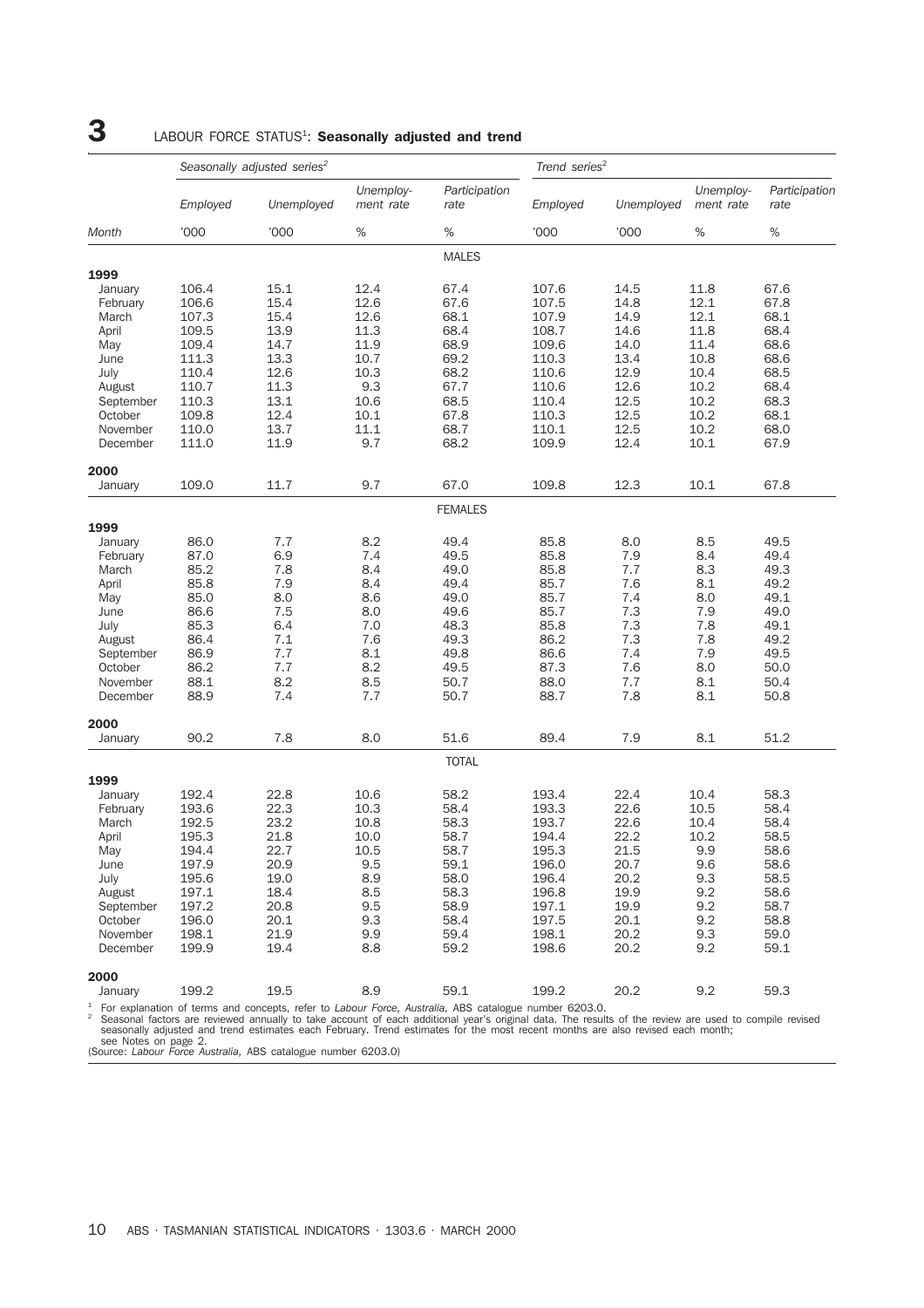## $3$  LABOUR FORCE STATUS<sup>1</sup>: Seasonally adjusted and trend

|           | Seasonally adjusted series <sup>2</sup> |            |                        |                                                                                                                                                                                                                                                                                 | Trend series <sup>2</sup> |            |                        |                       |
|-----------|-----------------------------------------|------------|------------------------|---------------------------------------------------------------------------------------------------------------------------------------------------------------------------------------------------------------------------------------------------------------------------------|---------------------------|------------|------------------------|-----------------------|
|           | Employed                                | Unemployed | Unemploy-<br>ment rate | Participation<br>rate                                                                                                                                                                                                                                                           | Employed                  | Unemployed | Unemploy-<br>ment rate | Participation<br>rate |
| Month     | '000                                    | '000       | $\%$                   | $\%$                                                                                                                                                                                                                                                                            | '000                      | '000       | %                      | $\%$                  |
|           |                                         |            |                        | <b>MALES</b>                                                                                                                                                                                                                                                                    |                           |            |                        |                       |
| 1999      |                                         |            |                        |                                                                                                                                                                                                                                                                                 |                           |            |                        |                       |
| January   | 106.4                                   | 15.1       | 12.4                   | 67.4                                                                                                                                                                                                                                                                            | 107.6                     | 14.5       | 11.8                   | 67.6                  |
| February  | 106.6                                   | 15.4       | 12.6                   | 67.6                                                                                                                                                                                                                                                                            | 107.5                     | 14.8       | 12.1                   | 67.8                  |
| March     | 107.3                                   | 15.4       | 12.6                   | 68.1                                                                                                                                                                                                                                                                            | 107.9                     | 14.9       | 12.1                   | 68.1                  |
| April     | 109.5                                   | 13.9       | 11.3                   | 68.4                                                                                                                                                                                                                                                                            | 108.7                     | 14.6       | 11.8                   | 68.4                  |
| May       | 109.4                                   | 14.7       | 11.9                   | 68.9                                                                                                                                                                                                                                                                            | 109.6                     | 14.0       | 11.4                   | 68.6                  |
| June      | 111.3                                   | 13.3       | 10.7                   | 69.2                                                                                                                                                                                                                                                                            | 110.3                     | 13.4       | 10.8                   | 68.6                  |
| July      | 110.4                                   | 12.6       | 10.3                   | 68.2                                                                                                                                                                                                                                                                            | 110.6                     | 12.9       | 10.4                   | 68.5                  |
| August    | 110.7                                   | 11.3       | 9.3                    | 67.7                                                                                                                                                                                                                                                                            | 110.6                     | 12.6       | 10.2                   | 68.4                  |
| September | 110.3                                   | 13.1       | 10.6                   | 68.5                                                                                                                                                                                                                                                                            | 110.4                     | 12.5       | 10.2                   | 68.3                  |
| October   | 109.8                                   | 12.4       | 10.1                   | 67.8                                                                                                                                                                                                                                                                            | 110.3                     | 12.5       | 10.2                   | 68.1                  |
| November  | 110.0                                   | 13.7       | 11.1                   | 68.7                                                                                                                                                                                                                                                                            | 110.1                     | 12.5       | 10.2                   | 68.0                  |
| December  | 111.0                                   | 11.9       | 9.7                    | 68.2                                                                                                                                                                                                                                                                            | 109.9                     | 12.4       | 10.1                   | 67.9                  |
| 2000      |                                         |            |                        |                                                                                                                                                                                                                                                                                 |                           |            |                        |                       |
| January   | 109.0                                   | 11.7       | 9.7                    | 67.0                                                                                                                                                                                                                                                                            | 109.8                     | 12.3       | 10.1                   | 67.8                  |
|           |                                         |            |                        | FEMALES                                                                                                                                                                                                                                                                         |                           |            |                        |                       |
| 1999      |                                         |            |                        |                                                                                                                                                                                                                                                                                 |                           |            |                        |                       |
| January   | 86.0                                    | 7.7        | 8.2                    | 49.4                                                                                                                                                                                                                                                                            | 85.8                      | 8.0        | 8.5                    | 49.5                  |
| February  | 87.0                                    | 6.9        | 7.4                    | 49.5                                                                                                                                                                                                                                                                            | 85.8                      | 7.9        | 8.4                    | 49.4                  |
| March     | 85.2                                    | 7.8        | 8.4                    | 49.0                                                                                                                                                                                                                                                                            | 85.8                      | 7.7        | 8.3                    | 49.3                  |
| April     | 85.8                                    | 7.9        | 8.4                    | 49.4                                                                                                                                                                                                                                                                            | 85.7                      | 7.6        | 8.1                    | 49.2                  |
| May       | 85.0                                    | 8.0        | 8.6                    | 49.0                                                                                                                                                                                                                                                                            | 85.7                      | 7.4        | 8.0                    | 49.1                  |
| June      | 86.6                                    | 7.5        | 8.0                    | 49.6                                                                                                                                                                                                                                                                            | 85.7                      | 7.3        | 7.9                    | 49.0                  |
| July      | 85.3                                    | 6.4        | 7.0                    | 48.3                                                                                                                                                                                                                                                                            | 85.8                      | 7.3        | 7.8                    | 49.1                  |
| August    | 86.4                                    | 7.1        | 7.6                    | 49.3                                                                                                                                                                                                                                                                            | 86.2                      | 7.3        | 7.8                    | 49.2                  |
| September | 86.9                                    | 7.7        | 8.1                    | 49.8                                                                                                                                                                                                                                                                            | 86.6                      | 7.4        | 7.9                    | 49.5                  |
| October   | 86.2                                    | 7.7        | 8.2                    | 49.5                                                                                                                                                                                                                                                                            | 87.3                      | 7.6        | 8.0                    | 50.0                  |
| November  | 88.1                                    | 8.2        | 8.5                    | 50.7                                                                                                                                                                                                                                                                            | 88.0                      | 7.7        | 8.1                    | 50.4                  |
| December  | 88.9                                    | 7.4        | 7.7                    | 50.7                                                                                                                                                                                                                                                                            | 88.7                      | 7.8        | 8.1                    | 50.8                  |
| 2000      |                                         |            |                        |                                                                                                                                                                                                                                                                                 |                           |            |                        |                       |
| January   | 90.2                                    | 7.8        | 8.0                    | 51.6                                                                                                                                                                                                                                                                            | 89.4                      | 7.9        | 8.1                    | 51.2                  |
|           |                                         |            |                        | <b>TOTAL</b>                                                                                                                                                                                                                                                                    |                           |            |                        |                       |
| 1999      |                                         |            |                        |                                                                                                                                                                                                                                                                                 |                           |            |                        |                       |
| January   | 192.4                                   | 22.8       | 10.6                   | 58.2                                                                                                                                                                                                                                                                            | 193.4                     | 22.4       | 10.4                   | 58.3                  |
| February  | 193.6                                   | 22.3       | 10.3                   | 58.4                                                                                                                                                                                                                                                                            | 193.3                     | 22.6       | 10.5                   | 58.4                  |
| March     | 192.5                                   | 23.2       | 10.8                   | 58.3                                                                                                                                                                                                                                                                            | 193.7                     | 22.6       | 10.4                   | 58.4                  |
| April     | 195.3                                   | 21.8       | 10.0                   | 58.7                                                                                                                                                                                                                                                                            | 194.4                     | 22.2       | 10.2                   | 58.5                  |
| May       | 194.4                                   | 22.7       | 10.5                   | 58.7                                                                                                                                                                                                                                                                            | 195.3                     | 21.5       | 9.9                    | 58.6                  |
| June      | 197.9                                   | 20.9       | 9.5                    | 59.1                                                                                                                                                                                                                                                                            | 196.0                     | 20.7       | 9.6                    | 58.6                  |
| July      | 195.6                                   | 19.0       | 8.9                    | 58.0                                                                                                                                                                                                                                                                            | 196.4                     | 20.2       | 9.3                    | 58.5                  |
| August    | 197.1                                   | 18.4       | 8.5                    | 58.3                                                                                                                                                                                                                                                                            | 196.8                     | 19.9       | 9.2                    | 58.6                  |
| September | 197.2                                   | 20.8       | 9.5                    | 58.9                                                                                                                                                                                                                                                                            | 197.1                     | 19.9       | 9.2                    | 58.7                  |
| October   | 196.0                                   | 20.1       | 9.3                    | 58.4                                                                                                                                                                                                                                                                            | 197.5                     | 20.1       | 9.2                    | 58.8                  |
| November  | 198.1                                   | 21.9       | 9.9                    | 59.4                                                                                                                                                                                                                                                                            | 198.1                     | 20.2       | 9.3                    | 59.0                  |
| December  | 199.9                                   | 19.4       | 8.8                    | 59.2                                                                                                                                                                                                                                                                            | 198.6                     | 20.2       | 9.2                    | 59.1                  |
| 2000      |                                         |            |                        |                                                                                                                                                                                                                                                                                 |                           |            |                        |                       |
| January   | 199.2                                   | 19.5       | 8.9                    | 59.1                                                                                                                                                                                                                                                                            | 199.2                     | 20.2       | 9.2                    | 59.3                  |
|           |                                         |            |                        | $1$ For explanation of terms and concepts, refer to Labour Force, Australia, ABS catalogue number 6203.0.<br><sup>2</sup> Seasonal factors are reviewed annually to take account of each additional vear's original data. The results of the review are used to compile revised |                           |            |                        |                       |

<sup>1</sup> For explanation of terms and concepts, refer to *Labour Force*, *Australia*, ABS catalogue number 6203.0.<br>
<sup>2</sup> Seasonal factors are reviewed annually to take account of each additional year's original data. The result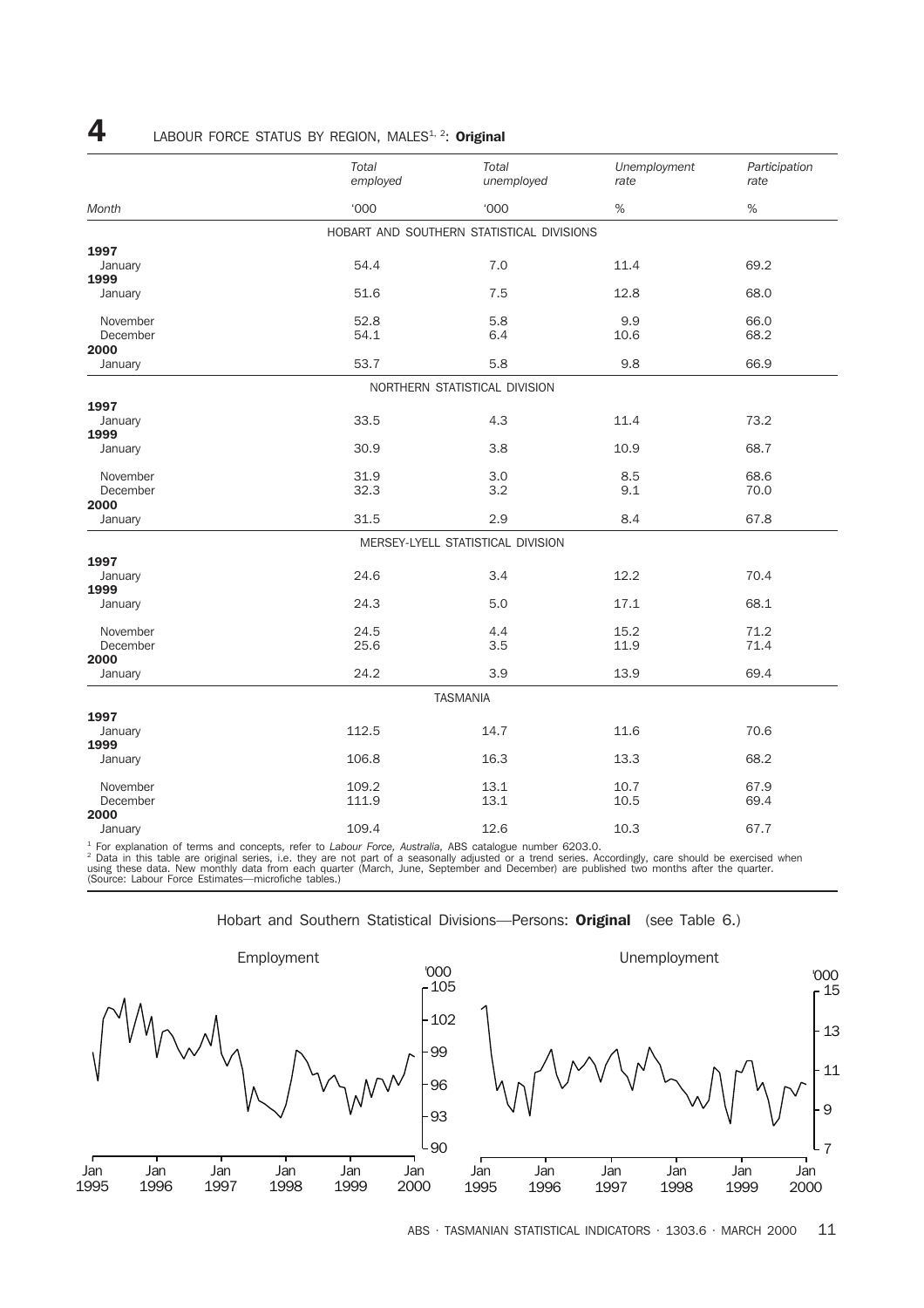|                 | Total<br>employed | Total<br>unemployed                       | Unemployment<br>rate | Participation<br>rate |
|-----------------|-------------------|-------------------------------------------|----------------------|-----------------------|
| Month           | <b>'000</b>       | <b>'000</b>                               | $\%$                 | $\%$                  |
|                 |                   | HOBART AND SOUTHERN STATISTICAL DIVISIONS |                      |                       |
| 1997            |                   |                                           |                      |                       |
| January         | 54.4              | 7.0                                       | 11.4                 | 69.2                  |
| 1999            |                   |                                           |                      |                       |
| January         | 51.6              | 7.5                                       | 12.8                 | 68.0                  |
|                 |                   |                                           |                      |                       |
| November        | 52.8              | 5.8                                       | 9.9                  | 66.0                  |
| December        | 54.1              | 6.4                                       | 10.6                 | 68.2                  |
| 2000            |                   |                                           |                      |                       |
| January         | 53.7              | 5.8                                       | 9.8                  | 66.9                  |
|                 |                   | NORTHERN STATISTICAL DIVISION             |                      |                       |
|                 |                   |                                           |                      |                       |
| 1997            | 33.5              | 4.3                                       | 11.4                 | 73.2                  |
| January<br>1999 |                   |                                           |                      |                       |
|                 | 30.9              | 3.8                                       | 10.9                 | 68.7                  |
| January         |                   |                                           |                      |                       |
| November        | 31.9              | 3.0                                       | 8.5                  | 68.6                  |
| December        | 32.3              | 3.2                                       | 9.1                  | 70.0                  |
| 2000            |                   |                                           |                      |                       |
| January         | 31.5              | 2.9                                       | 8.4                  | 67.8                  |
|                 |                   | MERSEY-LYELL STATISTICAL DIVISION         |                      |                       |
| 1997            |                   |                                           |                      |                       |
| January         | 24.6              | 3.4                                       | 12.2                 | 70.4                  |
| 1999            |                   |                                           |                      |                       |
| January         | 24.3              | 5.0                                       | 17.1                 | 68.1                  |
|                 |                   |                                           |                      |                       |
| November        | 24.5              | 4.4                                       | 15.2                 | 71.2                  |
| December        | 25.6              | 3.5                                       | 11.9                 | 71.4                  |
| 2000            |                   |                                           |                      |                       |
| January         | 24.2              | 3.9                                       | 13.9                 | 69.4                  |
|                 |                   | <b>TASMANIA</b>                           |                      |                       |
| 1997            |                   |                                           |                      |                       |
| January         | 112.5             | 14.7                                      | 11.6                 | 70.6                  |
| 1999            |                   |                                           |                      |                       |
| January         | 106.8             | 16.3                                      | 13.3                 | 68.2                  |
|                 |                   |                                           |                      |                       |
| November        | 109.2             | 13.1                                      | 10.7                 | 67.9                  |
| December        | 111.9             | 13.1                                      | 10.5                 | 69.4                  |
| 2000            |                   |                                           |                      |                       |
| January         | 109.4             | 12.6                                      | 10.3                 | 67.7                  |

4 LABOUR FORCE STATUS BY REGION, MALES<sup>1, 2</sup>: Original

<sup>1</sup> For explanation of terms and concepts, refer to *Labour Force, Australia*, ABS catalogue number 6203.0.<br><sup>2</sup> Data in this table are original series, i.e. they are not part of a seasonally adjusted or a trend series. Acc



Hobart and Southern Statistical Divisions—Persons: **Original** (see Table 6.)

ABS · TASMANIAN STATISTICAL INDICATORS · 1303.6 · MARCH 2000 11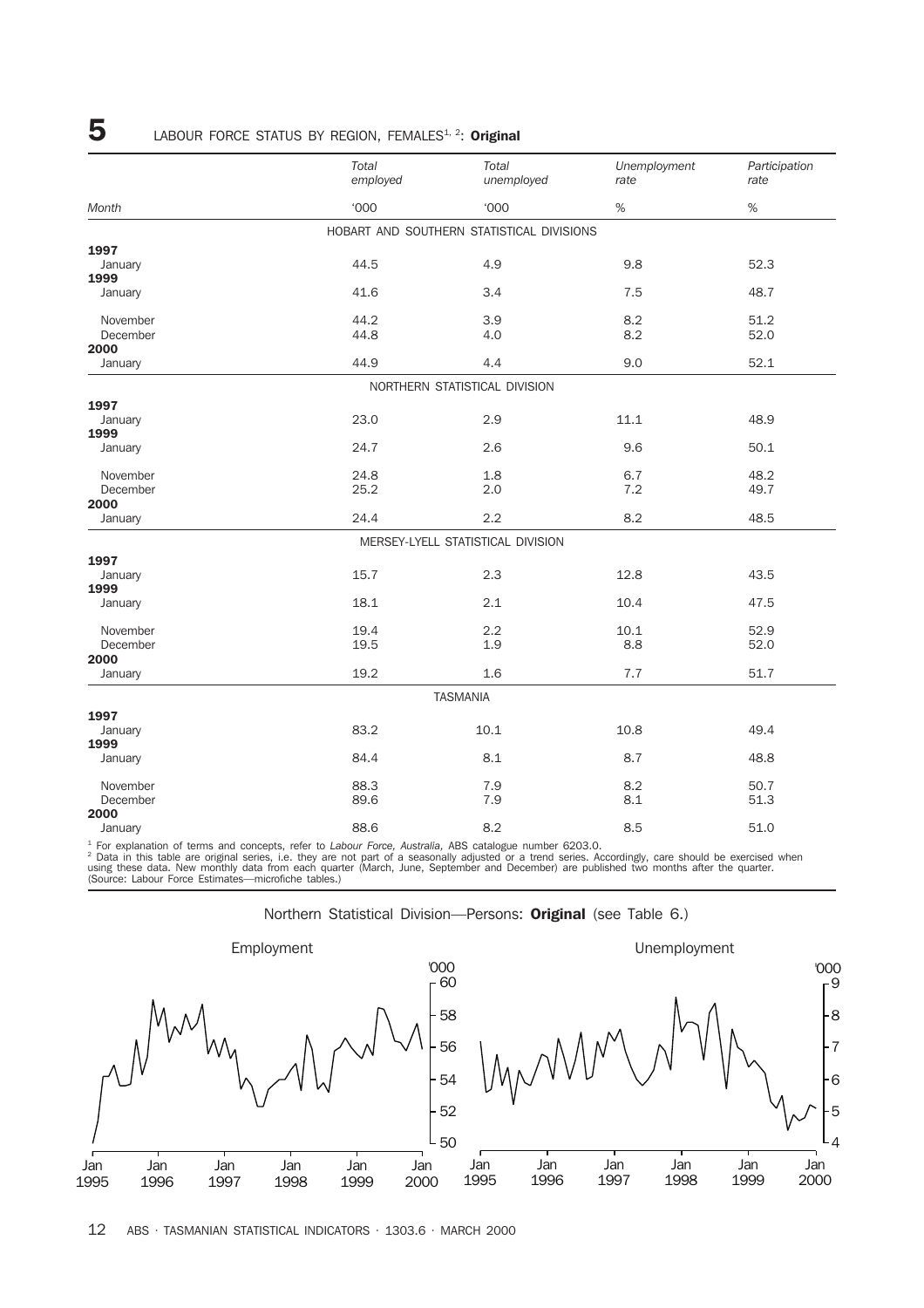### 5 LABOUR FORCE STATUS BY REGION, FEMALES<sup>1, 2</sup>: Original

|                  | Total<br>employed | Total<br>unemployed                       | Unemployment<br>rate | Participation<br>rate |
|------------------|-------------------|-------------------------------------------|----------------------|-----------------------|
| Month            | <b>'000</b>       | <b>'000</b>                               | $\%$                 | $\%$                  |
|                  |                   | HOBART AND SOUTHERN STATISTICAL DIVISIONS |                      |                       |
| 1997             |                   |                                           |                      |                       |
| January<br>1999  | 44.5              | 4.9                                       | 9.8                  | 52.3                  |
| January          | 41.6              | 3.4                                       | 7.5                  | 48.7                  |
| November         | 44.2              | 3.9                                       | 8.2                  | 51.2                  |
| December         | 44.8              | 4.0                                       | 8.2                  | 52.0                  |
| 2000<br>January  | 44.9              | 4.4                                       | 9.0                  | 52.1                  |
|                  |                   | NORTHERN STATISTICAL DIVISION             |                      |                       |
| 1997             |                   |                                           |                      |                       |
| January<br>1999  | 23.0              | 2.9                                       | 11.1                 | 48.9                  |
| January          | 24.7              | 2.6                                       | 9.6                  | 50.1                  |
| November         | 24.8              | 1.8                                       | 6.7                  | 48.2                  |
| December<br>2000 | 25.2              | 2.0                                       | 7.2                  | 49.7                  |
| January          | 24.4              | 2.2                                       | 8.2                  | 48.5                  |
|                  |                   | MERSEY-LYELL STATISTICAL DIVISION         |                      |                       |
| 1997             |                   |                                           |                      |                       |
| January<br>1999  | 15.7              | 2.3                                       | 12.8                 | 43.5                  |
| January          | 18.1              | 2.1                                       | 10.4                 | 47.5                  |
| November         | 19.4              | 2.2                                       | 10.1                 | 52.9                  |
| December<br>2000 | 19.5              | 1.9                                       | 8.8                  | 52.0                  |
| January          | 19.2              | 1.6                                       | 7.7                  | 51.7                  |
|                  |                   | <b>TASMANIA</b>                           |                      |                       |
| 1997             |                   |                                           |                      |                       |
| January<br>1999  | 83.2              | 10.1                                      | 10.8                 | 49.4                  |
| January          | 84.4              | 8.1                                       | 8.7                  | 48.8                  |
| November         | 88.3              | 7.9                                       | 8.2                  | 50.7                  |
| December<br>2000 | 89.6              | 7.9                                       | 8.1                  | 51.3                  |
| January          | 88.6              | 8.2                                       | 8.5                  | 51.0                  |

<sup>1</sup> For explanation of terms and concepts, refer to *Labour Force, Australia,* ABS catalogue number 6203.0.<br><sup>2</sup> Data in this table are original series, i.e. they are not part of a seasonally adjusted or a trend series. Acc



Northern Statistical Division—Persons: Original (see Table 6.)

12 ABS · TASMANIAN STATISTICAL INDICATORS · 1303.6 · MARCH 2000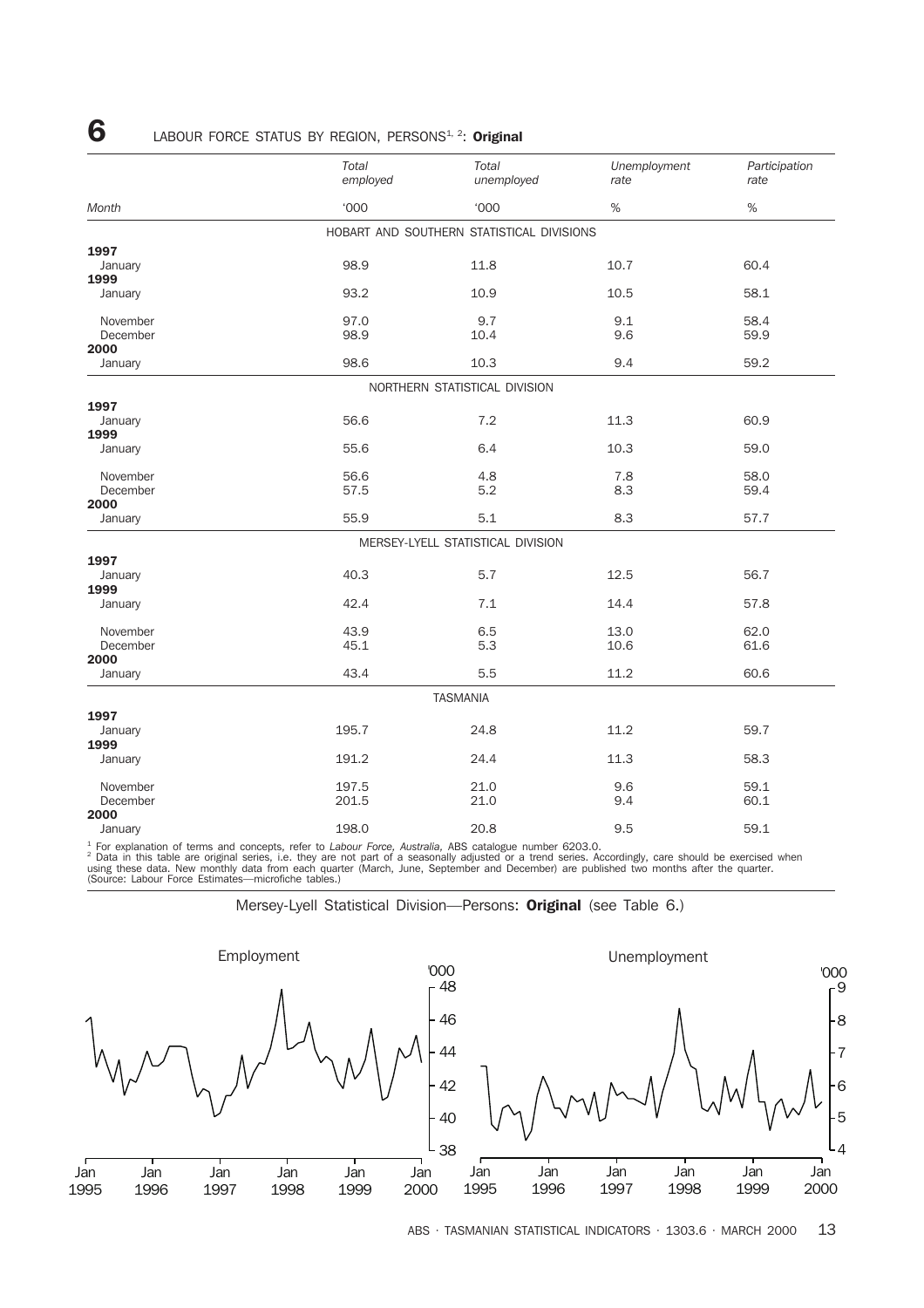### **6** LABOUR FORCE STATUS BY REGION, PERSONS<sup>1, 2</sup>: Original

|                  | Total<br>employed                         | Total<br>unemployed | Unemployment<br>rate | Participation<br>rate |
|------------------|-------------------------------------------|---------------------|----------------------|-----------------------|
| Month            | <b>'000</b>                               | <b>'000</b>         | $\%$                 | $\%$                  |
|                  | HOBART AND SOUTHERN STATISTICAL DIVISIONS |                     |                      |                       |
| 1997             |                                           |                     |                      |                       |
| January<br>1999  | 98.9                                      | 11.8                | 10.7                 | 60.4                  |
| January          | 93.2                                      | 10.9                | 10.5                 | 58.1                  |
| November         | 97.0                                      | 9.7                 | 9.1                  | 58.4                  |
| December         | 98.9                                      | 10.4                | 9.6                  | 59.9                  |
| 2000             |                                           |                     |                      |                       |
| January          | 98.6                                      | 10.3                | 9.4                  | 59.2                  |
|                  | NORTHERN STATISTICAL DIVISION             |                     |                      |                       |
| 1997             |                                           |                     |                      |                       |
| January<br>1999  | 56.6                                      | 7.2                 | 11.3                 | 60.9                  |
| January          | 55.6                                      | 6.4                 | 10.3                 | 59.0                  |
| November         | 56.6                                      | 4.8                 | 7.8                  | 58.0                  |
| December<br>2000 | 57.5                                      | 5.2                 | 8.3                  | 59.4                  |
| January          | 55.9                                      | 5.1                 | 8.3                  | 57.7                  |
|                  | MERSEY-LYELL STATISTICAL DIVISION         |                     |                      |                       |
| 1997             |                                           |                     |                      |                       |
| January<br>1999  | 40.3                                      | 5.7                 | 12.5                 | 56.7                  |
| January          | 42.4                                      | 7.1                 | 14.4                 | 57.8                  |
| November         | 43.9                                      | 6.5                 | 13.0                 | 62.0                  |
| December         | 45.1                                      | 5.3                 | 10.6                 | 61.6                  |
| 2000<br>January  | 43.4                                      | 5.5                 | 11.2                 | 60.6                  |
|                  | <b>TASMANIA</b>                           |                     |                      |                       |
| 1997             |                                           |                     |                      |                       |
| January          | 195.7                                     | 24.8                | 11.2                 | 59.7                  |
| 1999<br>January  | 191.2                                     | 24.4                | 11.3                 | 58.3                  |
| November         | 197.5                                     | 21.0                | 9.6                  | 59.1                  |
| December         | 201.5                                     | 21.0                | 9.4                  | 60.1                  |
| 2000<br>January  | 198.0                                     | 20.8                | 9.5                  | 59.1                  |

<sup>1</sup> For explanation of terms and concepts, refer to *Labour Force, Australia*, ABS catalogue number 6203.0.<br><sup>2</sup> Data in this table are original series, i.e. they are not part of a seasonally adjusted or a trend series. Acc

Mersey-Lyell Statistical Division—Persons: Original (see Table 6.)



ABS · TASMANIAN STATISTICAL INDICATORS · 1303.6 · MARCH 2000 13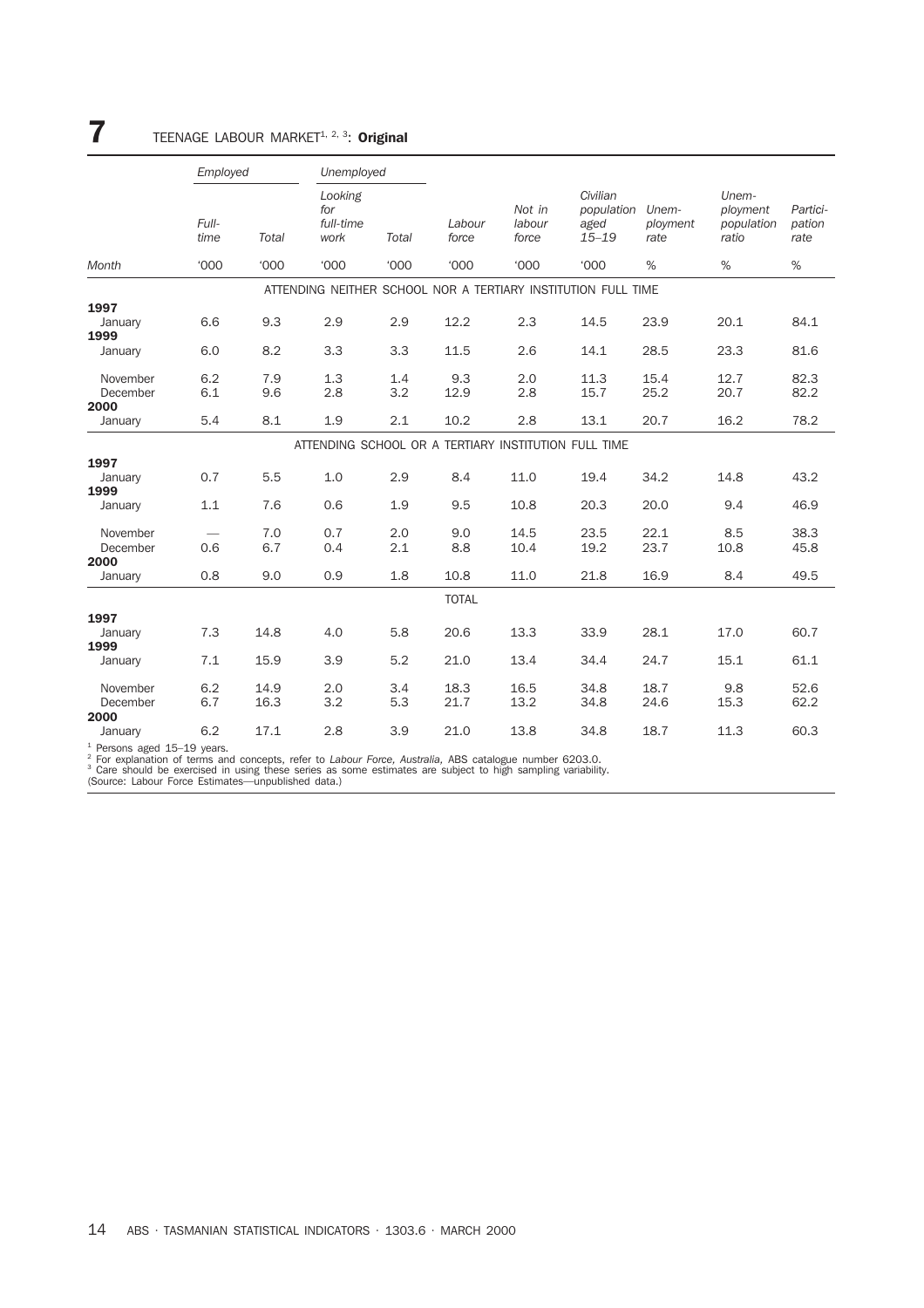## **7** TEENAGE LABOUR MARKET<sup>1, 2, 3</sup>: Original

|                                   | Employed      |              | Unemployed                                           |             |                 |                           |                                                               |                           |                                          |                            |
|-----------------------------------|---------------|--------------|------------------------------------------------------|-------------|-----------------|---------------------------|---------------------------------------------------------------|---------------------------|------------------------------------------|----------------------------|
|                                   | Full-<br>time | Total        | Looking<br>for<br>full-time<br>work                  | Total       | Labour<br>force | Not in<br>labour<br>force | Civilian<br>population<br>aged<br>$15 - 19$                   | Unem-<br>ployment<br>rate | Unem-<br>ployment<br>population<br>ratio | Partici-<br>pation<br>rate |
| Month                             | <b>'000</b>   | <b>'000</b>  | <b>'000</b>                                          | <b>'000</b> | <b>'000</b>     | <b>'000</b>               | <b>'000</b>                                                   | %                         | %                                        | %                          |
|                                   |               |              |                                                      |             |                 |                           | ATTENDING NEITHER SCHOOL NOR A TERTIARY INSTITUTION FULL TIME |                           |                                          |                            |
| 1997                              |               |              |                                                      |             |                 |                           |                                                               |                           |                                          |                            |
| January<br>1999                   | 6.6           | 9.3          | 2.9                                                  | 2.9         | 12.2            | 2.3                       | 14.5                                                          | 23.9                      | 20.1                                     | 84.1                       |
| January                           | 6.0           | 8.2          | 3.3                                                  | 3.3         | 11.5            | 2.6                       | 14.1                                                          | 28.5                      | 23.3                                     | 81.6                       |
| November<br>December<br>2000      | 6.2<br>6.1    | 7.9<br>9.6   | 1.3<br>2.8                                           | 1.4<br>3.2  | 9.3<br>12.9     | 2.0<br>2.8                | 11.3<br>15.7                                                  | 15.4<br>25.2              | 12.7<br>20.7                             | 82.3<br>82.2               |
| January                           | 5.4           | 8.1          | 1.9                                                  | 2.1         | 10.2            | 2.8                       | 13.1                                                          | 20.7                      | 16.2                                     | 78.2                       |
|                                   |               |              | ATTENDING SCHOOL OR A TERTIARY INSTITUTION FULL TIME |             |                 |                           |                                                               |                           |                                          |                            |
| 1997                              |               |              |                                                      |             |                 |                           |                                                               |                           |                                          |                            |
| January<br>1999                   | 0.7           | 5.5          | 1.0                                                  | 2.9         | 8.4             | 11.0                      | 19.4                                                          | 34.2                      | 14.8                                     | 43.2                       |
| January                           | 1.1           | 7.6          | 0.6                                                  | 1.9         | 9.5             | 10.8                      | 20.3                                                          | 20.0                      | 9.4                                      | 46.9                       |
| November<br>December<br>2000      | 0.6           | 7.0<br>6.7   | 0.7<br>0.4                                           | 2.0<br>2.1  | 9.0<br>8.8      | 14.5<br>10.4              | 23.5<br>19.2                                                  | 22.1<br>23.7              | 8.5<br>10.8                              | 38.3<br>45.8               |
| January                           | 0.8           | 9.0          | 0.9                                                  | 1.8         | 10.8            | 11.0                      | 21.8                                                          | 16.9                      | 8.4                                      | 49.5                       |
|                                   |               |              |                                                      |             | <b>TOTAL</b>    |                           |                                                               |                           |                                          |                            |
| 1997                              |               |              |                                                      |             |                 |                           |                                                               |                           |                                          |                            |
| January<br>1999                   | 7.3           | 14.8         | 4.0                                                  | 5.8         | 20.6            | 13.3                      | 33.9                                                          | 28.1                      | 17.0                                     | 60.7                       |
| January                           | 7.1           | 15.9         | 3.9                                                  | 5.2         | 21.0            | 13.4                      | 34.4                                                          | 24.7                      | 15.1                                     | 61.1                       |
| November<br>December<br>2000      | 6.2<br>6.7    | 14.9<br>16.3 | 2.0<br>3.2                                           | 3.4<br>5.3  | 18.3<br>21.7    | 16.5<br>13.2              | 34.8<br>34.8                                                  | 18.7<br>24.6              | 9.8<br>15.3                              | 52.6<br>62.2               |
| January                           | 6.2           | 17.1         | 2.8                                                  | 3.9         | 21.0            | 13.8                      | 34.8                                                          | 18.7                      | 11.3                                     | 60.3                       |
| $1$ Demana areal $4E$ , $40$ usem |               |              |                                                      |             |                 |                           |                                                               |                           |                                          |                            |

<sup>1</sup> Persons aged 15–19 years.<br><sup>2</sup> For explanation of terms and concepts, refer to *Labour Force, Australia,* ABS catalogue number 6203.0.<br><sup>3</sup> Care should be exercised in using these series as some estimates are subject to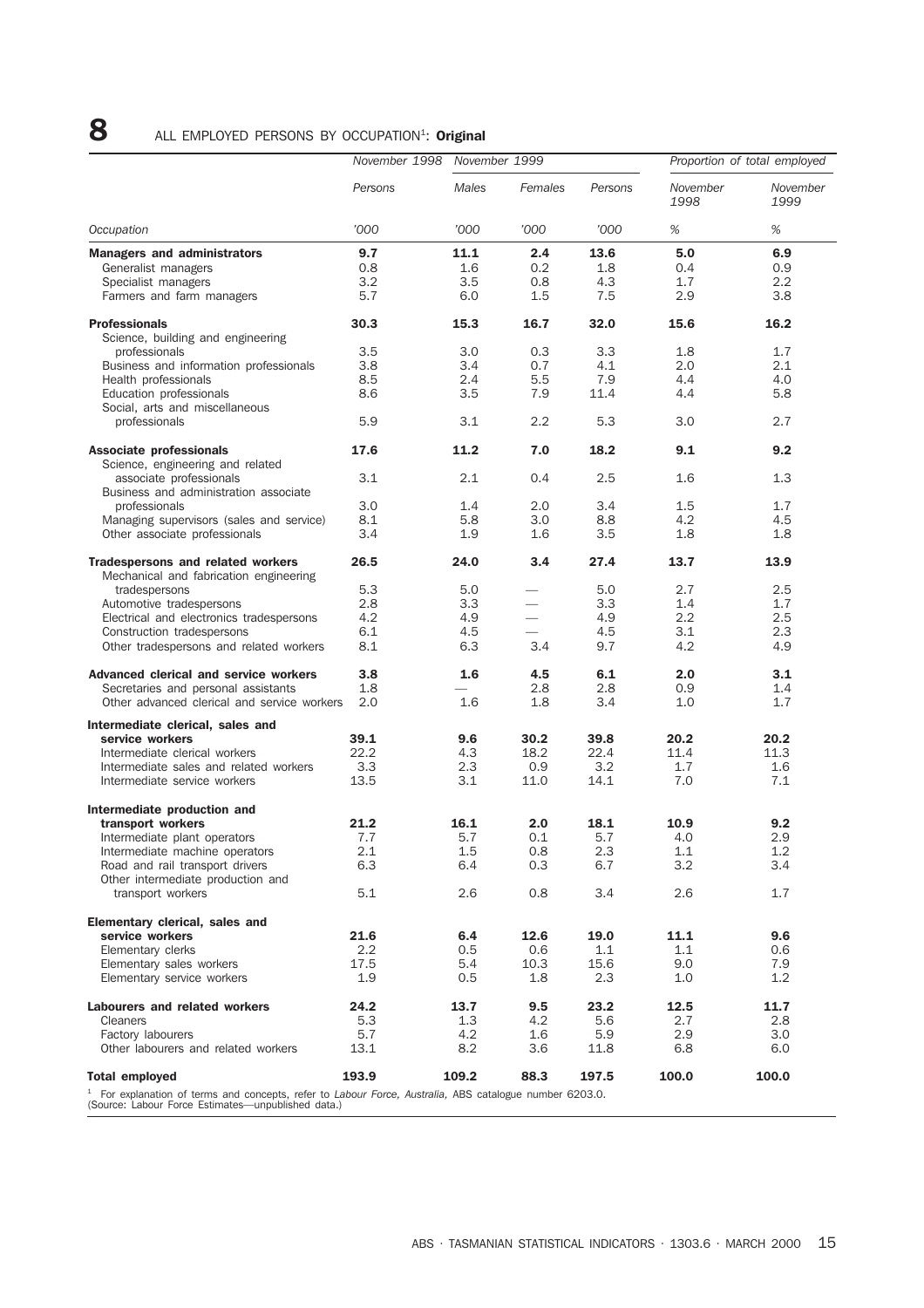## 8 ALL EMPLOYED PERSONS BY OCCUPATION<sup>1</sup>: Original

|                                                                                                                                                                 |         | November 1998 November 1999 |                          |         | Proportion of total employed |                  |
|-----------------------------------------------------------------------------------------------------------------------------------------------------------------|---------|-----------------------------|--------------------------|---------|------------------------------|------------------|
|                                                                                                                                                                 | Persons | Males                       | Females                  | Persons | November<br>1998             | November<br>1999 |
| Occupation                                                                                                                                                      | '000    | '000                        | '000                     | '000    | $\%$                         | $\%$             |
| <b>Managers and administrators</b>                                                                                                                              | 9.7     | 11.1                        | 2.4                      | 13.6    | 5.0                          | 6.9              |
| Generalist managers                                                                                                                                             | 0.8     | 1.6                         | 0.2                      | 1.8     | 0.4                          | 0.9              |
| Specialist managers                                                                                                                                             | 3.2     | 3.5                         | 0.8                      | 4.3     | 1.7                          | $2.2\,$          |
| Farmers and farm managers                                                                                                                                       | 5.7     | 6.0                         | 1.5                      | 7.5     | 2.9                          | 3.8              |
| <b>Professionals</b><br>Science, building and engineering                                                                                                       | 30.3    | 15.3                        | 16.7                     | 32.0    | 15.6                         | 16.2             |
| professionals                                                                                                                                                   | 3.5     | 3.0                         | 0.3                      | 3.3     | 1.8                          | 1.7              |
| Business and information professionals                                                                                                                          | 3.8     | 3.4                         | 0.7                      | 4.1     | 2.0                          | 2.1              |
| Health professionals                                                                                                                                            | 8.5     | 2.4                         | 5.5                      | 7.9     | 4.4                          | 4.0              |
| Education professionals                                                                                                                                         | 8.6     | 3.5                         | 7.9                      | 11.4    | 4.4                          | 5.8              |
| Social, arts and miscellaneous                                                                                                                                  |         |                             |                          |         |                              |                  |
| professionals                                                                                                                                                   | 5.9     | 3.1                         | 2.2                      | 5.3     | 3.0                          | 2.7              |
| Associate professionals                                                                                                                                         | 17.6    | 11.2                        | 7.0                      | 18.2    | 9.1                          | 9.2              |
| Science, engineering and related                                                                                                                                |         |                             |                          |         |                              |                  |
| associate professionals<br>Business and administration associate                                                                                                | 3.1     | 2.1                         | 0.4                      | 2.5     | 1.6                          | 1.3              |
| professionals                                                                                                                                                   | 3.0     | 1.4                         | 2.0                      | 3.4     | 1.5                          | 1.7              |
| Managing supervisors (sales and service)                                                                                                                        | 8.1     | 5.8                         | 3.0                      | 8.8     | 4.2                          | 4.5              |
| Other associate professionals                                                                                                                                   | 3.4     | 1.9                         | 1.6                      | 3.5     | 1.8                          | 1.8              |
| Tradespersons and related workers<br>Mechanical and fabrication engineering                                                                                     | 26.5    | 24.0                        | 3.4                      | 27.4    | 13.7                         | 13.9             |
| tradespersons                                                                                                                                                   | 5.3     | 5.0                         |                          | 5.0     | 2.7                          | 2.5              |
| Automotive tradespersons                                                                                                                                        | 2.8     | 3.3                         |                          | 3.3     | 1.4                          | 1.7              |
| Electrical and electronics tradespersons                                                                                                                        | 4.2     | 4.9                         | $\overline{\phantom{0}}$ | 4.9     | 2.2                          | 2.5              |
| Construction tradespersons                                                                                                                                      | 6.1     | 4.5                         |                          | 4.5     | 3.1                          | 2.3              |
| Other tradespersons and related workers                                                                                                                         | 8.1     | 6.3                         | 3.4                      | 9.7     | 4.2                          | 4.9              |
| Advanced clerical and service workers                                                                                                                           | 3.8     | 1.6                         | 4.5                      | 6.1     | 2.0                          | 3.1              |
| Secretaries and personal assistants                                                                                                                             | 1.8     |                             | 2.8                      | 2.8     | 0.9                          | 1.4              |
| Other advanced clerical and service workers                                                                                                                     | 2.0     | 1.6                         | 1.8                      | 3.4     | 1.0                          | 1.7              |
| Intermediate clerical, sales and                                                                                                                                |         |                             |                          |         |                              |                  |
| service workers                                                                                                                                                 | 39.1    | 9.6                         | 30.2                     | 39.8    | 20.2                         | 20.2             |
| Intermediate clerical workers                                                                                                                                   | 22.2    | 4.3                         | 18.2                     | 22.4    | 11.4                         | 11.3             |
| Intermediate sales and related workers                                                                                                                          | 3.3     | 2.3                         | 0.9                      | 3.2     | 1.7                          | 1.6              |
| Intermediate service workers                                                                                                                                    | 13.5    | 3.1                         | 11.0                     | 14.1    | 7.0                          | 7.1              |
| Intermediate production and                                                                                                                                     |         |                             |                          |         |                              |                  |
| transport workers                                                                                                                                               | 21.2    | 16.1                        | 2.0                      | 18.1    | 10.9                         | 9.2              |
| Intermediate plant operators                                                                                                                                    | 7.7     | 5.7                         | 0.1                      | 5.7     | 4.0                          | 2.9              |
| Intermediate machine operators                                                                                                                                  | 2.1     | 1.5                         | 0.8                      | 2.3     | 1.1                          | 1.2              |
| Road and rail transport drivers<br>Other intermediate production and                                                                                            | 6.3     | 6.4                         | 0.3                      | 6.7     | 3.2                          | 3.4              |
| transport workers                                                                                                                                               | 5.1     | 2.6                         | 0.8                      | 3.4     | 2.6                          | 1.7              |
| Elementary clerical, sales and                                                                                                                                  |         |                             |                          |         |                              |                  |
| service workers                                                                                                                                                 | 21.6    | 6.4                         | 12.6                     | 19.0    | 11.1                         | 9.6              |
| Elementary clerks                                                                                                                                               | $2.2\,$ | 0.5                         | 0.6                      | 1.1     | 1.1                          | 0.6              |
| Elementary sales workers                                                                                                                                        | 17.5    | 5.4                         | 10.3                     | 15.6    | 9.0                          | 7.9              |
| Elementary service workers                                                                                                                                      | 1.9     | 0.5                         | 1.8                      | 2.3     | 1.0                          | 1.2              |
| Labourers and related workers                                                                                                                                   | 24.2    | 13.7                        | 9.5                      | 23.2    | 12.5                         | 11.7             |
| Cleaners                                                                                                                                                        | 5.3     | 1.3                         | 4.2                      | 5.6     | 2.7                          | 2.8              |
| Factory labourers                                                                                                                                               | 5.7     | 4.2                         | 1.6                      | 5.9     | 2.9                          | 3.0              |
| Other labourers and related workers                                                                                                                             | 13.1    | 8.2                         | 3.6                      | 11.8    | 6.8                          | 6.0              |
| <b>Total employed</b>                                                                                                                                           | 193.9   | 109.2                       | 88.3                     | 197.5   | 100.0                        | 100.0            |
| $1$ For explanation of terms and concepts, refer to Labour Force, Australia, ABS catalogue number 6203.0.<br>(Source: Labour Force Estimates—unpublished data.) |         |                             |                          |         |                              |                  |

(Source: Labour Force Estimates—unpublished data.)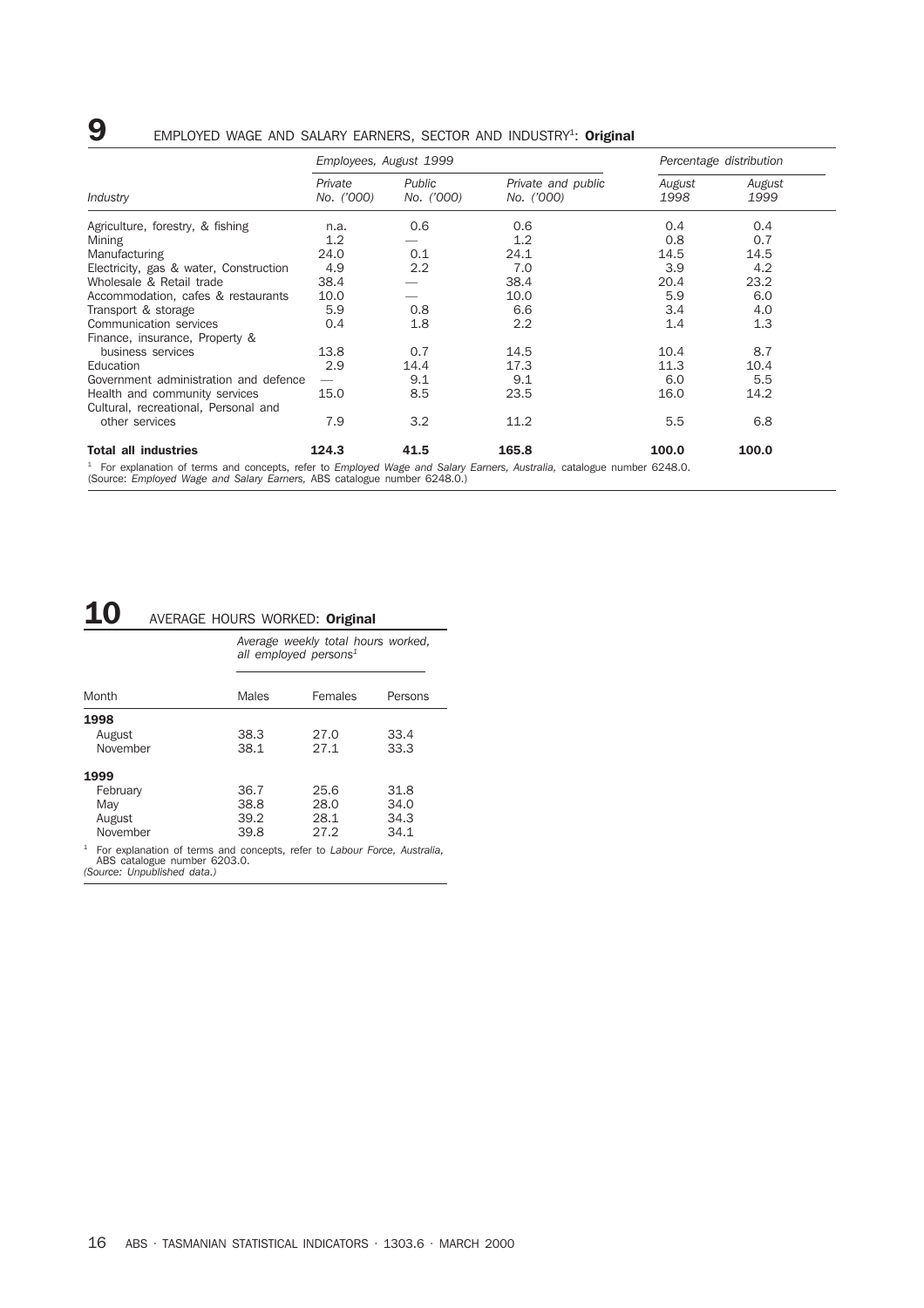## **9** EMPLOYED WAGE AND SALARY EARNERS, SECTOR AND INDUSTRY<sup>1</sup>: Original

|                                                                                                                                                                                                       | Employees, August 1999 |                      | Percentage distribution          |                |                |
|-------------------------------------------------------------------------------------------------------------------------------------------------------------------------------------------------------|------------------------|----------------------|----------------------------------|----------------|----------------|
| Industry                                                                                                                                                                                              | Private<br>No. ('000)  | Public<br>No. ('000) | Private and public<br>No. ('000) | August<br>1998 | August<br>1999 |
| Agriculture, forestry, & fishing                                                                                                                                                                      | n.a.                   | 0.6                  | 0.6                              | 0.4            | 0.4            |
| Mining                                                                                                                                                                                                | 1.2                    |                      | 1.2                              | 0.8            | 0.7            |
| Manufacturing                                                                                                                                                                                         | 24.0                   | 0.1                  | 24.1                             | 14.5           | 14.5           |
| Electricity, gas & water, Construction                                                                                                                                                                | 4.9                    | 2.2                  | 7.0                              | 3.9            | 4.2            |
| Wholesale & Retail trade                                                                                                                                                                              | 38.4                   |                      | 38.4                             | 20.4           | 23.2           |
| Accommodation, cafes & restaurants                                                                                                                                                                    | 10.0                   |                      | 10.0                             | 5.9            | 6.0            |
| Transport & storage                                                                                                                                                                                   | 5.9                    | 0.8                  | 6.6                              | 3.4            | 4.0            |
| Communication services                                                                                                                                                                                | 0.4                    | 1.8                  | 2.2                              | 1.4            | 1.3            |
| Finance, insurance, Property &                                                                                                                                                                        |                        |                      |                                  |                |                |
| business services                                                                                                                                                                                     | 13.8                   | 0.7                  | 14.5                             | 10.4           | 8.7            |
| Education                                                                                                                                                                                             | 2.9                    | 14.4                 | 17.3                             | 11.3           | 10.4           |
| Government administration and defence                                                                                                                                                                 |                        | 9.1                  | 9.1                              | 6.0            | 5.5            |
| Health and community services                                                                                                                                                                         | 15.0                   | 8.5                  | 23.5                             | 16.0           | 14.2           |
| Cultural, recreational, Personal and                                                                                                                                                                  |                        |                      |                                  |                |                |
| other services                                                                                                                                                                                        | 7.9                    | 3.2                  | 11.2                             | 5.5            | 6.8            |
| <b>Total all industries</b>                                                                                                                                                                           | 124.3                  | 41.5                 | 165.8                            | 100.0          | 100.0          |
| $1$ For explanation of terms and concepts, refer to Employed Wage and Salary Earners, Australia, catalogue number 6248.0.<br>(Source: Employed Wage and Salary Earners, ABS catalogue number 6248.0.) |                        |                      |                                  |                |                |

## 10 AVERAGE HOURS WORKED: Original

|          | Average weekly total hours worked,<br>all employed persons <sup>1</sup> |         |         |  |  |  |  |
|----------|-------------------------------------------------------------------------|---------|---------|--|--|--|--|
| Month    | Males                                                                   | Females | Persons |  |  |  |  |
| 1998     |                                                                         |         |         |  |  |  |  |
| August   | 38.3                                                                    | 27.0    | 33.4    |  |  |  |  |
| November | 38.1                                                                    | 27.1    | 33.3    |  |  |  |  |
| 1999     |                                                                         |         |         |  |  |  |  |
| February | 36.7                                                                    | 25.6    | 31.8    |  |  |  |  |
| May      | 38.8                                                                    | 28.0    | 34.0    |  |  |  |  |
| August   | 39.2                                                                    | 28.1    | 34.3    |  |  |  |  |
| November | 39.8                                                                    | 27.2    | 34.1    |  |  |  |  |

<sup>1</sup> For explanation of terms and concepts, refer to *Labour Force, Australia,* ABS catalogue number 6203.0. *(Source: Unpublished data.)*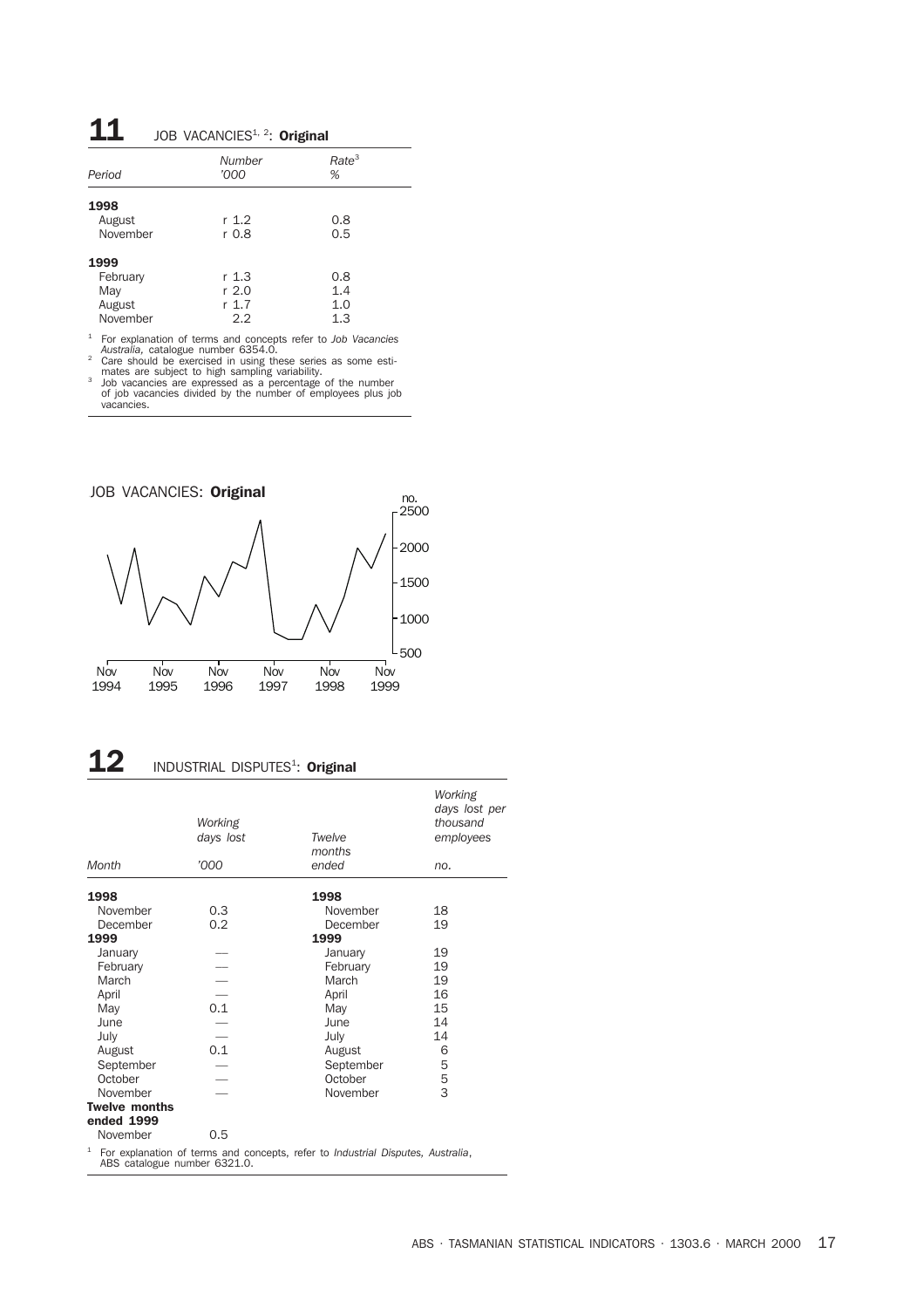### $\mathbf{11}$  JOB VACANCIES<sup>1, 2</sup>: Original

| Period                                        | Number<br>'000                 | Rate <sup>3</sup><br>%   |
|-----------------------------------------------|--------------------------------|--------------------------|
| 1998<br>August<br>November                    | r 1.2<br>r 0.8                 | 0.8<br>0.5               |
| 1999<br>February<br>May<br>August<br>November | r 1.3<br>r 2.0<br>r 1.7<br>2.2 | 0.8<br>1.4<br>1.0<br>1.3 |

<sup>1</sup> For explanation of terms and concepts refer to *Job Vacancies Australia,* catalogue number 6354.0. <sup>2</sup> Care should be exercised in using these series as some esti-

mates are subject to high sampling variability.<br>
<sup>3</sup> Job vacancies are expressed as a percentage of the number<br>
of job vacancies divided by the number of employees plus job<br>
vacancies.



## $\bf 12$  INDUSTRIAL DISPUTES<sup>1</sup>: Original

|                                    | Working<br>days lost | Twelve<br>months                                                             | Working<br>days lost per<br>thousand<br>employees |
|------------------------------------|----------------------|------------------------------------------------------------------------------|---------------------------------------------------|
| Month                              | '000                 | ended                                                                        | no.                                               |
| 1998                               |                      | 1998                                                                         |                                                   |
| November                           | 0.3                  | November                                                                     | 18                                                |
| December                           | 0.2                  | December                                                                     | 19                                                |
| 1999                               |                      | 1999                                                                         |                                                   |
| January                            |                      | January                                                                      | 19                                                |
| February                           |                      | February                                                                     | 19                                                |
| March                              |                      | March                                                                        | 19                                                |
| April                              |                      | April                                                                        | 16                                                |
| May                                | 0.1                  | May                                                                          | 15                                                |
| June                               |                      | June                                                                         | 14                                                |
| July                               |                      | July                                                                         | 14                                                |
| August                             | 0.1                  | August                                                                       | 6                                                 |
| September                          |                      | September                                                                    | 5                                                 |
| October                            |                      | October                                                                      | 5                                                 |
| November                           |                      | November                                                                     | 3                                                 |
| <b>Twelve months</b><br>ended 1999 |                      |                                                                              |                                                   |
| November                           | 0.5                  |                                                                              |                                                   |
| 1                                  |                      | For explanation of terms and concents refer to Industrial Disputes Australia |                                                   |

For explanation of terms and concepts, refers to *Industrial Disputes*, and  $\overline{a}$ , ABS catalogue number 6321.0.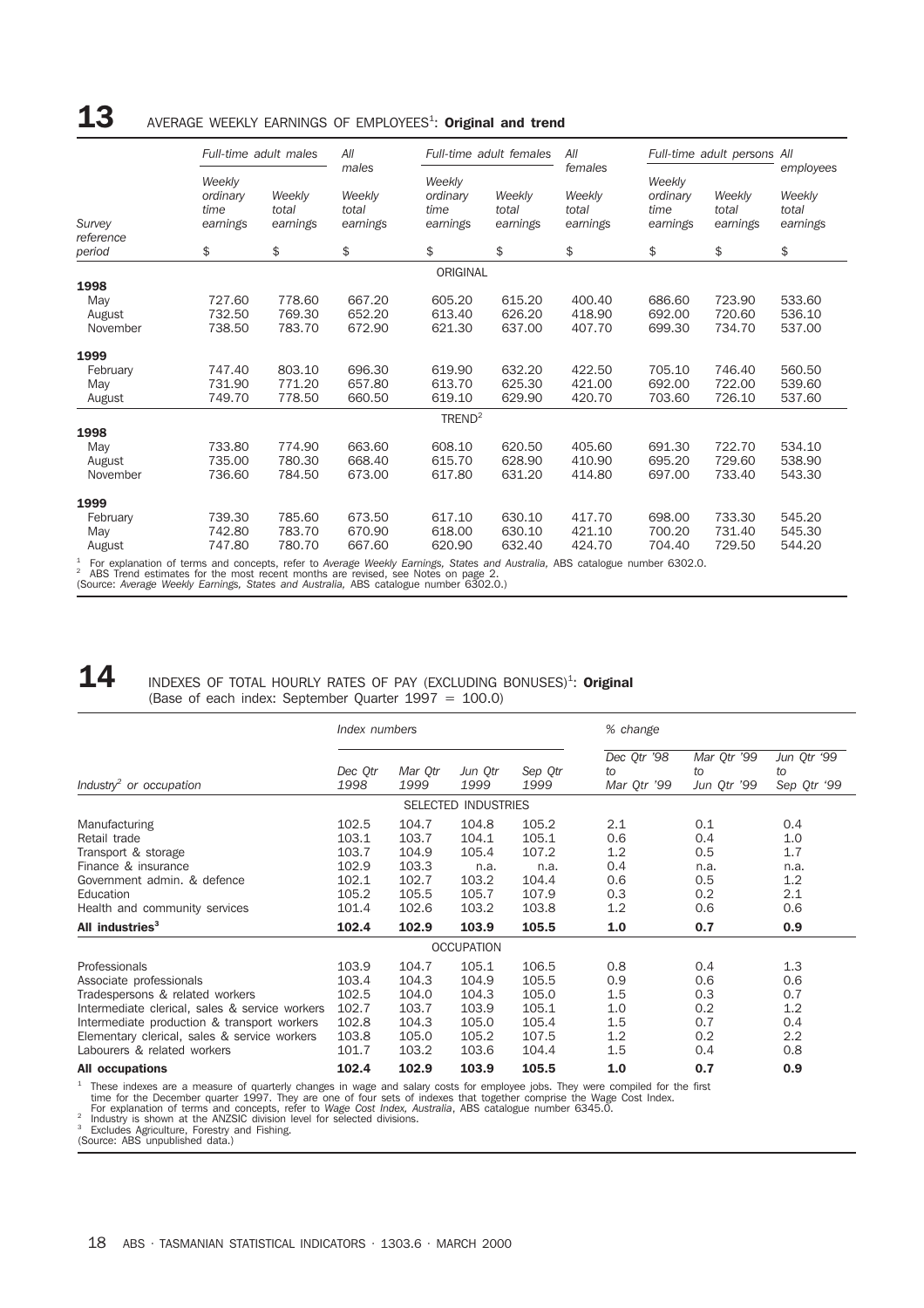## ${\bf 13}$  AVERAGE WEEKLY EARNINGS OF EMPLOYEES<sup>1</sup>: Original and trend

|                                                                                                                                                                                                                                                                                                                           |                                        | Full-time adult males       | All                                  |                                        | Full-time adult females     | All                                    |                                        | Full-time adult persons All |                                          |
|---------------------------------------------------------------------------------------------------------------------------------------------------------------------------------------------------------------------------------------------------------------------------------------------------------------------------|----------------------------------------|-----------------------------|--------------------------------------|----------------------------------------|-----------------------------|----------------------------------------|----------------------------------------|-----------------------------|------------------------------------------|
| Survey<br>reference                                                                                                                                                                                                                                                                                                       | Weekly<br>ordinary<br>time<br>earnings | Weekly<br>total<br>earnings | males<br>Weekly<br>total<br>earnings | Weekly<br>ordinary<br>time<br>earnings | Weekly<br>total<br>earnings | females<br>Weekly<br>total<br>earnings | Weekly<br>ordinary<br>time<br>earnings | Weekly<br>total<br>earnings | employees<br>Weekly<br>total<br>earnings |
| period                                                                                                                                                                                                                                                                                                                    | \$                                     | \$                          | \$                                   | \$                                     | \$                          | \$                                     | \$                                     | \$                          | \$                                       |
|                                                                                                                                                                                                                                                                                                                           |                                        |                             |                                      | ORIGINAL                               |                             |                                        |                                        |                             |                                          |
| 1998                                                                                                                                                                                                                                                                                                                      |                                        |                             |                                      |                                        |                             |                                        |                                        |                             |                                          |
| May                                                                                                                                                                                                                                                                                                                       | 727.60                                 | 778.60                      | 667.20                               | 605.20                                 | 615.20                      | 400.40                                 | 686.60                                 | 723.90                      | 533.60                                   |
| August                                                                                                                                                                                                                                                                                                                    | 732.50                                 | 769.30                      | 652.20                               | 613.40                                 | 626.20                      | 418.90                                 | 692.00                                 | 720.60                      | 536.10                                   |
| November                                                                                                                                                                                                                                                                                                                  | 738.50                                 | 783.70                      | 672.90                               | 621.30                                 | 637.00                      | 407.70                                 | 699.30                                 | 734.70                      | 537.00                                   |
| 1999                                                                                                                                                                                                                                                                                                                      |                                        |                             |                                      |                                        |                             |                                        |                                        |                             |                                          |
| February                                                                                                                                                                                                                                                                                                                  | 747.40                                 | 803.10                      | 696.30                               | 619.90                                 | 632.20                      | 422.50                                 | 705.10                                 | 746.40                      | 560.50                                   |
| May                                                                                                                                                                                                                                                                                                                       | 731.90                                 | 771.20                      | 657.80                               | 613.70                                 | 625.30                      | 421.00                                 | 692.00                                 | 722.00                      | 539.60                                   |
| August                                                                                                                                                                                                                                                                                                                    | 749.70                                 | 778.50                      | 660.50                               | 619.10                                 | 629.90                      | 420.70                                 | 703.60                                 | 726.10                      | 537.60                                   |
|                                                                                                                                                                                                                                                                                                                           |                                        |                             |                                      | $T$ REND <sup>2</sup>                  |                             |                                        |                                        |                             |                                          |
| 1998                                                                                                                                                                                                                                                                                                                      |                                        |                             |                                      |                                        |                             |                                        |                                        |                             |                                          |
| May                                                                                                                                                                                                                                                                                                                       | 733.80                                 | 774.90                      | 663.60                               | 608.10                                 | 620.50                      | 405.60                                 | 691.30                                 | 722.70                      | 534.10                                   |
| August                                                                                                                                                                                                                                                                                                                    | 735.00                                 | 780.30                      | 668.40                               | 615.70                                 | 628.90                      | 410.90                                 | 695.20                                 | 729.60                      | 538.90                                   |
| November                                                                                                                                                                                                                                                                                                                  | 736.60                                 | 784.50                      | 673.00                               | 617.80                                 | 631.20                      | 414.80                                 | 697.00                                 | 733.40                      | 543.30                                   |
| 1999                                                                                                                                                                                                                                                                                                                      |                                        |                             |                                      |                                        |                             |                                        |                                        |                             |                                          |
| February                                                                                                                                                                                                                                                                                                                  | 739.30                                 | 785.60                      | 673.50                               | 617.10                                 | 630.10                      | 417.70                                 | 698.00                                 | 733.30                      | 545.20                                   |
| May                                                                                                                                                                                                                                                                                                                       | 742.80                                 | 783.70                      | 670.90                               | 618.00                                 | 630.10                      | 421.10                                 | 700.20                                 | 731.40                      | 545.30                                   |
| August                                                                                                                                                                                                                                                                                                                    | 747.80                                 | 780.70                      | 667.60                               | 620.90                                 | 632.40                      | 424.70                                 | 704.40                                 | 729.50                      | 544.20                                   |
| $1$ For explanation of terms and concepts, refer to Average Weekly Earnings, States and Australia, ABS catalogue number 6302.0.<br><sup>2</sup> ABS Trend estimates for the most recent months are revised, see Notes on page 2.<br>(Source: Average Weekly Earnings, States and Australia, ABS catalogue number 6302.0.) |                                        |                             |                                      |                                        |                             |                                        |                                        |                             |                                          |

### 14 INDEXES OF TOTAL HOURLY RATES OF PAY (EXCLUDING BONUSES)<sup>1</sup>: Original (Base of each index: September Quarter 1997 = 100.0)

|                                                                                                                                                                                                                                                                                       | Index numbers                                                        |                                                                      |                                                                      |                                                                      | % change                                             |                                                       |                                                       |
|---------------------------------------------------------------------------------------------------------------------------------------------------------------------------------------------------------------------------------------------------------------------------------------|----------------------------------------------------------------------|----------------------------------------------------------------------|----------------------------------------------------------------------|----------------------------------------------------------------------|------------------------------------------------------|-------------------------------------------------------|-------------------------------------------------------|
| Industry <sup>2</sup> or occupation                                                                                                                                                                                                                                                   | Dec Otr<br>1998                                                      | Mar Otr<br>1999                                                      | Jun Otr<br>1999                                                      | Sep Qtr<br>1999                                                      | Dec Qtr '98<br>to<br>Mar Qtr '99                     | Mar Qtr '99<br>to<br>Jun Qtr '99                      | Jun Qtr '99<br>to<br>Sep Qtr '99                      |
|                                                                                                                                                                                                                                                                                       |                                                                      |                                                                      | <b>SELECTED INDUSTRIES</b>                                           |                                                                      |                                                      |                                                       |                                                       |
| Manufacturing<br>Retail trade<br>Transport & storage<br>Finance & insurance<br>Government admin. & defence<br>Education<br>Health and community services<br>All industries <sup>3</sup>                                                                                               | 102.5<br>103.1<br>103.7<br>102.9<br>102.1<br>105.2<br>101.4<br>102.4 | 104.7<br>103.7<br>104.9<br>103.3<br>102.7<br>105.5<br>102.6<br>102.9 | 104.8<br>104.1<br>105.4<br>n.a.<br>103.2<br>105.7<br>103.2<br>103.9  | 105.2<br>105.1<br>107.2<br>n.a.<br>104.4<br>107.9<br>103.8<br>105.5  | 2.1<br>0.6<br>1.2<br>0.4<br>0.6<br>0.3<br>1.2<br>1.0 | 0.1<br>0.4<br>0.5<br>n.a.<br>0.5<br>0.2<br>0.6<br>0.7 | 0.4<br>1.0<br>1.7<br>n.a.<br>1.2<br>2.1<br>0.6<br>0.9 |
|                                                                                                                                                                                                                                                                                       |                                                                      |                                                                      | <b>OCCUPATION</b>                                                    |                                                                      |                                                      |                                                       |                                                       |
| Professionals<br>Associate professionals<br>Tradespersons & related workers<br>Intermediate clerical, sales & service workers<br>Intermediate production & transport workers<br>Elementary clerical, sales & service workers<br>Labourers & related workers<br><b>All occupations</b> | 103.9<br>103.4<br>102.5<br>102.7<br>102.8<br>103.8<br>101.7<br>102.4 | 104.7<br>104.3<br>104.0<br>103.7<br>104.3<br>105.0<br>103.2<br>102.9 | 105.1<br>104.9<br>104.3<br>103.9<br>105.0<br>105.2<br>103.6<br>103.9 | 106.5<br>105.5<br>105.0<br>105.1<br>105.4<br>107.5<br>104.4<br>105.5 | 0.8<br>0.9<br>1.5<br>1.0<br>1.5<br>1.2<br>1.5<br>1.0 | 0.4<br>0.6<br>0.3<br>0.2<br>0.7<br>0.2<br>0.4<br>0.7  | 1.3<br>0.6<br>0.7<br>1.2<br>0.4<br>2.2<br>0.8<br>0.9  |
|                                                                                                                                                                                                                                                                                       |                                                                      |                                                                      |                                                                      |                                                                      |                                                      |                                                       |                                                       |

<sup>1</sup> These indexes are a measure of quarterly changes in wage and salary costs for employee jobs. They were compiled for the first time for the December quarter 1997. They are one of four sets of indexes that together comp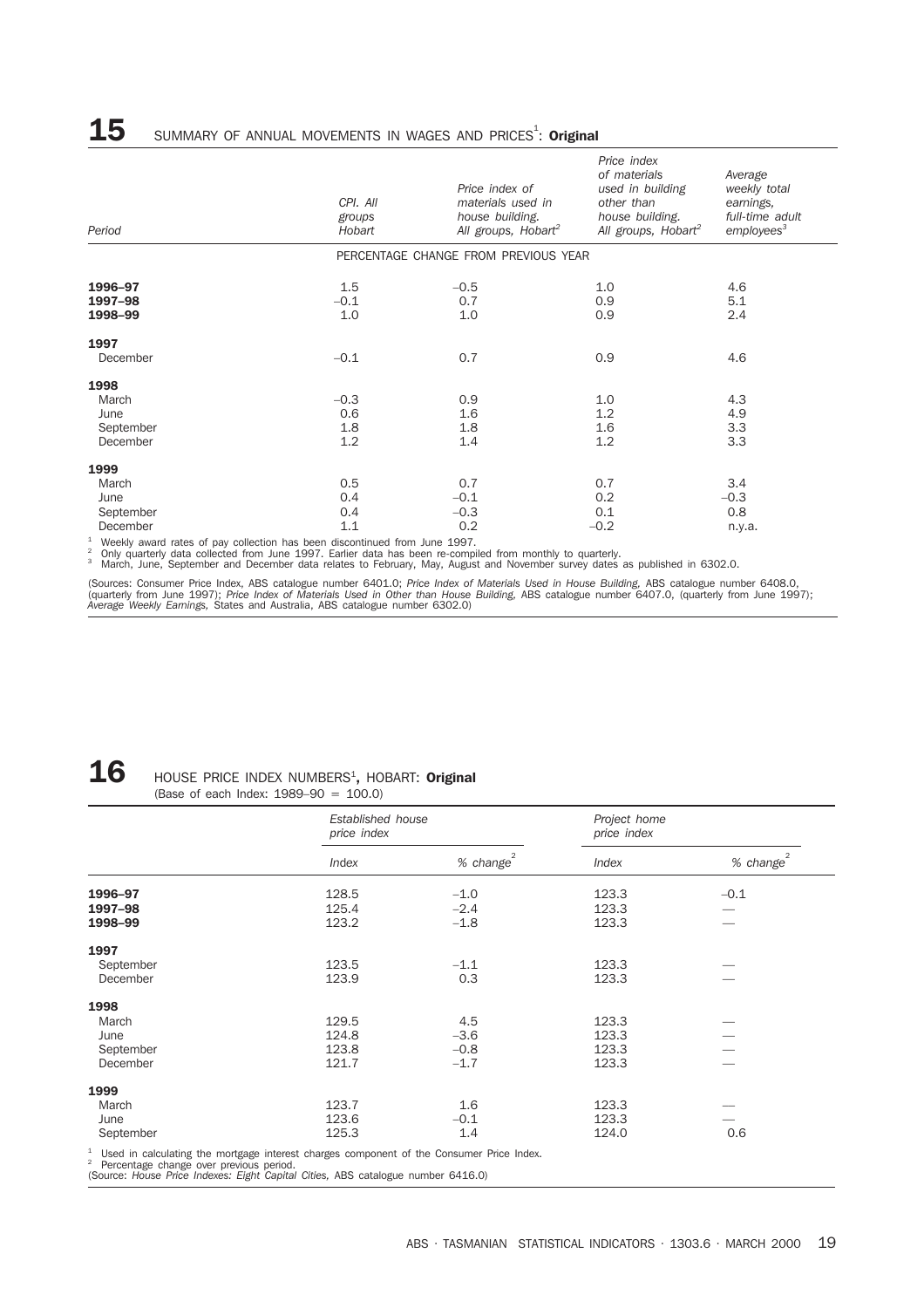## ${\bf 15}$  summary of annual movements in wages and prices<sup>1</sup>: Original

| Period                                                                                                                                                                                                                                                                              | CPI. All<br>groups<br>Hobart | Price index of<br>materials used in<br>house building.<br>All groups, Hobart <sup>2</sup> | Price index<br>of materials<br>used in building<br>other than<br>house building.<br>All groups, Hobart <sup>2</sup> | Average<br>weekly total<br>earnings,<br>full-time adult<br>employes <sup>3</sup> |
|-------------------------------------------------------------------------------------------------------------------------------------------------------------------------------------------------------------------------------------------------------------------------------------|------------------------------|-------------------------------------------------------------------------------------------|---------------------------------------------------------------------------------------------------------------------|----------------------------------------------------------------------------------|
|                                                                                                                                                                                                                                                                                     |                              | PERCENTAGE CHANGE FROM PREVIOUS YEAR                                                      |                                                                                                                     |                                                                                  |
| 1996-97<br>1997-98<br>1998-99                                                                                                                                                                                                                                                       | 1.5<br>$-0.1$<br>1.0         | $-0.5$<br>0.7<br>1.0                                                                      | 1.0<br>0.9<br>0.9                                                                                                   | 4.6<br>5.1<br>2.4                                                                |
| 1997<br>December                                                                                                                                                                                                                                                                    | $-0.1$                       | 0.7                                                                                       | 0.9                                                                                                                 | 4.6                                                                              |
| 1998<br>March<br>June<br>September<br>December                                                                                                                                                                                                                                      | $-0.3$<br>0.6<br>1.8<br>1.2  | 0.9<br>1.6<br>1.8<br>1.4                                                                  | 1.0<br>1.2<br>1.6<br>1.2                                                                                            | 4.3<br>4.9<br>3.3<br>3.3                                                         |
| 1999<br>March<br>June<br>September<br>December<br>$\mathbf{A}$ and a set of the set of the set of the set of the set of the set of the set of the set of the set of the set of the set of the set of the set of the set of the set of the set of the set of the set of the set of t | 0.5<br>0.4<br>0.4<br>1.1     | 0.7<br>$-0.1$<br>$-0.3$<br>0.2<br>$100 - 1$                                               | 0.7<br>0.2<br>0.1<br>$-0.2$                                                                                         | 3.4<br>$-0.3$<br>0.8<br>n.y.a.                                                   |

<sup>1</sup> Weekly award rates of pay collection has been discontinued from June 1997.<br><sup>2</sup> Only quarterly data collected from June 1997. Earlier data has been re-compiled from monthly to quarterly.<br><sup>3</sup> March, June, September and

(Sources: Consumer Price Index, ABS catalogue number 6401.0; *Price Index of Materials Used in House Building,* ABS catalogue number 6408.0,<br>(quarterly from June 1997); Price Index of Materials Used in Other than House Bui

## ${\bf 16}$  HOUSE PRICE INDEX NUMBERS<sup>1</sup>, HOBART: Original

(Base of each Index: 1989–90 = 100.0)

|           | price index | Established house |              |                   |
|-----------|-------------|-------------------|--------------|-------------------|
|           | Index       | $%$ change $^{2}$ | <b>Index</b> | $%$ change $^{2}$ |
| 1996-97   | 128.5       | $-1.0$            | 123.3        | $-0.1$            |
| 1997-98   | 125.4       | $-2.4$            | 123.3        |                   |
| 1998-99   | 123.2       | $-1.8$            | 123.3        |                   |
| 1997      |             |                   |              |                   |
| September | 123.5       | $-1.1$            | 123.3        |                   |
| December  | 123.9       | 0.3               | 123.3        |                   |
| 1998      |             |                   |              |                   |
| March     | 129.5       | 4.5               | 123.3        |                   |
| June      | 124.8       | $-3.6$            | 123.3        |                   |
| September | 123.8       | $-0.8$            | 123.3        |                   |
| December  | 121.7       | $-1.7$            | 123.3        |                   |
| 1999      |             |                   |              |                   |
| March     | 123.7       | 1.6               | 123.3        |                   |
| June      | 123.6       | $-0.1$            | 123.3        |                   |
| September | 125.3       | 1.4               | 124.0        | 0.6               |

<sup>1</sup> Used in calculating the mortgage interest charges component of the Consumer Price Index.<br><sup>2</sup> Percentage change over previous period.<br>(Source: *House Price Indexes: Eight Capital Cities*, ABS catalogue number 6416.0)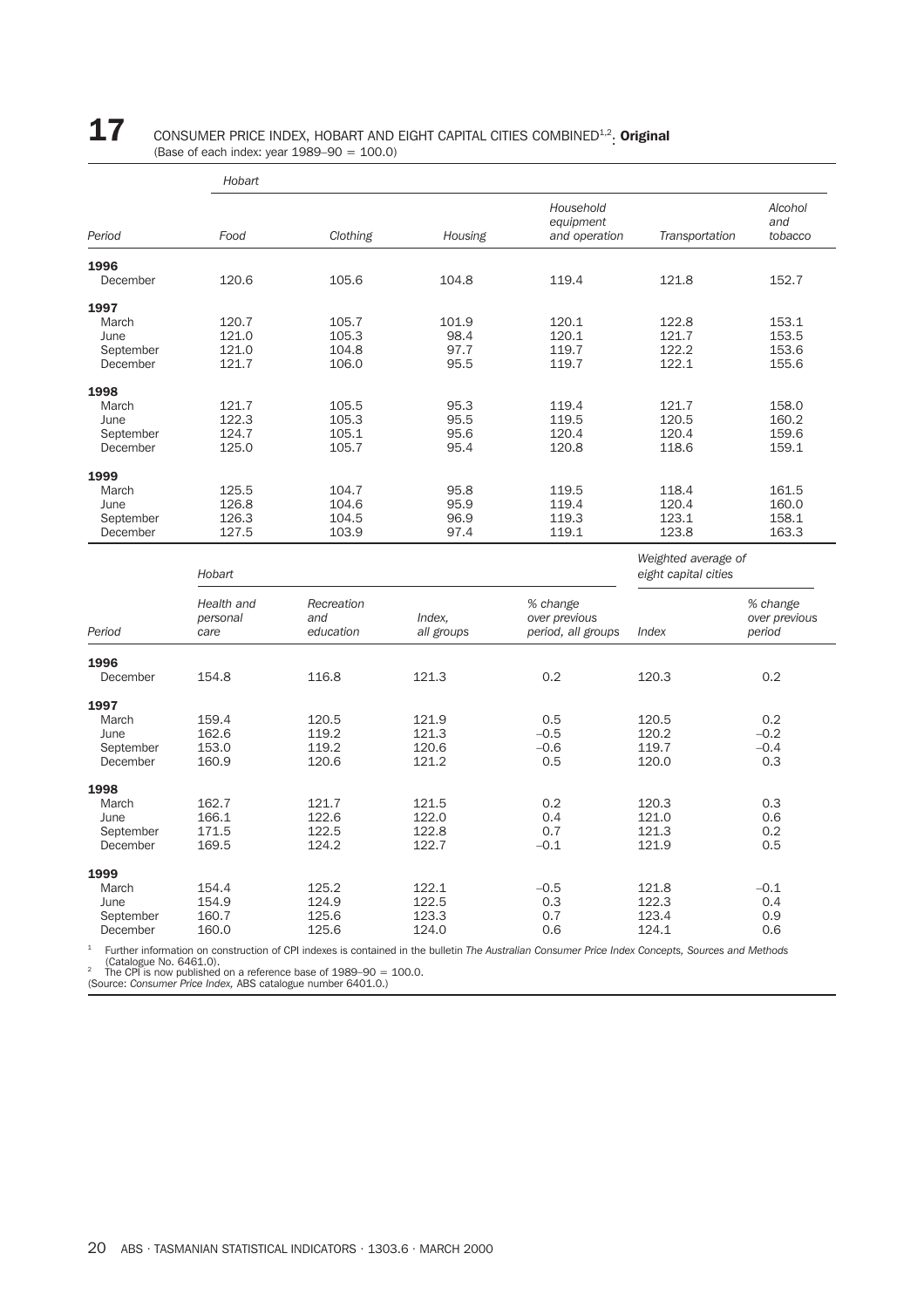# **17** CONSUMER PRICE INDEX, HOBART AND EIGHT CAPITAL CITIES COMBINED<sup>1,2</sup>. Original (Base of each index: year 1989–90 = 100.0)

|                         | Hobart                         |                                |                      |                                                 |                                             |                                     |
|-------------------------|--------------------------------|--------------------------------|----------------------|-------------------------------------------------|---------------------------------------------|-------------------------------------|
|                         |                                |                                |                      | Household<br>equipment                          |                                             | Alcohol<br>and                      |
| Period                  | Food                           | Clothing                       | Housing              | and operation                                   | Transportation                              | tobacco                             |
| 1996                    |                                |                                |                      |                                                 |                                             |                                     |
| December                | 120.6                          | 105.6                          | 104.8                | 119.4                                           | 121.8                                       | 152.7                               |
| 1997                    |                                |                                |                      |                                                 |                                             |                                     |
| March                   | 120.7                          | 105.7                          | 101.9                | 120.1                                           | 122.8                                       | 153.1                               |
| June                    | 121.0                          | 105.3                          | 98.4                 | 120.1                                           | 121.7                                       | 153.5                               |
| September               | 121.0                          | 104.8                          | 97.7                 | 119.7                                           | 122.2                                       | 153.6                               |
| December                | 121.7                          | 106.0                          | 95.5                 | 119.7                                           | 122.1                                       | 155.6                               |
| 1998                    |                                |                                |                      |                                                 |                                             |                                     |
| March                   | 121.7                          | 105.5                          | 95.3                 | 119.4                                           | 121.7                                       | 158.0                               |
| June                    | 122.3                          | 105.3                          | 95.5                 | 119.5                                           | 120.5                                       | 160.2                               |
| September               | 124.7                          | 105.1                          | 95.6                 | 120.4                                           | 120.4                                       | 159.6                               |
|                         |                                |                                |                      |                                                 |                                             |                                     |
| December                | 125.0                          | 105.7                          | 95.4                 | 120.8                                           | 118.6                                       | 159.1                               |
| 1999                    |                                |                                |                      |                                                 |                                             |                                     |
| March                   | 125.5                          | 104.7                          | 95.8                 | 119.5                                           | 118.4                                       | 161.5                               |
| June                    | 126.8                          | 104.6                          | 95.9                 | 119.4                                           | 120.4                                       | 160.0                               |
| September               | 126.3                          | 104.5                          | 96.9                 | 119.3                                           | 123.1                                       | 158.1                               |
| December                | 127.5                          | 103.9                          | 97.4                 | 119.1                                           | 123.8                                       | 163.3                               |
|                         | Hobart                         |                                |                      |                                                 | Weighted average of<br>eight capital cities |                                     |
| Period                  | Health and<br>personal<br>care | Recreation<br>and<br>education | Index.<br>all groups | % change<br>over previous<br>period, all groups | Index                                       | % change<br>over previous<br>period |
|                         |                                |                                |                      |                                                 |                                             |                                     |
| 1996<br>December        | 154.8                          | 116.8                          | 121.3                | 0.2                                             | 120.3                                       | 0.2                                 |
|                         |                                |                                |                      |                                                 |                                             |                                     |
| 1997                    |                                |                                |                      |                                                 |                                             |                                     |
| March                   | 159.4                          | 120.5                          | 121.9                | 0.5                                             | 120.5                                       | 0.2                                 |
| June                    | 162.6                          | 119.2                          | 121.3                | $-0.5$                                          | 120.2                                       | $-0.2$                              |
| September               | 153.0                          | 119.2                          | 120.6                | $-0.6$                                          | 119.7                                       | $-0.4$                              |
| December                | 160.9                          | 120.6                          | 121.2                | 0.5                                             | 120.0                                       | 0.3                                 |
| 1998                    |                                |                                |                      |                                                 |                                             |                                     |
| March                   | 162.7                          | 121.7                          | 121.5                | 0.2                                             | 120.3                                       | 0.3                                 |
| June                    | 166.1                          | 122.6                          | 122.0                | 0.4                                             | 121.0                                       | 0.6                                 |
| September               | 171.5                          | 122.5                          | 122.8                | 0.7                                             | 121.3                                       | 0.2                                 |
| December                | 169.5                          | 124.2                          | 122.7                | $-0.1$                                          | 121.9                                       | 0.5                                 |
| 1999                    |                                |                                |                      |                                                 |                                             |                                     |
| March                   | 154.4                          | 125.2                          | 122.1                | $-0.5$                                          | 121.8                                       | $-0.1$                              |
| June                    | 154.9                          | 124.9                          | 122.5                | 0.3                                             | 122.3                                       | 0.4                                 |
| September               | 160.7                          | 125.6                          | 123.3                | 0.7                                             | 123.4                                       | 0.9                                 |
| December                | 160.0                          | 125.6                          | 124.0                | 0.6                                             | 124.1                                       | 0.6                                 |
| The contractor from the |                                |                                |                      |                                                 |                                             |                                     |

<sup>1</sup> Further information on construction of CPI indexes is contained in the bulletin *The Australian Consumer Price Index Concepts, Sources and Methods*<br><sup>2</sup> The CPI is now published on a reference base of 1989–90 = 100.0.<br><sup></sup>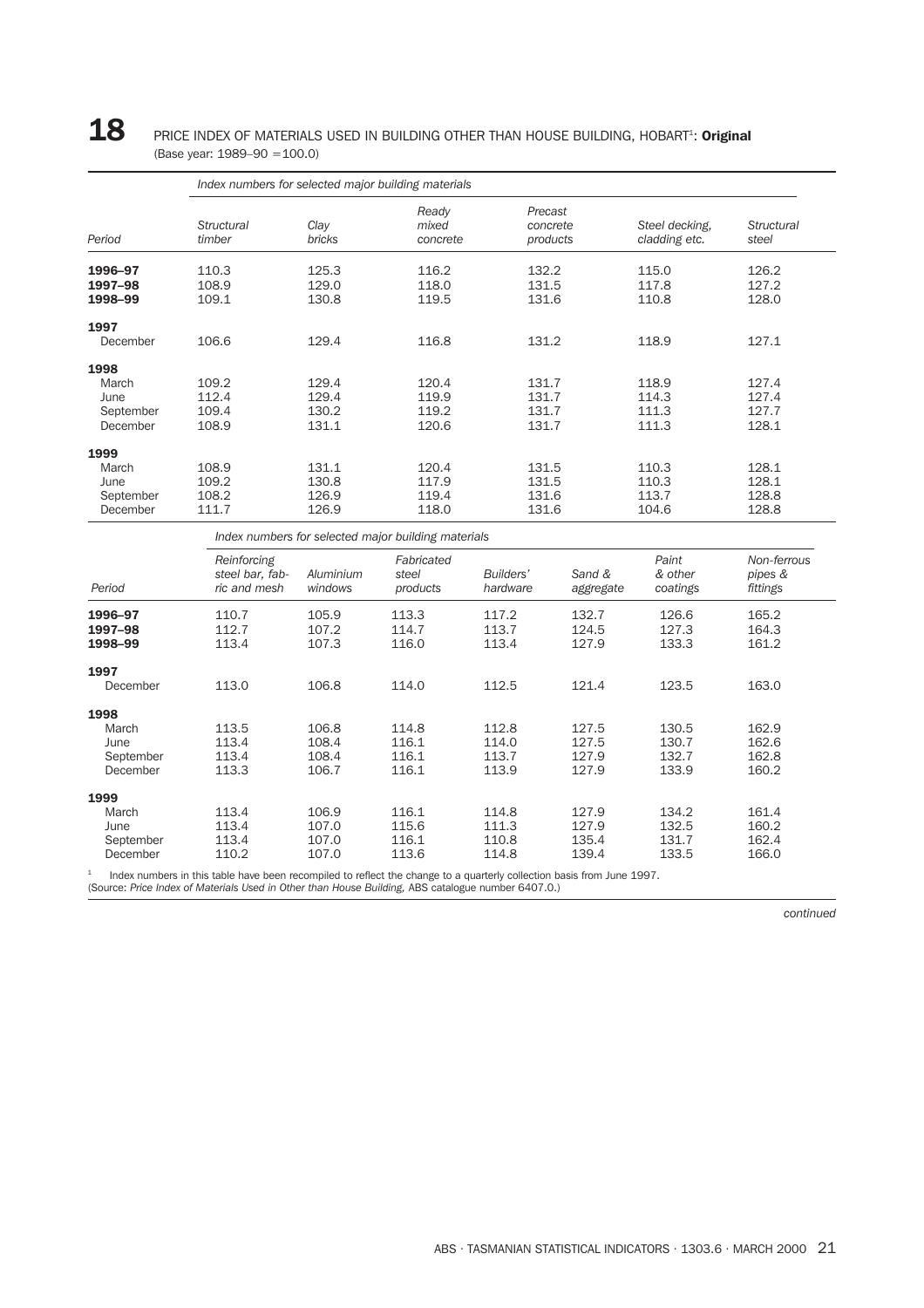### ${\bf 18}$  PRICE INDEX OF MATERIALS USED IN BUILDING OTHER THAN HOUSE BUILDING, HOBART<sup>1</sup>: Original (Base year: 1989–90 =100.0)

| Period    | Index numbers for selected major building materials |                       |                            |                                 |                                 |                            |  |  |  |  |
|-----------|-----------------------------------------------------|-----------------------|----------------------------|---------------------------------|---------------------------------|----------------------------|--|--|--|--|
|           | <b>Structural</b><br>timber                         | Clay<br><b>bricks</b> | Ready<br>mixed<br>concrete | Precast<br>concrete<br>products | Steel decking,<br>cladding etc. | <b>Structural</b><br>steel |  |  |  |  |
| 1996-97   | 110.3                                               | 125.3                 | 116.2                      | 132.2                           | 115.0                           | 126.2                      |  |  |  |  |
| 1997-98   | 108.9                                               | 129.0                 | 118.0                      | 131.5                           | 117.8                           | 127.2                      |  |  |  |  |
| 1998-99   | 109.1                                               | 130.8                 | 119.5                      | 131.6                           | 110.8                           | 128.0                      |  |  |  |  |
| 1997      |                                                     |                       |                            |                                 |                                 |                            |  |  |  |  |
| December  | 106.6                                               | 129.4                 | 116.8                      | 131.2                           | 118.9                           | 127.1                      |  |  |  |  |
| 1998      |                                                     |                       |                            |                                 |                                 |                            |  |  |  |  |
| March     | 109.2                                               | 129.4                 | 120.4                      | 131.7                           | 118.9                           | 127.4                      |  |  |  |  |
| June      | 112.4                                               | 129.4                 | 119.9                      | 131.7                           | 114.3                           | 127.4                      |  |  |  |  |
| September | 109.4                                               | 130.2                 | 119.2                      | 131.7                           | 111.3                           | 127.7                      |  |  |  |  |
| December  | 108.9                                               | 131.1                 | 120.6                      | 131.7                           | 111.3                           | 128.1                      |  |  |  |  |
| 1999      |                                                     |                       |                            |                                 |                                 |                            |  |  |  |  |
| March     | 108.9                                               | 131.1                 | 120.4                      | 131.5                           | 110.3                           | 128.1                      |  |  |  |  |
| June      | 109.2                                               | 130.8                 | 117.9                      | 131.5                           | 110.3                           | 128.1                      |  |  |  |  |
| September | 108.2                                               | 126.9                 | 119.4                      | 131.6                           | 113.7                           | 128.8                      |  |  |  |  |
| December  | 111.7                                               | 126.9                 | 118.0                      | 131.6                           | 104.6                           | 128.8                      |  |  |  |  |

*Reinforcing Fabricated Paint Non-ferrous steel bar, fab- Aluminium steel Builders' Sand & & other pipes & Period ric and mesh windows products hardware aggregate coatings fittings* **1996–97** 110.7 105.9 113.3 117.2 132.7 126.6 165.2 **1997–98** 112.7 107.2 114.7 113.7 124.5 127.3 164.3 **1998–99** 113.4 107.3 116.0 113.4 127.9 133.3 161.2 1997 December 113.0 106.8 114.0 112.5 121.4 123.5 163.0 1998<br>March March 113.5 106.8 114.8 112.8 127.5 130.5 162.9 June 113.4 108.4 116.1 114.0 127.5 130.7 162.6 September 113.4 108.4 116.1 113.7 127.9 132.7 162.8 December 113.3 106.7 116.1 113.9 127.9 133.9 160.2  $1999$ <br>March March 113.4 106.9 116.1 114.8 127.9 134.2 161.4 June 113.4 107.0 115.6 111.3 127.9 132.5 160.2 September 113.4 107.0 116.1 110.8 135.4 131.7 162.4 December 110.2 107.0 113.6 114.8 139.4 133.5 166.0

<sup>1</sup> Index numbers in this table have been recompiled to reflect the change to a quarterly collection basis from June 1997.

(Source: *Price Index of Materials Used in Other than House Building,* ABS catalogue number 6407.0.)

*continued*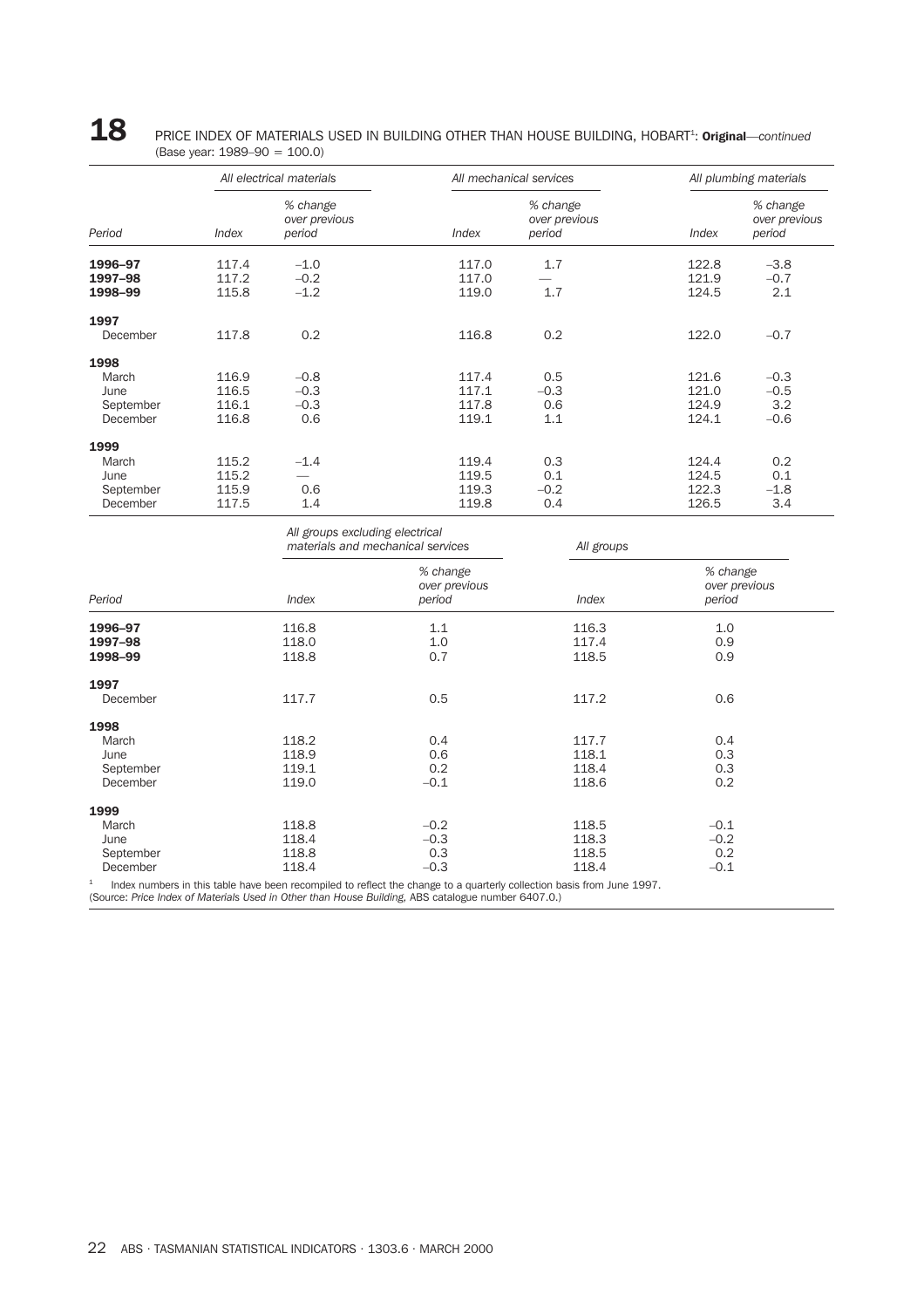| 18 | PRICE INDEX OF MATERIALS USED IN BUILDING OTHER THAN HOUSE BUILDING, HOBART <sup>1</sup> : Original—continued |
|----|---------------------------------------------------------------------------------------------------------------|
|    | (Base year: $1989-90 = 100.0$ )                                                                               |

|                                                |                                  | All electrical materials            |                                  | All mechanical services             | All plumbing materials           |                                     |  |
|------------------------------------------------|----------------------------------|-------------------------------------|----------------------------------|-------------------------------------|----------------------------------|-------------------------------------|--|
| Period                                         | Index                            | % change<br>over previous<br>period | Index                            | % change<br>over previous<br>period | Index                            | % change<br>over previous<br>period |  |
| 1996-97<br>1997-98<br>1998-99                  | 117.4<br>117.2<br>115.8          | $-1.0$<br>$-0.2$<br>$-1.2$          | 117.0<br>117.0<br>119.0          | 1.7<br>1.7                          | 122.8<br>121.9<br>124.5          | $-3.8$<br>$-0.7$<br>2.1             |  |
| 1997<br>December                               | 117.8                            | 0.2                                 | 116.8                            | 0.2                                 | 122.0                            | $-0.7$                              |  |
| 1998<br>March<br>June<br>September<br>December | 116.9<br>116.5<br>116.1<br>116.8 | $-0.8$<br>$-0.3$<br>$-0.3$<br>0.6   | 117.4<br>117.1<br>117.8<br>119.1 | 0.5<br>$-0.3$<br>0.6<br>1.1         | 121.6<br>121.0<br>124.9<br>124.1 | $-0.3$<br>$-0.5$<br>3.2<br>$-0.6$   |  |
| 1999<br>March<br>June<br>September<br>December | 115.2<br>115.2<br>115.9<br>117.5 | $-1.4$<br>0.6<br>1.4                | 119.4<br>119.5<br>119.3<br>119.8 | 0.3<br>0.1<br>$-0.2$<br>0.4         | 124.4<br>124.5<br>122.3<br>126.5 | 0.2<br>0.1<br>$-1.8$<br>3.4         |  |

|           | All groups excluding electrical | materials and mechanical services   | All groups |                                     |  |
|-----------|---------------------------------|-------------------------------------|------------|-------------------------------------|--|
| Period    | Index                           | % change<br>over previous<br>period | Index      | % change<br>over previous<br>period |  |
| 1996-97   | 116.8                           | 1.1                                 | 116.3      | 1.0                                 |  |
| 1997-98   | 118.0                           | 1.0                                 | 117.4      | 0.9                                 |  |
| 1998-99   | 118.8                           | 0.7                                 | 118.5      | 0.9                                 |  |
| 1997      |                                 |                                     |            |                                     |  |
| December  | 117.7                           | 0.5                                 | 117.2      | 0.6                                 |  |
| 1998      |                                 |                                     |            |                                     |  |
| March     | 118.2                           | 0.4                                 | 117.7      | 0.4                                 |  |
| June      | 118.9                           | 0.6                                 | 118.1      | 0.3                                 |  |
| September | 119.1                           | 0.2                                 | 118.4      | 0.3                                 |  |
| December  | 119.0                           | $-0.1$                              | 118.6      | 0.2                                 |  |
| 1999      |                                 |                                     |            |                                     |  |
| March     | 118.8                           | $-0.2$                              | 118.5      | $-0.1$                              |  |
| June      | 118.4                           | $-0.3$                              | 118.3      | $-0.2$                              |  |
| September | 118.8                           | 0.3                                 | 118.5      | 0.2                                 |  |
| December  | 118.4                           | $-0.3$                              | 118.4      | $-0.1$                              |  |

 $1$  Index numbers in this table have been recompiled to reflect the change to a quarterly collection basis from June 1997.

(Source: *Price Index of Materials Used in Other than House Building,* ABS catalogue number 6407.0.)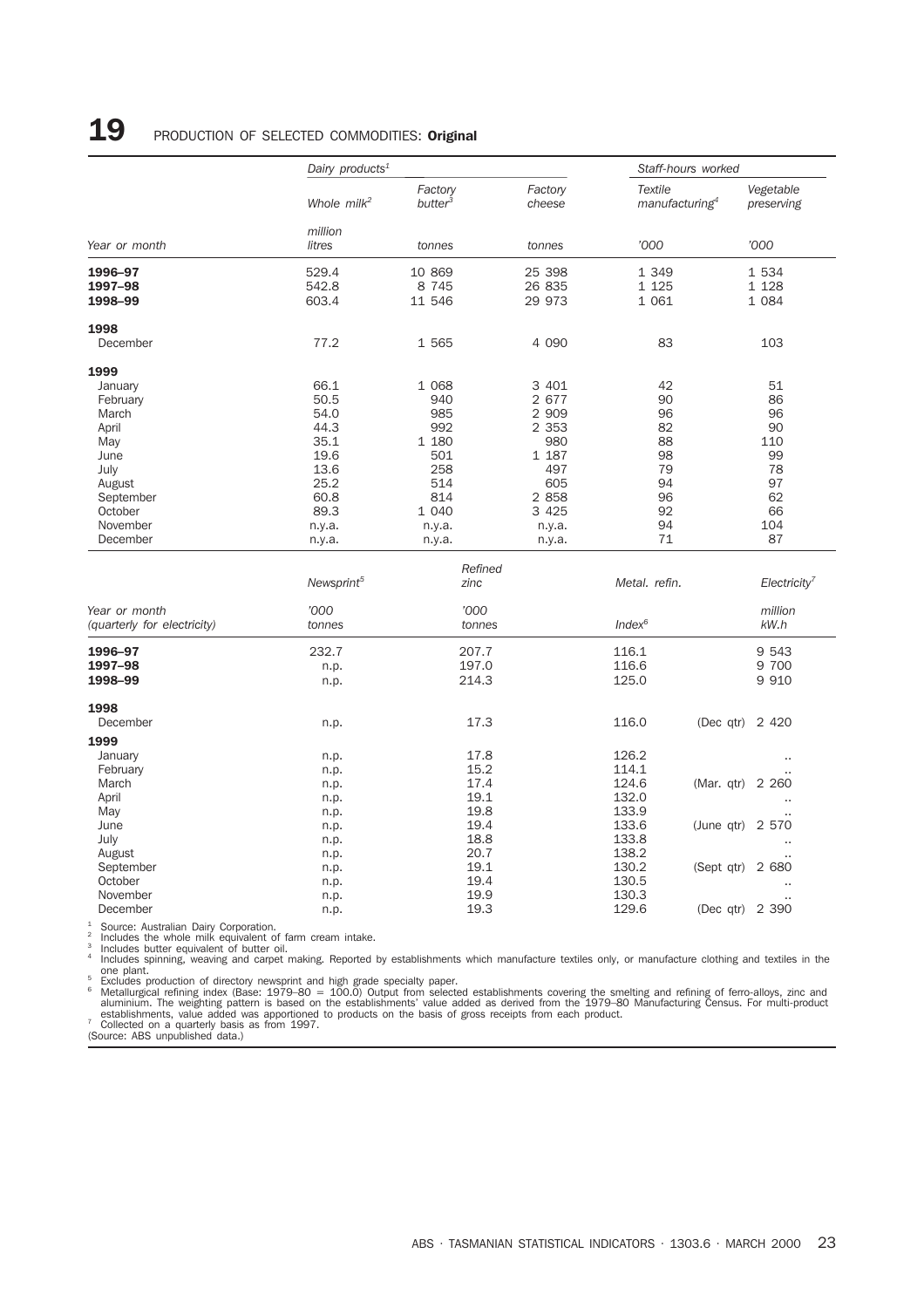## 19 PRODUCTION OF SELECTED COMMODITIES: Original

|                               | Dairy products <sup>1</sup> |                                | Staff-hours worked         |                                              |                            |  |
|-------------------------------|-----------------------------|--------------------------------|----------------------------|----------------------------------------------|----------------------------|--|
|                               | Whole milk <sup>2</sup>     | Factory<br>butter <sup>3</sup> | Factory<br>cheese          | <b>Textile</b><br>manufacturing <sup>4</sup> | Vegetable<br>preserving    |  |
| Year or month                 | million<br>litres           | tonnes                         | tonnes                     | '000                                         | '000                       |  |
| 1996-97<br>1997-98<br>1998-99 | 529.4<br>542.8<br>603.4     | 10 869<br>8 7 4 5<br>11 546    | 25 398<br>26 835<br>29 973 | 1 3 4 9<br>1 1 2 5<br>1 0 6 1                | 1 534<br>1 1 28<br>1 0 8 4 |  |
| 1998                          |                             |                                |                            |                                              |                            |  |
| December                      | 77.2                        | 1 565                          | 4 0 9 0                    | 83                                           | 103                        |  |
| 1999                          |                             |                                |                            |                                              |                            |  |
| January                       | 66.1                        | 1 0 6 8                        | 3 4 0 1                    | 42                                           | 51                         |  |
| February                      | 50.5                        | 940                            | 2 677                      | 90                                           | 86                         |  |
| March                         | 54.0                        | 985                            | 2 9 0 9                    | 96                                           | 96                         |  |
| April                         | 44.3                        | 992                            | 2 3 5 3                    | 82                                           | 90                         |  |
| May                           | 35.1                        | 1 180                          | 980                        | 88                                           | 110                        |  |
| June                          | 19.6                        | 501                            | 1 187                      | 98                                           | 99                         |  |
| July                          | 13.6                        | 258                            | 497                        | 79                                           | 78                         |  |
| August                        | 25.2                        | 514                            | 605                        | 94                                           | 97                         |  |
| September                     | 60.8                        | 814                            | 2 8 5 8                    | 96                                           | 62                         |  |
| October                       | 89.3                        | 1 040                          | 3 4 2 5                    | 92                                           | 66                         |  |
| November                      |                             |                                |                            | 94                                           | 104                        |  |
| December                      | n.y.a.<br>n.y.a.            | n.y.a.<br>n.y.a.               | n.y.a.<br>n.y.a.           | 71                                           | 87                         |  |
|                               |                             |                                |                            |                                              |                            |  |
|                               |                             | Refined                        |                            |                                              |                            |  |
|                               | Newsprint <sup>5</sup>      | zinc                           |                            | Metal. refin.                                | Electicity <sup>7</sup>    |  |
| Year or month                 | '000                        | '000                           |                            |                                              | million                    |  |
| (quarterly for electricity)   | tonnes                      | tonnes                         |                            | $Index^6$                                    | kW.h                       |  |
| 1996-97                       | 232.7                       | 207.7                          |                            | 116.1                                        | 9 5 4 3                    |  |
| 1997-98                       | n.p.                        | 197.0                          |                            | 116.6                                        | 9 700                      |  |
| 1998-99                       | n.p.                        | 214.3                          |                            | 125.0                                        | 9 9 1 0                    |  |
| 1998                          |                             |                                |                            |                                              |                            |  |
| December                      | n.p.                        | 17.3                           |                            | 116.0                                        | (Dec qtr)<br>2 4 2 0       |  |
| 1999                          |                             |                                |                            |                                              |                            |  |
| January                       | n.p.                        | 17.8                           |                            | 126.2                                        | $\ddot{\phantom{a}}$       |  |
| February                      | n.p.                        | 15.2                           |                            | 114.1                                        |                            |  |
| March                         | n.p.                        | 17.4                           |                            | 124.6                                        | (Mar. qtr)<br>2 2 6 0      |  |
| April                         | n.p.                        | 19.1                           |                            | 132.0                                        |                            |  |
| May                           | n.p.                        | 19.8                           |                            | 133.9                                        |                            |  |
| June                          | n.p.                        | 19.4                           |                            | 133.6                                        | (June qtr) $2\,570$        |  |
| July                          | n.p.                        | 18.8                           |                            | 133.8                                        | $\ddot{\phantom{a}}$       |  |
| August                        | n.p.                        | 20.7                           |                            | 138.2                                        |                            |  |

November n.p. 19.9 130.3 .. December n.p. 19.3 129.6 (Dec qtr) 2 390

<sup>1</sup> Source: Australian Dairy Corporation.<br><sup>2</sup> Includes the whole milk equivalent of farm cream intake.<br><sup>3</sup> Includes butter equivalent of butter oil.<br><sup>4</sup> Includes spinning, weaving and carpet making. Reported by establishme

September 19.1 19.1 130.2 (Sept qtr) 2 680<br>October 19.4 130.5 130.5 130.5 October n.p. 19.4 130.5 ..

one plant.<br>
Excludes production of directory newsprint and high grade specialty paper.<br>
Excludes production of directory newsprint and high grade specialty paper.<br>
Metallurgical refining index (Base: 1979–80 = 100.0) Outpu

(Source: ABS unpublished data.)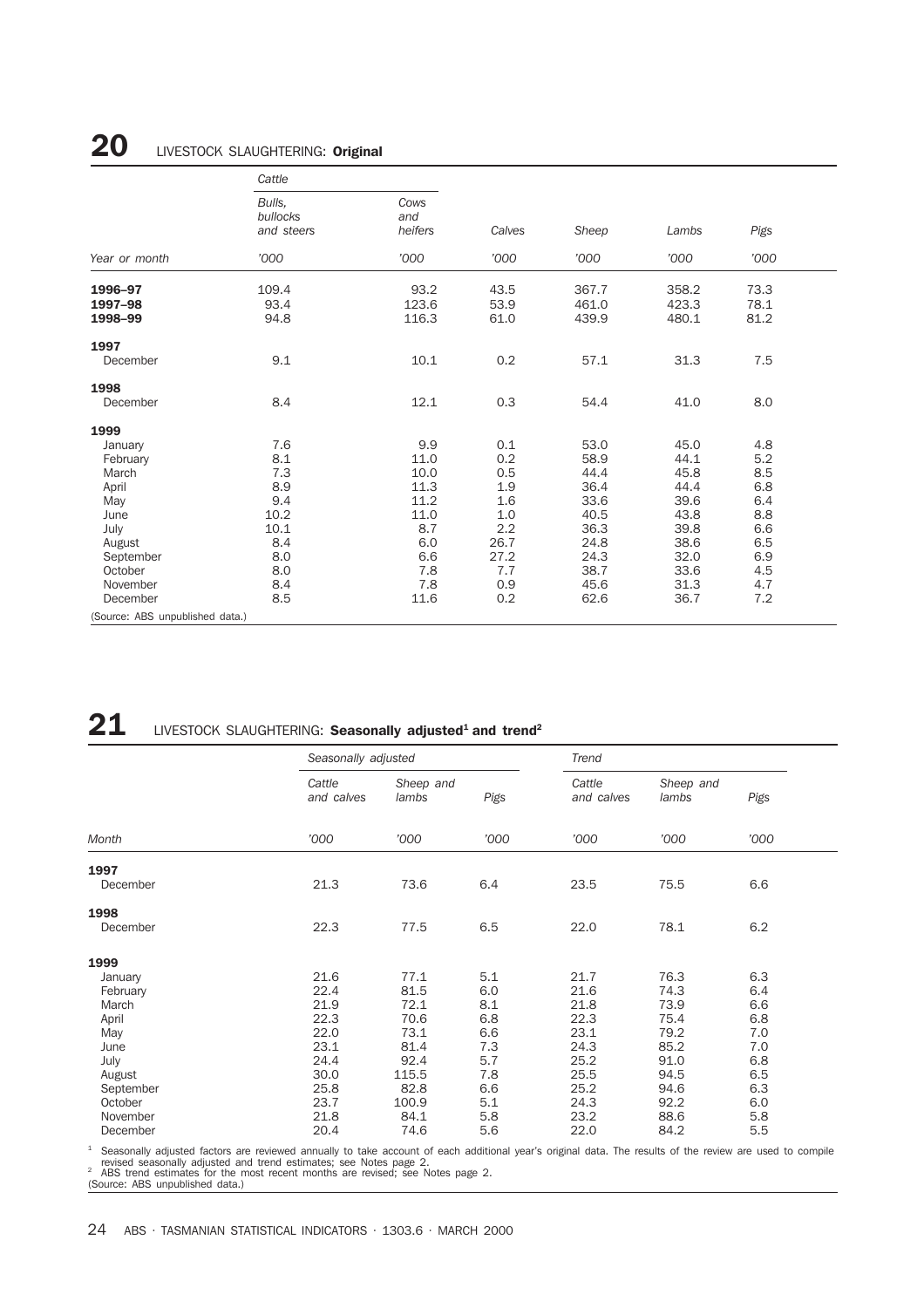## 20 LIVESTOCK SLAUGHTERING: Original

|                                 | Cattle                           |                        |        |       |       |      |  |
|---------------------------------|----------------------------------|------------------------|--------|-------|-------|------|--|
|                                 | Bulls.<br>bullocks<br>and steers | Cows<br>and<br>heifers | Calves | Sheep | Lambs | Pigs |  |
| Year or month                   | '000                             | '000                   | '000   | '000  | '000  | '000 |  |
| 1996-97                         | 109.4                            | 93.2                   | 43.5   | 367.7 | 358.2 | 73.3 |  |
| 1997-98                         | 93.4                             | 123.6                  | 53.9   | 461.0 | 423.3 | 78.1 |  |
| 1998-99                         | 94.8                             | 116.3                  | 61.0   | 439.9 | 480.1 | 81.2 |  |
| 1997                            |                                  |                        |        |       |       |      |  |
| December                        | 9.1                              | 10.1                   | 0.2    | 57.1  | 31.3  | 7.5  |  |
| 1998                            |                                  |                        |        |       |       |      |  |
| December                        | 8.4                              | 12.1                   | 0.3    | 54.4  | 41.0  | 8.0  |  |
| 1999                            |                                  |                        |        |       |       |      |  |
| January                         | 7.6                              | 9.9                    | 0.1    | 53.0  | 45.0  | 4.8  |  |
| February                        | 8.1                              | 11.0                   | 0.2    | 58.9  | 44.1  | 5.2  |  |
| March                           | 7.3                              | 10.0                   | 0.5    | 44.4  | 45.8  | 8.5  |  |
| April                           | 8.9                              | 11.3                   | 1.9    | 36.4  | 44.4  | 6.8  |  |
| May                             | 9.4                              | 11.2                   | 1.6    | 33.6  | 39.6  | 6.4  |  |
| June                            | 10.2                             | 11.0                   | 1.0    | 40.5  | 43.8  | 8.8  |  |
| July                            | 10.1                             | 8.7                    | 2.2    | 36.3  | 39.8  | 6.6  |  |
| August                          | 8.4                              | 6.0                    | 26.7   | 24.8  | 38.6  | 6.5  |  |
| September                       | 8.0                              | 6.6                    | 27.2   | 24.3  | 32.0  | 6.9  |  |
| October                         | 8.0                              | 7.8                    | 7.7    | 38.7  | 33.6  | 4.5  |  |
| November                        | 8.4                              | 7.8                    | 0.9    | 45.6  | 31.3  | 4.7  |  |
| December                        | 8.5                              | 11.6                   | 0.2    | 62.6  | 36.7  | 7.2  |  |
| (Source: ABS unpublished data.) |                                  |                        |        |       |       |      |  |

## **21** LIVESTOCK SLAUGHTERING: **Seasonally adjusted<sup>1</sup> and trend<sup>2</sup>**

|           | Seasonally adjusted  |                    |      | Trend                |                    |      |
|-----------|----------------------|--------------------|------|----------------------|--------------------|------|
|           | Cattle<br>and calves | Sheep and<br>lambs | Pigs | Cattle<br>and calves | Sheep and<br>lambs | Pigs |
| Month     | '000                 | '000               | '000 | '000                 | '000               | '000 |
| 1997      |                      |                    |      |                      |                    |      |
| December  | 21.3                 | 73.6               | 6.4  | 23.5                 | 75.5               | 6.6  |
| 1998      |                      |                    |      |                      |                    |      |
| December  | 22.3                 | 77.5               | 6.5  | 22.0                 | 78.1               | 6.2  |
| 1999      |                      |                    |      |                      |                    |      |
| January   | 21.6                 | 77.1               | 5.1  | 21.7                 | 76.3               | 6.3  |
| February  | 22.4                 | 81.5               | 6.0  | 21.6                 | 74.3               | 6.4  |
| March     | 21.9                 | 72.1               | 8.1  | 21.8                 | 73.9               | 6.6  |
| April     | 22.3                 | 70.6               | 6.8  | 22.3                 | 75.4               | 6.8  |
| May       | 22.0                 | 73.1               | 6.6  | 23.1                 | 79.2               | 7.0  |
| June      | 23.1                 | 81.4               | 7.3  | 24.3                 | 85.2               | 7.0  |
| July      | 24.4                 | 92.4               | 5.7  | 25.2                 | 91.0               | 6.8  |
| August    | 30.0                 | 115.5              | 7.8  | 25.5                 | 94.5               | 6.5  |
| September | 25.8                 | 82.8               | 6.6  | 25.2                 | 94.6               | 6.3  |
| October   | 23.7                 | 100.9              | 5.1  | 24.3                 | 92.2               | 6.0  |
| November  | 21.8                 | 84.1               | 5.8  | 23.2                 | 88.6               | 5.8  |
| December  | 20.4                 | 74.6               | 5.6  | 22.0                 | 84.2               | 5.5  |

<sup>1</sup> Seasonally adjusted factors are reviewed annually to take account of each additional year's original data. The results of the review are used to compile<br>revised seasonally adjusted and trend estimates; see Notes page 2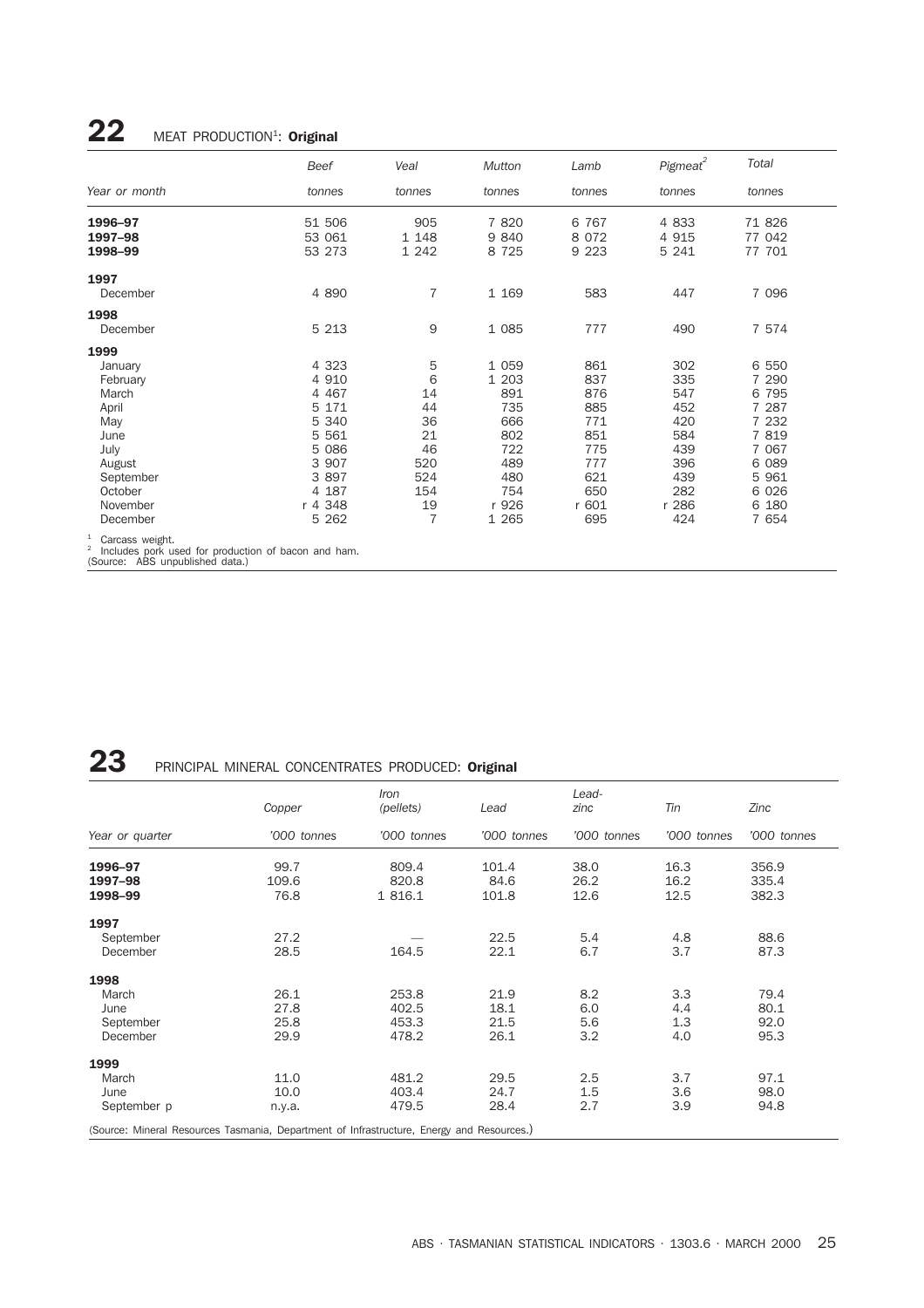## $22$  MEAT PRODUCTION<sup>1</sup>: Original

|                              | Beef             | Veal           | <b>Mutton</b>   | Lamb               | Pigmeat <sup>2</sup> | Total            |
|------------------------------|------------------|----------------|-----------------|--------------------|----------------------|------------------|
| Year or month                | tonnes           | tonnes         | tonnes          | tonnes             | tonnes               | tonnes           |
| 1996-97<br>1997-98           | 51 506<br>53 061 | 905<br>1 1 4 8 | 7 8 20<br>9 840 | 6 7 6 7<br>8 0 7 2 | 4 8 3 3<br>4 9 1 5   | 71 826<br>77 042 |
| 1998-99                      | 53 273           | 1 2 4 2        | 8 7 2 5         | 9 2 2 3            | 5 241                | 77 701           |
| 1997                         |                  |                |                 |                    |                      |                  |
| December                     | 4 8 9 0          | $\overline{7}$ | 1 1 6 9         | 583                | 447                  | 7 0 9 6          |
| 1998                         |                  |                |                 |                    |                      |                  |
| December                     | 5 2 1 3          | 9              | 1 0 8 5         | 777                | 490                  | 7 574            |
| 1999                         |                  |                |                 |                    |                      |                  |
| January                      | 4 3 2 3          | 5              | 1 0 5 9         | 861                | 302                  | 6 5 5 0          |
| February                     | 4 9 1 0          | 6              | 1 203           | 837                | 335                  | 7 290            |
| March                        | 4 4 6 7          | 14             | 891             | 876                | 547                  | 6 7 9 5          |
| April                        | 5 171            | 44             | 735             | 885                | 452                  | 7 287            |
| May                          | 5 340            | 36             | 666             | 771                | 420                  | 7 232            |
| June                         | 5 5 6 1          | 21             | 802             | 851                | 584                  | 7 8 1 9          |
| July                         | 5 0 8 6          | 46             | 722             | 775                | 439                  | 7 0 6 7          |
| August                       | 3 9 0 7          | 520            | 489             | 777                | 396                  | 6 0 8 9          |
| September                    | 3 8 9 7          | 524            | 480             | 621                | 439                  | 5 9 6 1          |
| October                      | 4 187            | 154            | 754             | 650                | 282                  | 6 0 2 6          |
| November                     | r 4 348          | 19             | r 926           | r 601              | r 286                | 6 180            |
| December                     | 5 2 6 2          | $\overline{7}$ | 1 2 6 5         | 695                | 424                  | 7 654            |
| <sup>1</sup> Carcass weight. |                  |                |                 |                    |                      |                  |

<sup>1</sup> Carcass weight.<br><sup>2</sup> Includes pork used for production of bacon and ham.<br>(Source: ABS unpublished data.)

## 23 PRINCIPAL MINERAL CONCENTRATES PRODUCED: Original

|                 | Copper                                                                                    | Iron<br>(pellets) | Lead        | Lead-<br>zinc | Tin         | Zinc        |
|-----------------|-------------------------------------------------------------------------------------------|-------------------|-------------|---------------|-------------|-------------|
| Year or quarter | '000 tonnes                                                                               | '000 tonnes       | '000 tonnes | '000 tonnes   | '000 tonnes | '000 tonnes |
| 1996-97         | 99.7                                                                                      | 809.4             | 101.4       | 38.0          | 16.3        | 356.9       |
| 1997-98         | 109.6                                                                                     | 820.8             | 84.6        | 26.2          | 16.2        | 335.4       |
| 1998-99         | 76.8                                                                                      | 1 816.1           | 101.8       | 12.6          | 12.5        | 382.3       |
| 1997            |                                                                                           |                   |             |               |             |             |
| September       | 27.2                                                                                      |                   | 22.5        | 5.4           | 4.8         | 88.6        |
| December        | 28.5                                                                                      | 164.5             | 22.1        | 6.7           | 3.7         | 87.3        |
| 1998            |                                                                                           |                   |             |               |             |             |
| March           | 26.1                                                                                      | 253.8             | 21.9        | 8.2           | 3.3         | 79.4        |
| June            | 27.8                                                                                      | 402.5             | 18.1        | 6.0           | 4.4         | 80.1        |
| September       | 25.8                                                                                      | 453.3             | 21.5        | 5.6           | 1.3         | 92.0        |
| December        | 29.9                                                                                      | 478.2             | 26.1        | 3.2           | 4.0         | 95.3        |
| 1999            |                                                                                           |                   |             |               |             |             |
| March           | 11.0                                                                                      | 481.2             | 29.5        | 2.5           | 3.7         | 97.1        |
| June            | 10.0                                                                                      | 403.4             | 24.7        | 1.5           | 3.6         | 98.0        |
| September p     | n.y.a.                                                                                    | 479.5             | 28.4        | 2.7           | 3.9         | 94.8        |
|                 | (Source: Mineral Resources Tasmania, Department of Infrastructure, Energy and Resources.) |                   |             |               |             |             |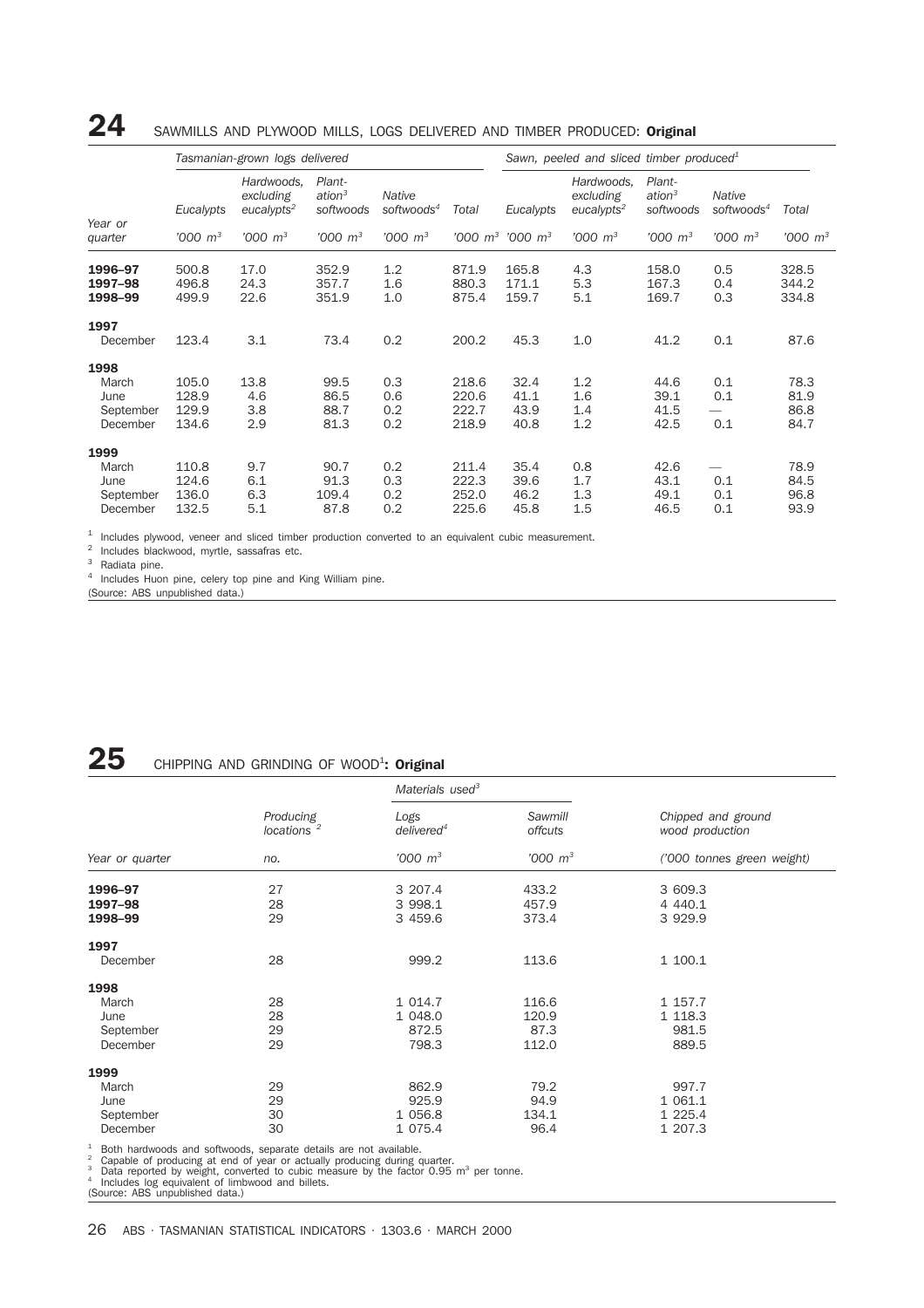### 24 SAWMILLS AND PLYWOOD MILLS, LOGS DELIVERED AND TIMBER PRODUCED: Original

|                                                |                                  | Tasmanian-grown logs delivered                    |                                           |                                  |                                  | Sawn, peeled and sliced timber produced <sup>1</sup> |                                                   |                                           |                                  |                              |
|------------------------------------------------|----------------------------------|---------------------------------------------------|-------------------------------------------|----------------------------------|----------------------------------|------------------------------------------------------|---------------------------------------------------|-------------------------------------------|----------------------------------|------------------------------|
| Year or                                        | Eucalypts                        | Hardwoods,<br>excluding<br>eucalypts <sup>2</sup> | Plant-<br>ation <sup>3</sup><br>softwoods | Native<br>softwoods <sup>4</sup> | Total                            | Eucalypts                                            | Hardwoods,<br>excluding<br>eucalypts <sup>2</sup> | Plant-<br>ation <sup>3</sup><br>softwoods | Native<br>softwoods <sup>4</sup> | Total                        |
| quarter                                        | $1000 \, m^3$                    | $1000 \, m^3$                                     | $'000 \, m^3$                             | $'000 \, m^3$                    |                                  | $'000~m^3$ '000 $m^3$                                | $'000 \; m^3$                                     | $'000 \, m^3$                             | $1000 \, m^3$                    | $'000 \; m^3$                |
| 1996-97<br>1997-98<br>1998-99                  | 500.8<br>496.8<br>499.9          | 17.0<br>24.3<br>22.6                              | 352.9<br>357.7<br>351.9                   | 1.2<br>1.6<br>1.0                | 871.9<br>880.3<br>875.4          | 165.8<br>171.1<br>159.7                              | 4.3<br>5.3<br>5.1                                 | 158.0<br>167.3<br>169.7                   | 0.5<br>0.4<br>0.3                | 328.5<br>344.2<br>334.8      |
| 1997<br>December                               | 123.4                            | 3.1                                               | 73.4                                      | 0.2                              | 200.2                            | 45.3                                                 | 1.0                                               | 41.2                                      | 0.1                              | 87.6                         |
| 1998<br>March<br>June<br>September<br>December | 105.0<br>128.9<br>129.9<br>134.6 | 13.8<br>4.6<br>3.8<br>2.9                         | 99.5<br>86.5<br>88.7<br>81.3              | 0.3<br>0.6<br>0.2<br>0.2         | 218.6<br>220.6<br>222.7<br>218.9 | 32.4<br>41.1<br>43.9<br>40.8                         | 1.2<br>1.6<br>1.4<br>1.2                          | 44.6<br>39.1<br>41.5<br>42.5              | 0.1<br>0.1<br>0.1                | 78.3<br>81.9<br>86.8<br>84.7 |
| 1999<br>March<br>June<br>September<br>December | 110.8<br>124.6<br>136.0<br>132.5 | 9.7<br>6.1<br>6.3<br>5.1                          | 90.7<br>91.3<br>109.4<br>87.8             | 0.2<br>0.3<br>0.2<br>0.2         | 211.4<br>222.3<br>252.0<br>225.6 | 35.4<br>39.6<br>46.2<br>45.8                         | 0.8<br>1.7<br>1.3<br>1.5                          | 42.6<br>43.1<br>49.1<br>46.5              | 0.1<br>0.1<br>0.1                | 78.9<br>84.5<br>96.8<br>93.9 |

<sup>1</sup> Includes plywood, veneer and sliced timber production converted to an equivalent cubic measurement.

<sup>2</sup> Includes blackwood, myrtle, sassafras etc.

Radiata pine.

<sup>4</sup> Includes Huon pine, celery top pine and King William pine.

(Source: ABS unpublished data.)

## ${\bf 25}$  chipping and grinding of wood<sup>1</sup>: original

|                                                |                                     | Materials used <sup>3</sup>            |                                 |                                        |  |
|------------------------------------------------|-------------------------------------|----------------------------------------|---------------------------------|----------------------------------------|--|
|                                                | Producing<br>locations <sup>2</sup> | Logs<br>delivered <sup>4</sup>         | Sawmill<br>offcuts              | Chipped and ground<br>wood production  |  |
| Year or quarter                                | no.                                 | $'000 \, m^3$                          | $'000 \; m^3$                   | ('000 tonnes green weight)             |  |
| 1996-97                                        | 27                                  | 3 207.4                                | 433.2                           | 3 609.3                                |  |
| 1997-98<br>1998-99                             | 28<br>29                            | 3 998.1<br>3 459.6                     | 457.9<br>373.4                  | 4 4 4 0.1<br>3 9 2 9.9                 |  |
| 1997                                           |                                     |                                        |                                 |                                        |  |
| December                                       | 28                                  | 999.2                                  | 113.6                           | 1 100.1                                |  |
| 1998                                           |                                     |                                        |                                 |                                        |  |
| March<br>June<br>September<br>December         | 28<br>28<br>29<br>29                | 1 0 1 4.7<br>1 048.0<br>872.5<br>798.3 | 116.6<br>120.9<br>87.3<br>112.0 | 1 157.7<br>1 1 18.3<br>981.5<br>889.5  |  |
| 1999<br>March<br>June<br>September<br>December | 29<br>29<br>30<br>30                | 862.9<br>925.9<br>1 056.8<br>1 075.4   | 79.2<br>94.9<br>134.1<br>96.4   | 997.7<br>1 061.1<br>1 225.4<br>1 207.3 |  |

<sup>1</sup> Both hardwoods and softwoods, separate details are not available.<br><sup>2</sup> Capable of producing at end of year or actually producing during quarter.<br><sup>3</sup> Data reported by weight, converted to cubic measure by the factor 0.9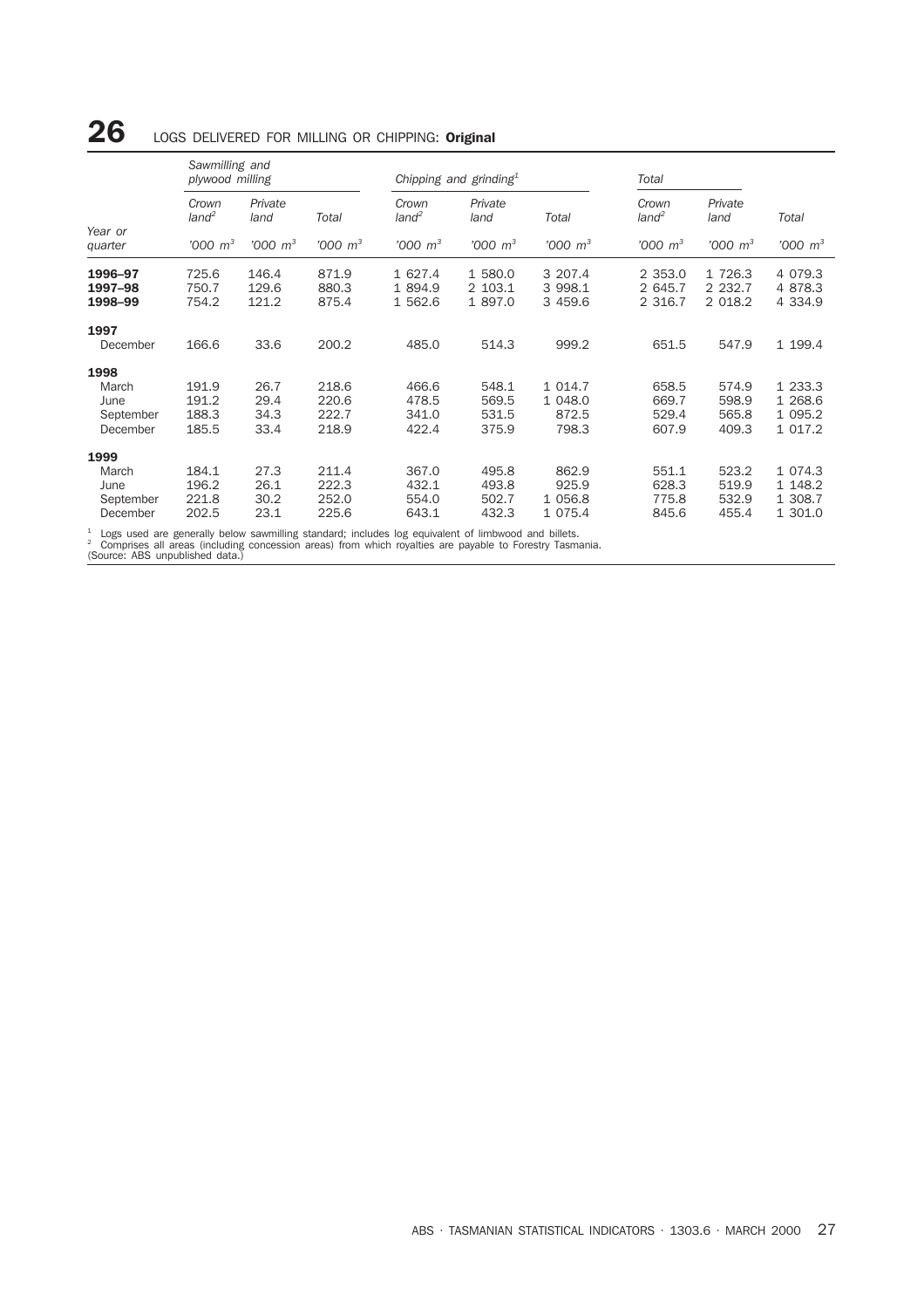### *Sawmilling and plywood milling Chipping and grinding1 Total Crown Private Crown Private Crown Private land<sup>2</sup> land Total land<sup>2</sup> land Total land2 land Total Year or quarter '000 m3 '000 m3 '000 m3 '000 m3 '000 m3 '000 m3 '000 m3 '000 m3 '000 m3* 1996–97 725.6 146.4 871.9 1 627.4 1 580.0 3 207.4 2 353.0 1 726.3 4 079.3 1997–98 750.7 129.6 880.3 1 894.9 2 103.1 3 998.1 2 645.7 2 232.7 4 878.3 **1998–99** 754.2 121.2 875.4 1 562.6 1 897.0 3 459.6 2 316.7 2 018.2 4 334.9 1997 December 166.6 33.6 200.2 485.0 514.3 999.2 651.5 547.9 1 199.4 **1998**<br>March March 191.9 26.7 218.6 466.6 548.1 1 014.7 658.5 574.9 1 233.3 June 191.2 29.4 220.6 478.5 569.5 1 048.0 669.7 598.9 1 268.6 September 188.3 34.3 222.7 341.0 531.5 872.5 529.4 565.8 1 095.2 December 185.5 33.4 218.9 422.4 375.9 798.3 607.9 409.3 1 017.2 **1999**<br>March March 184.1 27.3 211.4 367.0 495.8 862.9 551.1 523.2 1 074.3 June 196.2 26.1 222.3 432.1 493.8 925.9 628.3 519.9 1 148.2 September 221.8 30.2 252.0 554.0 502.7 1 056.8 775.8 532.9 1 308.7 December 202.5 23.1 225.6 643.1 432.3 1 075.4 845.6 455.4 1 301.0

 $26$  LOGS DELIVERED FOR MILLING OR CHIPPING: Original

<sup>1</sup> Logs used are generally below sawmilling standard; includes log equivalent of limbwood and billets. <sup>2</sup> Comprises all areas (including concession areas) from which royalties are payable to Forestry Tasmania.

(Source: ABS unpublished data.)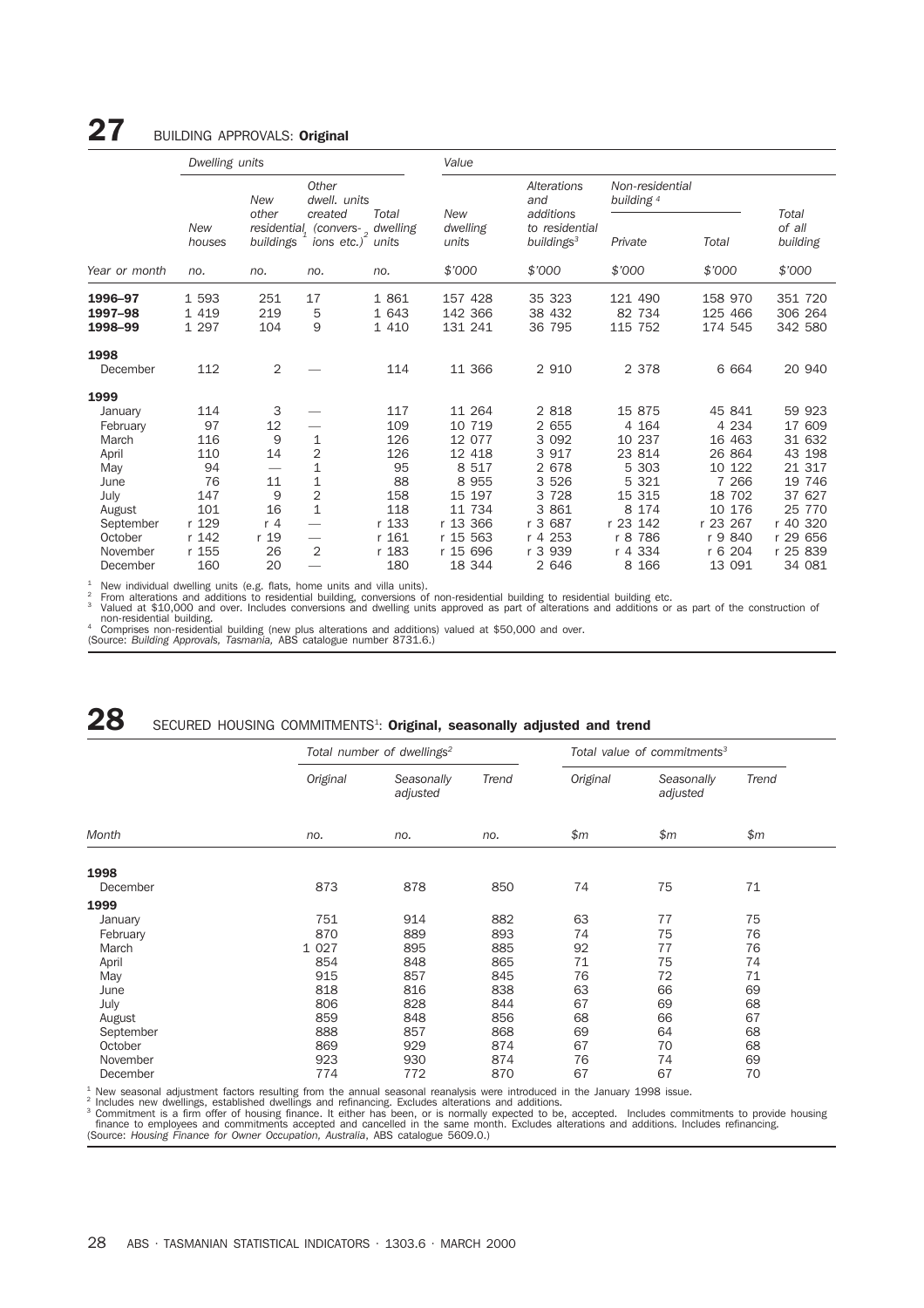### 27 BUILDING APPROVALS: Original

|                                | Dwelling units              |                              |                                                                 |                           | Value                          |                                                       |                               |                                     |                                |  |  |
|--------------------------------|-----------------------------|------------------------------|-----------------------------------------------------------------|---------------------------|--------------------------------|-------------------------------------------------------|-------------------------------|-------------------------------------|--------------------------------|--|--|
|                                |                             | <b>New</b>                   | Other<br>dwell, units                                           |                           |                                | Alterations<br>and                                    | Non-residential<br>building 4 |                                     |                                |  |  |
|                                | New<br>houses               | other<br>buildings           | created<br>residential, (convers-, dwelling<br>ions etc.) units | Total                     | New<br>dwelling<br>units       | additions<br>to residential<br>buildings <sup>3</sup> | Private                       | Total                               | Total<br>of all<br>building    |  |  |
| Year or month                  | no.                         | no.                          | no.                                                             | no.                       | \$7000                         | \$'000                                                | \$'000                        | \$7000                              | \$7000                         |  |  |
| 1996-97<br>1997-98<br>1998-99  | 1 5 9 3<br>1 4 1 9<br>1 297 | 251<br>219<br>104            | 17<br>5<br>9                                                    | 1 861<br>1 643<br>1 4 1 0 | 157 428<br>142 366<br>131 241  | 35 323<br>38 432<br>36 795                            | 121 490<br>82 734<br>115 752  | 158 970<br>125 466<br>174 545       | 351 720<br>306 264<br>342 580  |  |  |
| 1998<br>December               | 112                         | 2                            |                                                                 | 114                       | 11 366                         | 2 9 1 0                                               | 2 3 7 8                       | 6 6 6 4                             | 20 940                         |  |  |
| 1999                           |                             |                              |                                                                 |                           |                                |                                                       |                               |                                     |                                |  |  |
| January<br>February<br>March   | 114<br>97<br>116            | 3<br>12<br>9                 | 1                                                               | 117<br>109<br>126         | 11 264<br>10 719<br>12 077     | 2 8 1 8<br>2 655<br>3 0 9 2                           | 15 875<br>4 164<br>10 237     | 45 841<br>4 2 3 4<br>16 463         | 59 923<br>17 609<br>31 632     |  |  |
| April<br>May                   | 110<br>94                   | 14                           | $\overline{2}$<br>1                                             | 126<br>95                 | 12 418<br>8 5 1 7              | 3 917<br>2 678                                        | 23 814<br>5 303               | 26 864<br>10 122                    | 43 198<br>21 317               |  |  |
| June<br>July                   | 76<br>147                   | 11<br>9                      | $\mathbf 1$<br>$\overline{2}$                                   | 88<br>158                 | 8 9 5 5<br>15 197              | 3 5 2 6<br>3 7 2 8                                    | 5 3 2 1<br>15 315             | 7 2 6 6<br>18 702                   | 19 746<br>37 627               |  |  |
| August<br>September<br>October | 101<br>r 129<br>r 142       | 16<br>r <sub>4</sub><br>r 19 | $\mathbf 1$<br>$\qquad \qquad \longleftarrow$                   | 118<br>r 133<br>r 161     | 11 734<br>r 13 366<br>r 15 563 | 3<br>861<br>687<br>r <sub>3</sub><br>r 4 253          | 8 174<br>r 23 142<br>r 8 786  | 10 176<br>r 23<br>267<br>840<br>r 9 | 25 770<br>r 40 320<br>r 29 656 |  |  |
| November<br>December           | r 155<br>160                | 26<br>20                     | 2                                                               | r 183<br>180              | r 15 696<br>18 344             | r 3 939<br>2 646                                      | r 4 334<br>8 1 6 6            | 204<br>r 6<br>13 091                | r 25 839<br>34 081             |  |  |

<sup>1</sup> New individual dwelling units (e.g. flats, home units and villa units).<br><sup>2</sup> From alterations and additions to residential building, conversions of non-residential building to residential building etc.<br><sup>3</sup> Valued at \$1 non-residential building.<br>4 Comprises non-residential building (new plus alterations and additions) valued at \$50,000 and over.<br>(Source: *Building Approvals, Tasmania, A*BS catalogue number 8731.6.)

## ${\bf 28}$  SECURED HOUSING COMMITMENTS<sup>1</sup>: Original, seasonally adjusted and trend

|           |          | Total number of dwellings <sup>2</sup> | Total value of commitments <sup>3</sup> |          |                        |       |
|-----------|----------|----------------------------------------|-----------------------------------------|----------|------------------------|-------|
|           | Original | Seasonally<br>adjusted                 | Trend                                   | Original | Seasonally<br>adjusted | Trend |
| Month     | no.      | no.                                    | no.                                     | \$m\$    | \$m\$                  | \$m\$ |
| 1998      |          |                                        |                                         |          |                        |       |
| December  | 873      | 878                                    | 850                                     | 74       | 75                     | 71    |
| 1999      |          |                                        |                                         |          |                        |       |
| January   | 751      | 914                                    | 882                                     | 63       | 77                     | 75    |
| February  | 870      | 889                                    | 893                                     | 74       | 75                     | 76    |
| March     | 1 0 2 7  | 895                                    | 885                                     | 92       | 77                     | 76    |
| April     | 854      | 848                                    | 865                                     | 71       | 75                     | 74    |
| May       | 915      | 857                                    | 845                                     | 76       | 72                     | 71    |
| June      | 818      | 816                                    | 838                                     | 63       | 66                     | 69    |
| July      | 806      | 828                                    | 844                                     | 67       | 69                     | 68    |
| August    | 859      | 848                                    | 856                                     | 68       | 66                     | 67    |
| September | 888      | 857                                    | 868                                     | 69       | 64                     | 68    |
| October   | 869      | 929                                    | 874                                     | 67       | 70                     | 68    |
| November  | 923      | 930                                    | 874                                     | 76       | 74                     | 69    |
| December  | 774      | 772                                    | 870                                     | 67       | 67                     | 70    |

<sup>1</sup> New seasonal adjustment factors resulting from the annual seasonal reanalysis were introduced in the January 1998 issue.<br><sup>2</sup> Includes new dwellings, established dwellings and refinancing. Excludes alterations and addit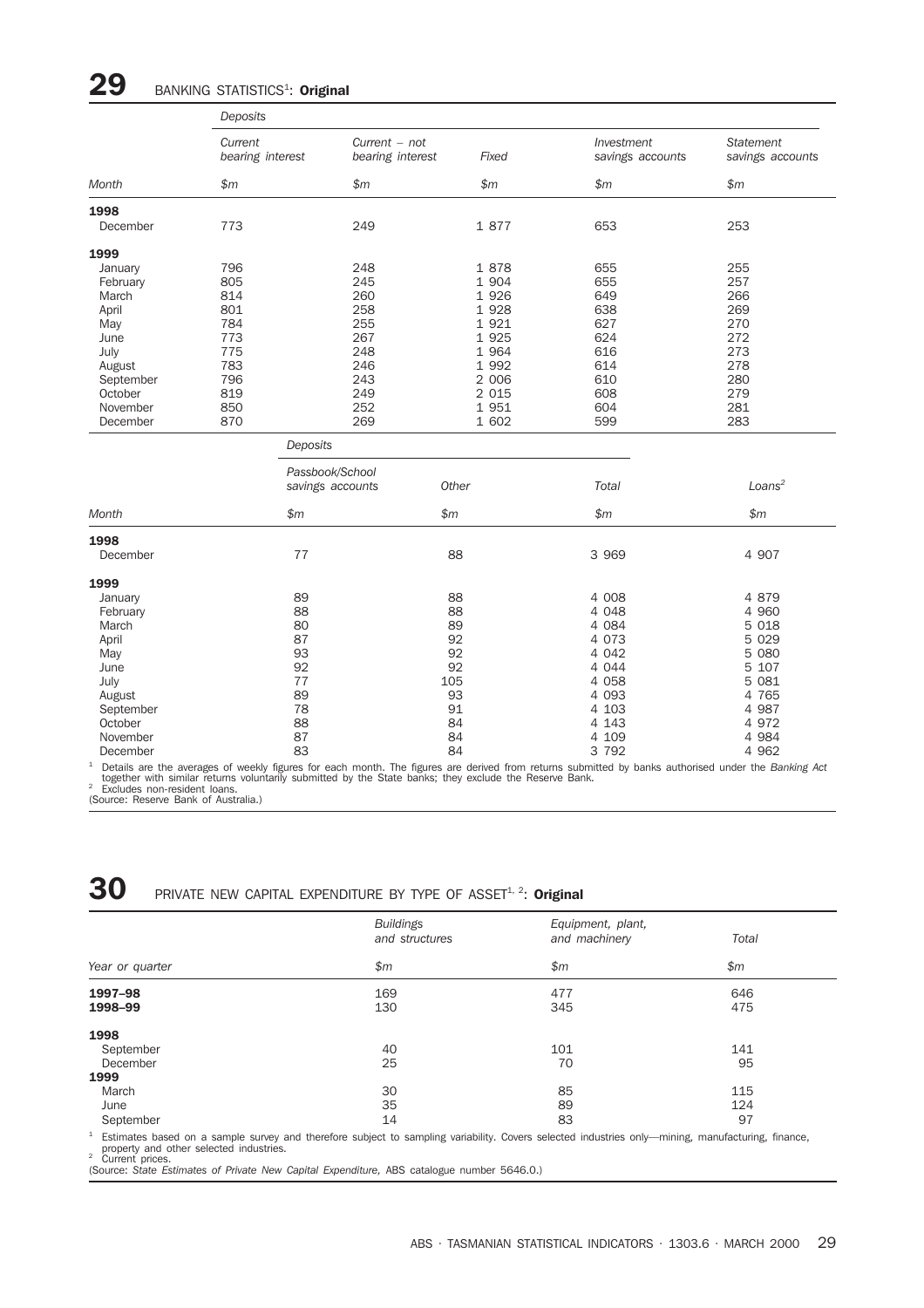## $29$  BANKING STATISTICS<sup>1</sup>: Original

|           | Deposits                    |                                     |         |                                |                                      |
|-----------|-----------------------------|-------------------------------------|---------|--------------------------------|--------------------------------------|
|           | Current<br>bearing interest | $Current - not$<br>bearing interest | Fixed   | Investment<br>savings accounts | <b>Statement</b><br>savings accounts |
| Month     | \$m\$                       | \$m\$                               | \$m\$   | \$m\$                          | \$m\$                                |
| 1998      |                             |                                     |         |                                |                                      |
| December  | 773                         | 249                                 | 1 877   | 653                            | 253                                  |
| 1999      |                             |                                     |         |                                |                                      |
| January   | 796                         | 248                                 | 1878    | 655                            | 255                                  |
| February  | 805                         | 245                                 | 1 904   | 655                            | 257                                  |
| March     | 814                         | 260                                 | 1 9 2 6 | 649                            | 266                                  |
| April     | 801                         | 258                                 | 1 9 2 8 | 638                            | 269                                  |
| May       | 784                         | 255                                 | 1 9 2 1 | 627                            | 270                                  |
| June      | 773                         | 267                                 | 1 9 2 5 | 624                            | 272                                  |
| July      | 775                         | 248                                 | 1 9 6 4 | 616                            | 273                                  |
| August    | 783                         | 246                                 | 1 9 9 2 | 614                            | 278                                  |
| September | 796                         | 243                                 | 2 0 0 6 | 610                            | 280                                  |
|           | 819                         | 249                                 | 2 0 1 5 | 608                            | 279                                  |
| October   |                             |                                     |         |                                |                                      |
| November  | 850                         | 252<br>269                          | 1 9 5 1 | 604<br>599                     | 281<br>283                           |
| December  | 870                         |                                     | 1 602   |                                |                                      |
|           |                             | Deposits                            |         |                                |                                      |
|           |                             | Passbook/School                     |         |                                |                                      |
|           |                             | savings accounts                    | Other   | Total                          | Loans <sup>2</sup>                   |
| Month     | $\mathsf{m}$                |                                     | \$m\$   | $\mathsf{m}$                   | $\mathsf{m}$                         |
| 1998      |                             |                                     |         |                                |                                      |
| December  | 77                          |                                     | 88      | 3 9 6 9                        | 4 907                                |
| 1999      |                             |                                     |         |                                |                                      |
| January   | 89                          |                                     | 88      | 4 0 0 8                        | 4 879                                |
| February  | 88                          |                                     | 88      | 4 0 4 8                        | 4 9 6 0                              |
| March     | 80                          |                                     | 89      | 4 0 8 4                        | 5 0 18                               |
| April     | 87                          |                                     | 92      | 4 0 7 3                        | 5 0 2 9                              |
| May       | 93                          |                                     | 92      | 4 0 4 2                        | 5 0 8 0                              |
| June      | 92                          |                                     | 92      | 4 0 4 4                        | 5 107                                |
| July      | 77                          |                                     | 105     | 4 0 5 8                        | 5 0 8 1                              |
| August    | 89                          |                                     | 93      | 4 0 9 3                        | 4 765                                |
|           | 78                          |                                     | 91      | 4 103                          | 4 987                                |
| September |                             |                                     |         | 4 1 4 3                        | 4 9 7 2                              |
| October   | 88                          |                                     | 84      |                                |                                      |
| November  | 87                          |                                     | 84      | 4 109                          | 4 9 8 4                              |
| December  | 83                          |                                     | 84      | 3 7 9 2                        | 4 9 6 2                              |

<sup>1</sup> Details are the averages of weekly figures for each month. The figures are derived from returns submitted by banks authorised under the *Banking Act* to Excludes non-resident with similar returns of the state banks; t

30 PRIVATE NEW CAPITAL EXPENDITURE BY TYPE OF ASSET<sup>1, 2</sup>: Original

|                 | <b>Buildings</b><br>and structures | Equipment, plant,<br>and machinery | Total |
|-----------------|------------------------------------|------------------------------------|-------|
|                 |                                    |                                    |       |
| Year or quarter | \$m\$                              | \$m\$                              | \$m\$ |
| 1997-98         | 169                                | 477                                | 646   |
| 1998-99         | 130                                | 345                                | 475   |
| 1998            |                                    |                                    |       |
| September       | 40                                 | 101                                | 141   |
| December        | 25                                 | 70                                 | 95    |
| 1999            |                                    |                                    |       |
| March           | 30                                 | 85                                 | 115   |
| June            | 35                                 | 89                                 | 124   |
| September       | 14                                 | 83                                 | 97    |

<sup>1</sup> Estimates based on a sample survey and therefore subject to sampling variability. Covers selected industries only—mining, manufacturing, finance,<br>property and other selected industries.<br><sup>2</sup> Current prices.<br>(Source: Sta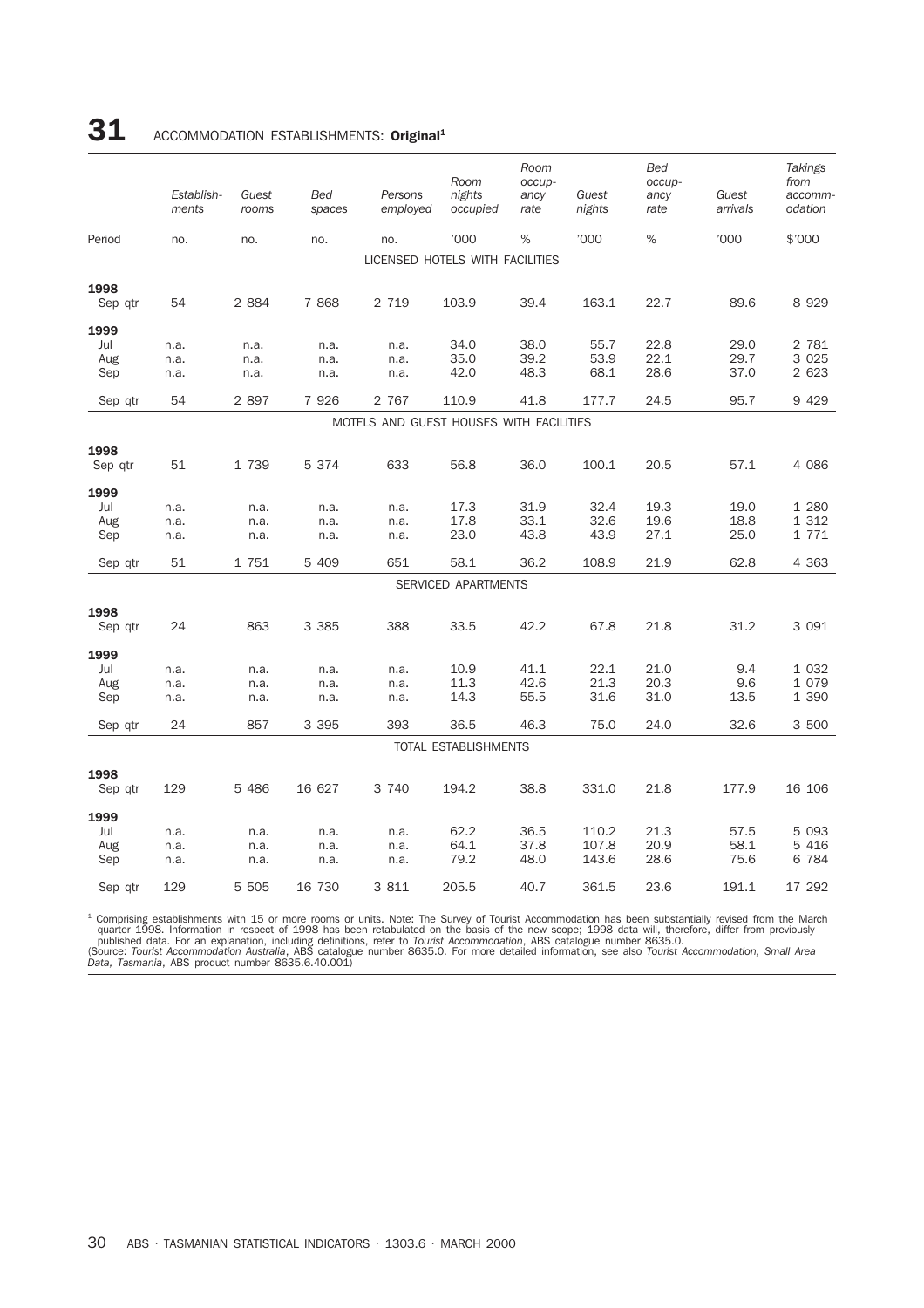## 31 ACCOMMODATION ESTABLISHMENTS: Original<sup>1</sup>

|         | Establish-<br>ments | Guest<br>rooms | Bed<br>spaces | Persons<br>employed                     | Room<br>nights<br>occupied | Room<br>occup-<br>ancy<br>rate | Guest<br>nights | Bed<br>occup-<br>ancy<br>rate | Guest<br>arrivals | <b>Takings</b><br>from<br>accomm-<br>odation |
|---------|---------------------|----------------|---------------|-----------------------------------------|----------------------------|--------------------------------|-----------------|-------------------------------|-------------------|----------------------------------------------|
| Period  | no.                 | no.            | no.           | no.                                     | '000                       | %                              | '000            | $\%$                          | '000              | \$'000                                       |
|         |                     |                |               | LICENSED HOTELS WITH FACILITIES         |                            |                                |                 |                               |                   |                                              |
| 1998    |                     |                |               |                                         |                            |                                |                 |                               |                   |                                              |
| Sep qtr | 54                  | 2 8 8 4        | 7 8 6 8       | 2 7 1 9                                 | 103.9                      | 39.4                           | 163.1           | 22.7                          | 89.6              | 8 9 2 9                                      |
| 1999    |                     |                |               |                                         |                            |                                |                 |                               |                   |                                              |
| Jul     | n.a.                | n.a.           | n.a.          | n.a.                                    | 34.0                       | 38.0                           | 55.7            | 22.8                          | 29.0              | 2 781                                        |
| Aug     | n.a.                | n.a.           | n.a.          | n.a.                                    | 35.0                       | 39.2                           | 53.9            | 22.1                          | 29.7              | 3 0 2 5                                      |
| Sep     | n.a.                | n.a.           | n.a.          | n.a.                                    | 42.0                       | 48.3                           | 68.1            | 28.6                          | 37.0              | 2 6 2 3                                      |
| Sep qtr | 54                  | 2 897          | 7 9 2 6       | 2 7 6 7                                 | 110.9                      | 41.8                           | 177.7           | 24.5                          | 95.7              | 9 4 2 9                                      |
|         |                     |                |               | MOTELS AND GUEST HOUSES WITH FACILITIES |                            |                                |                 |                               |                   |                                              |
| 1998    |                     |                |               |                                         |                            |                                |                 |                               |                   |                                              |
| Sep qtr | 51                  | 1 739          | 5 3 7 4       | 633                                     | 56.8                       | 36.0                           | 100.1           | 20.5                          | 57.1              | 4 086                                        |
| 1999    |                     |                |               |                                         |                            |                                |                 |                               |                   |                                              |
| Jul     | n.a.                | n.a.           | n.a.          | n.a.                                    | 17.3                       | 31.9                           | 32.4            | 19.3                          | 19.0              | 1 280                                        |
| Aug     | n.a.                | n.a.           | n.a.          | n.a.                                    | 17.8                       | 33.1                           | 32.6            | 19.6                          | 18.8              | 1 3 1 2                                      |
| Sep     | n.a.                | n.a.           | n.a.          | n.a.                                    | 23.0                       | 43.8                           | 43.9            | 27.1                          | 25.0              | 1 771                                        |
| Sep qtr | 51                  | 1 751          | 5 409         | 651                                     | 58.1                       | 36.2                           | 108.9           | 21.9                          | 62.8              | 4 3 6 3                                      |
|         |                     |                |               |                                         | <b>SERVICED APARTMENTS</b> |                                |                 |                               |                   |                                              |
| 1998    |                     |                |               |                                         |                            |                                |                 |                               |                   |                                              |
| Sep qtr | 24                  | 863            | 3 3 8 5       | 388                                     | 33.5                       | 42.2                           | 67.8            | 21.8                          | 31.2              | 3 0 9 1                                      |
| 1999    |                     |                |               |                                         |                            |                                |                 |                               |                   |                                              |
| Jul     | n.a.                | n.a.           | n.a.          | n.a.                                    | 10.9                       | 41.1                           | 22.1            | 21.0                          | 9.4               | 1 0 3 2                                      |
| Aug     | n.a.                | n.a.           | n.a.          | n.a.                                    | 11.3                       | 42.6                           | 21.3            | 20.3                          | 9.6               | 1 0 7 9                                      |
| Sep     | n.a.                | n.a.           | n.a.          | n.a.                                    | 14.3                       | 55.5                           | 31.6            | 31.0                          | 13.5              | 1 390                                        |
| Sep qtr | 24                  | 857            | 3 3 9 5       | 393                                     | 36.5                       | 46.3                           | 75.0            | 24.0                          | 32.6              | 3 500                                        |
|         |                     |                |               |                                         | TOTAL ESTABLISHMENTS       |                                |                 |                               |                   |                                              |
| 1998    |                     |                |               |                                         |                            |                                |                 |                               |                   |                                              |
| Sep qtr | 129                 | 5 4 8 6        | 16 627        | 3 7 4 0                                 | 194.2                      | 38.8                           | 331.0           | 21.8                          | 177.9             | 16 106                                       |
| 1999    |                     |                |               |                                         |                            |                                |                 |                               |                   |                                              |
| Jul     | n.a.                | n.a.           | n.a.          | n.a.                                    | 62.2                       | 36.5                           | 110.2           | 21.3                          | 57.5              | 5 0 9 3                                      |
| Aug     | n.a.                | n.a.           | n.a.          | n.a.                                    | 64.1                       | 37.8                           | 107.8           | 20.9                          | 58.1              | 5 4 1 6                                      |
| Sep     | n.a.                | n.a.           | n.a.          | n.a.                                    | 79.2                       | 48.0                           | 143.6           | 28.6                          | 75.6              | 6 7 8 4                                      |
| Sep qtr | 129                 | 5 505          | 16 730        | 3 811                                   | 205.5                      | 40.7                           | 361.5           | 23.6                          | 191.1             | 17 292                                       |

<sup>1</sup> Comprising establishments with 15 or more rooms or units. Note: The Survey of Tourist Accommodation has been substantially revised from the March<br>quarter 1998. Information in respect of 1998 has been retabulated on the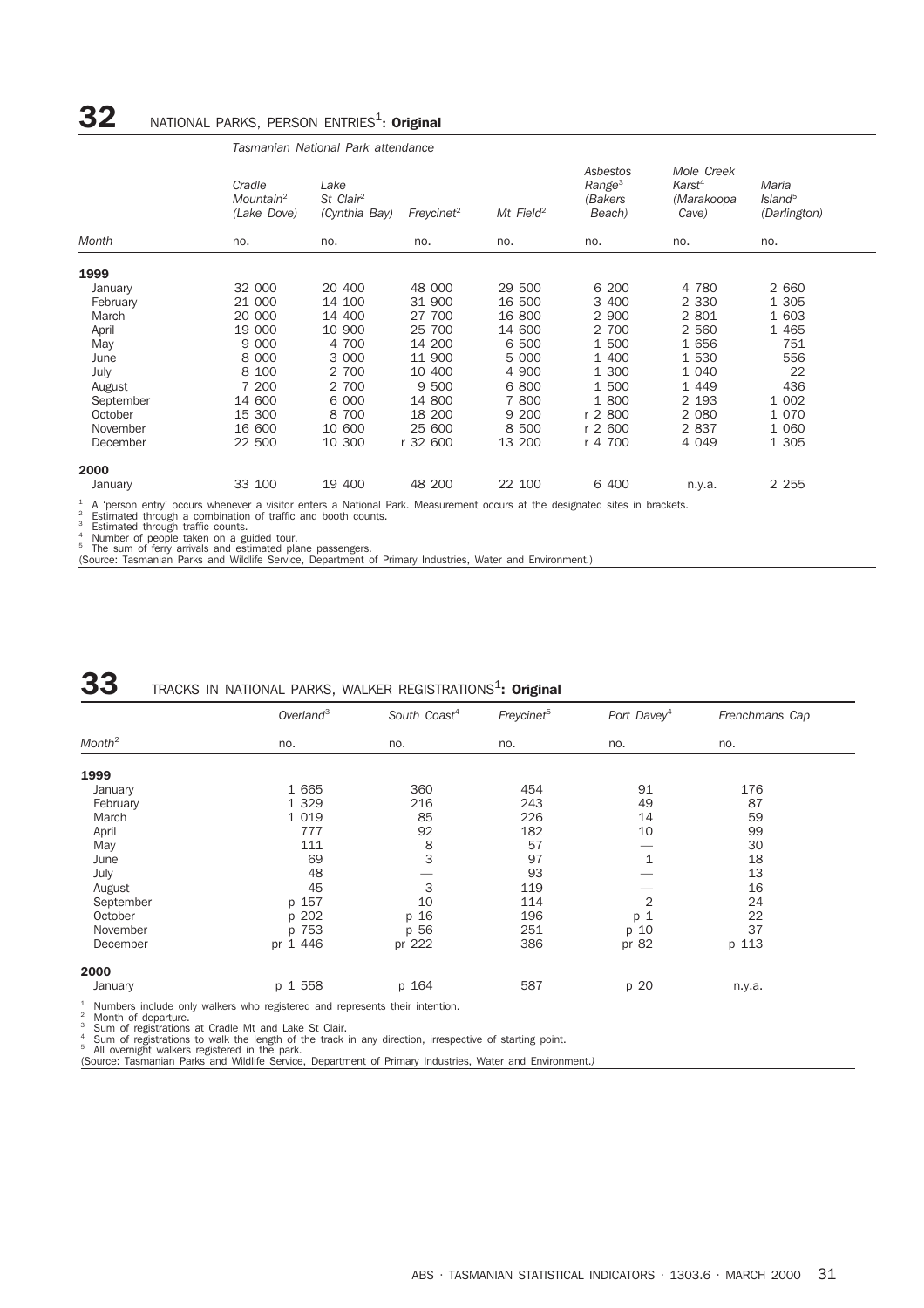## $32$  MATIONAL PARKS, PERSON ENTRIES<sup>1</sup>: Original

|           |                                                | Tasmanian National Park attendance             |                        |                       |                                                     |                                                         |                                              |
|-----------|------------------------------------------------|------------------------------------------------|------------------------|-----------------------|-----------------------------------------------------|---------------------------------------------------------|----------------------------------------------|
|           | Cradle<br>Mountain <sup>2</sup><br>(Lake Dove) | Lake<br>St Clair <sup>2</sup><br>(Cynthia Bay) | Freycinet <sup>2</sup> | Mt Field <sup>2</sup> | Asbestos<br>Range <sup>3</sup><br>(Bakers<br>Beach) | Mole Creek<br>Karst <sup>4</sup><br>(Marakoopa<br>Cave) | Maria<br>Island <sup>5</sup><br>(Darlington) |
| Month     | no.                                            | no.                                            | no.                    | no.                   | no.                                                 | no.                                                     | no.                                          |
| 1999      |                                                |                                                |                        |                       |                                                     |                                                         |                                              |
| January   | 32 000                                         | 20 400                                         | 48 000                 | 29 500                | 6 200                                               | 4 780                                                   | 2 6 6 0                                      |
| February  | 21 000                                         | 14 100                                         | 31 900                 | 16 500                | 3 400                                               | 2 3 3 0                                                 | 1 305                                        |
| March     | 20 000                                         | 14 400                                         | 27 700                 | 16 800                | 2 900                                               | 2 801                                                   | 1 603                                        |
| April     | 19 000                                         | 10 900                                         | 25 700                 | 14 600                | 2 700                                               | 2 5 6 0                                                 | 1 4 6 5                                      |
| May       | 9 0 0 0                                        | 4 700                                          | 14 200                 | 6 500                 | 1 500                                               | 1 656                                                   | 751                                          |
| June      | 8 0 0 0                                        | 3 000                                          | 11 900                 | 5 000                 | 1 400                                               | 1 530                                                   | 556                                          |
| July      | 8 100                                          | 2 700                                          | 10 400                 | 4 900                 | 1 300                                               | 1 0 4 0                                                 | 22                                           |
| August    | 7 200                                          | 2 700                                          | 9 500                  | 6 800                 | 1 500                                               | 1 4 4 9                                                 | 436                                          |
| September | 14 600                                         | 6 000                                          | 14 800                 | 7 800                 | 1 800                                               | 2 1 9 3                                                 | 1 0 0 2                                      |
| October   | 15 300                                         | 8 700                                          | 18 200                 | 9 200                 | r 2 800                                             | 2 0 8 0                                                 | 1 0 7 0                                      |
| November  | 16 600                                         | 10 600                                         | 25 600                 | 8 500                 | r 2 600                                             | 2 8 3 7                                                 | 1 0 6 0                                      |
| December  | 22 500                                         | 10 300                                         | r 32 600               | 13 200                | r 4 700                                             | 4 0 4 9                                                 | 1 305                                        |
| 2000      |                                                |                                                |                        |                       |                                                     |                                                         |                                              |
| January   | 33 100                                         | 19 400                                         | 48 200                 | 22 100                | 6 400                                               | n.y.a.                                                  | 2 2 5 5                                      |

<sup>1</sup> A 'person entry' occurs whenever a visitor enters a National Park. Measurement occurs at the designated sites in brackets.<br><sup>2</sup> Estimated through a combination of traffic and booth counts.<br><sup>4</sup> Number of people taken on

## **33** TRACKS IN NATIONAL PARKS, WALKER REGISTRATIONS1 **: Original**

|                       | Overland <sup>3</sup>                                                          | South Coast <sup>4</sup> | Freycinet <sup>5</sup> | Port Davey <sup>4</sup> | Frenchmans Cap |
|-----------------------|--------------------------------------------------------------------------------|--------------------------|------------------------|-------------------------|----------------|
| $M$ onth <sup>2</sup> | no.                                                                            | no.                      | no.                    | no.                     | no.            |
| 1999                  |                                                                                |                          |                        |                         |                |
|                       |                                                                                |                          |                        |                         |                |
| January               | 1 665                                                                          | 360                      | 454                    | 91                      | 176            |
| February              | 1 3 2 9                                                                        | 216                      | 243                    | 49                      | 87             |
| March                 | 1 0 1 9                                                                        | 85                       | 226                    | 14                      | 59             |
| April                 | 777                                                                            | 92                       | 182                    | 10                      | 99             |
| May                   | 111                                                                            | 8                        | 57                     |                         | 30             |
| June                  | 69                                                                             | 3                        | 97                     | $\mathbf{1}$            | 18             |
| July                  | 48                                                                             |                          | 93                     |                         | 13             |
| August                | 45                                                                             | 3                        | 119                    |                         | 16             |
| September             | p 157                                                                          | 10                       | 114                    | $\overline{2}$          | 24             |
| October               | p 202                                                                          | p 16                     | 196                    | $\mathbf 1$<br>p        | 22             |
| November              | p 753                                                                          | p 56                     | 251                    | p 10                    | 37             |
| December              | pr 1 446                                                                       | pr 222                   | 386                    | pr 82                   | p 113          |
| 2000                  |                                                                                |                          |                        |                         |                |
| January               | p 1 558                                                                        | p 164                    | 587                    | p 20                    | n.y.a.         |
|                       | $1$ Numbers include only walkers who registered and represents their intention |                          |                        |                         |                |

<sup>1</sup> Numbers include only walkers who registered and represents their intention.<br><sup>2</sup> Month of departure.<br><sup>3</sup> Sum of registrations at Cradle Mt and Lake St Clair.<br><sup>4</sup> Sum of registrations to walk the length of the track in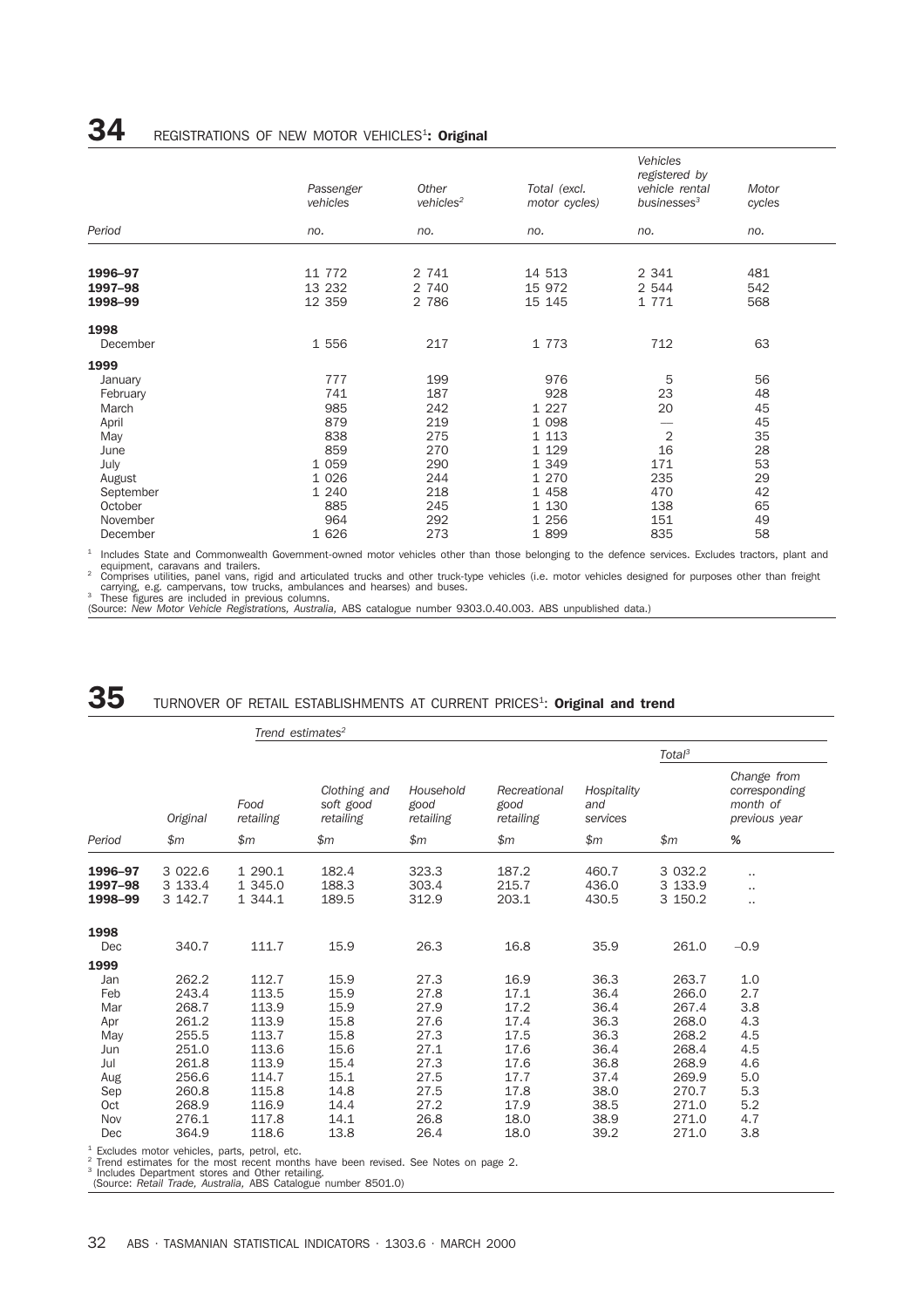|           | Passenger<br>vehicles | Other<br>$v$ ehicles <sup>2</sup> | Total (excl.<br>motor cycles) | Vehicles<br>registered by<br>vehicle rental<br>businesses <sup>3</sup> | Motor<br>cycles |
|-----------|-----------------------|-----------------------------------|-------------------------------|------------------------------------------------------------------------|-----------------|
| Period    | no.                   | no.                               | no.                           | no.                                                                    | no.             |
|           |                       |                                   |                               |                                                                        |                 |
| 1996-97   | 11 772                | 2 741                             | 14 513                        | 2 3 4 1                                                                | 481             |
| 1997-98   | 13 232                | 2 740                             | 15 972                        | 2 544                                                                  | 542             |
| 1998-99   | 12 359                | 2 786                             | 15 145                        | 1 771                                                                  | 568             |
| 1998      |                       |                                   |                               |                                                                        |                 |
| December  | 1 556                 | 217                               | 1 773                         | 712                                                                    | 63              |
| 1999      |                       |                                   |                               |                                                                        |                 |
| January   | 777                   | 199                               | 976                           | 5                                                                      | 56              |
| February  | 741                   | 187                               | 928                           | 23                                                                     | 48              |
| March     | 985                   | 242                               | 1 2 2 7                       | 20                                                                     | 45              |
| April     | 879                   | 219                               | 1 0 9 8                       |                                                                        | 45              |
| May       | 838                   | 275                               | 1 1 1 3                       | $\sqrt{2}$                                                             | 35              |
| June      | 859                   | 270                               | 1 1 2 9                       | 16                                                                     | 28              |
| July      | 1 0 5 9               | 290                               | 1 3 4 9                       | 171                                                                    | 53              |
| August    | 1 0 2 6               | 244                               | 1 270                         | 235                                                                    | 29              |
| September | 1 2 4 0               | 218                               | 1 4 5 8                       | 470                                                                    | 42              |
| October   | 885                   | 245                               | 1 1 3 0                       | 138                                                                    | 65              |
| November  | 964                   | 292                               | 1 2 5 6                       | 151                                                                    | 49              |
| December  | 1 6 2 6               | 273                               | 1 8 9 9                       | 835                                                                    | 58              |

<sup>1</sup> Includes State and Commonwealth Government-owned motor vehicles other than those belonging to the defence services. Excludes tractors, plant and<br>1 equipment, caravans and trailers.<br><sup>2</sup> Comprises utilities, panel vans,

carrying, e.g. campervans, tow trucks, ambulances and hearses) and buses.<br><sup>3</sup> These figures are included in previous columns.<br>(Source: *New Motor Vehicle Registrations, Australia,* ABS catalogue number 9303.0.40.003. ABS u

## ${\bf 35}$  TURNOVER OF RETAIL ESTABLISHMENTS AT CURRENT PRICES<sup>1</sup>: Original and trend

|                                                                                   |                                                                                                 |                                                                                                 | Trend estimates <sup>2</sup>                                                         |                                                                                      |                                                                                      |                                                                                      |                                                                                                 |                                                                           |
|-----------------------------------------------------------------------------------|-------------------------------------------------------------------------------------------------|-------------------------------------------------------------------------------------------------|--------------------------------------------------------------------------------------|--------------------------------------------------------------------------------------|--------------------------------------------------------------------------------------|--------------------------------------------------------------------------------------|-------------------------------------------------------------------------------------------------|---------------------------------------------------------------------------|
|                                                                                   |                                                                                                 |                                                                                                 |                                                                                      |                                                                                      |                                                                                      |                                                                                      | Total <sup>3</sup>                                                                              |                                                                           |
|                                                                                   | Original                                                                                        | Food<br>retailing                                                                               | Clothing and<br>soft good<br>retailing                                               | Household<br>good<br>retailing                                                       | Recreational<br>good<br>retailing                                                    | Hospitality<br>and<br>services                                                       |                                                                                                 | Change from<br>corresponding<br>month of<br>previous year                 |
| Period                                                                            | \$m                                                                                             | \$m                                                                                             | \$m                                                                                  | \$m\$                                                                                | \$m\$                                                                                | \$m\$                                                                                | \$m\$                                                                                           | %                                                                         |
| 1996-97<br>1997-98<br>1998-99                                                     | 3 0 2 2.6<br>3 133.4<br>3 142.7                                                                 | 1 290.1<br>1 345.0<br>1 344.1                                                                   | 182.4<br>188.3<br>189.5                                                              | 323.3<br>303.4<br>312.9                                                              | 187.2<br>215.7<br>203.1                                                              | 460.7<br>436.0<br>430.5                                                              | 3 0 3 2.2<br>3 133.9<br>3 150.2                                                                 | <br><br>                                                                  |
| 1998<br>Dec                                                                       | 340.7                                                                                           | 111.7                                                                                           | 15.9                                                                                 | 26.3                                                                                 | 16.8                                                                                 | 35.9                                                                                 | 261.0                                                                                           | $-0.9$                                                                    |
| 1999<br>Jan<br>Feb<br>Mar<br>Apr<br>May<br>Jun<br>Jul<br>Aug<br>Sep<br>Oct<br>Nov | 262.2<br>243.4<br>268.7<br>261.2<br>255.5<br>251.0<br>261.8<br>256.6<br>260.8<br>268.9<br>276.1 | 112.7<br>113.5<br>113.9<br>113.9<br>113.7<br>113.6<br>113.9<br>114.7<br>115.8<br>116.9<br>117.8 | 15.9<br>15.9<br>15.9<br>15.8<br>15.8<br>15.6<br>15.4<br>15.1<br>14.8<br>14.4<br>14.1 | 27.3<br>27.8<br>27.9<br>27.6<br>27.3<br>27.1<br>27.3<br>27.5<br>27.5<br>27.2<br>26.8 | 16.9<br>17.1<br>17.2<br>17.4<br>17.5<br>17.6<br>17.6<br>17.7<br>17.8<br>17.9<br>18.0 | 36.3<br>36.4<br>36.4<br>36.3<br>36.3<br>36.4<br>36.8<br>37.4<br>38.0<br>38.5<br>38.9 | 263.7<br>266.0<br>267.4<br>268.0<br>268.2<br>268.4<br>268.9<br>269.9<br>270.7<br>271.0<br>271.0 | 1.0<br>2.7<br>3.8<br>4.3<br>4.5<br>4.5<br>4.6<br>5.0<br>5.3<br>5.2<br>4.7 |
| Dec                                                                               | 364.9                                                                                           | 118.6                                                                                           | 13.8                                                                                 | 26.4                                                                                 | 18.0                                                                                 | 39.2                                                                                 | 271.0                                                                                           | 3.8                                                                       |

<sup>1</sup> Excludes motor vehicles, parts, petrol, etc.<br><sup>2</sup> Trend estimates for the most recent months have been revised. See Notes on page 2.<br><sup>3</sup> Includes Department stores and Other retailing.<br>(Source: *Retail Trade, Australia*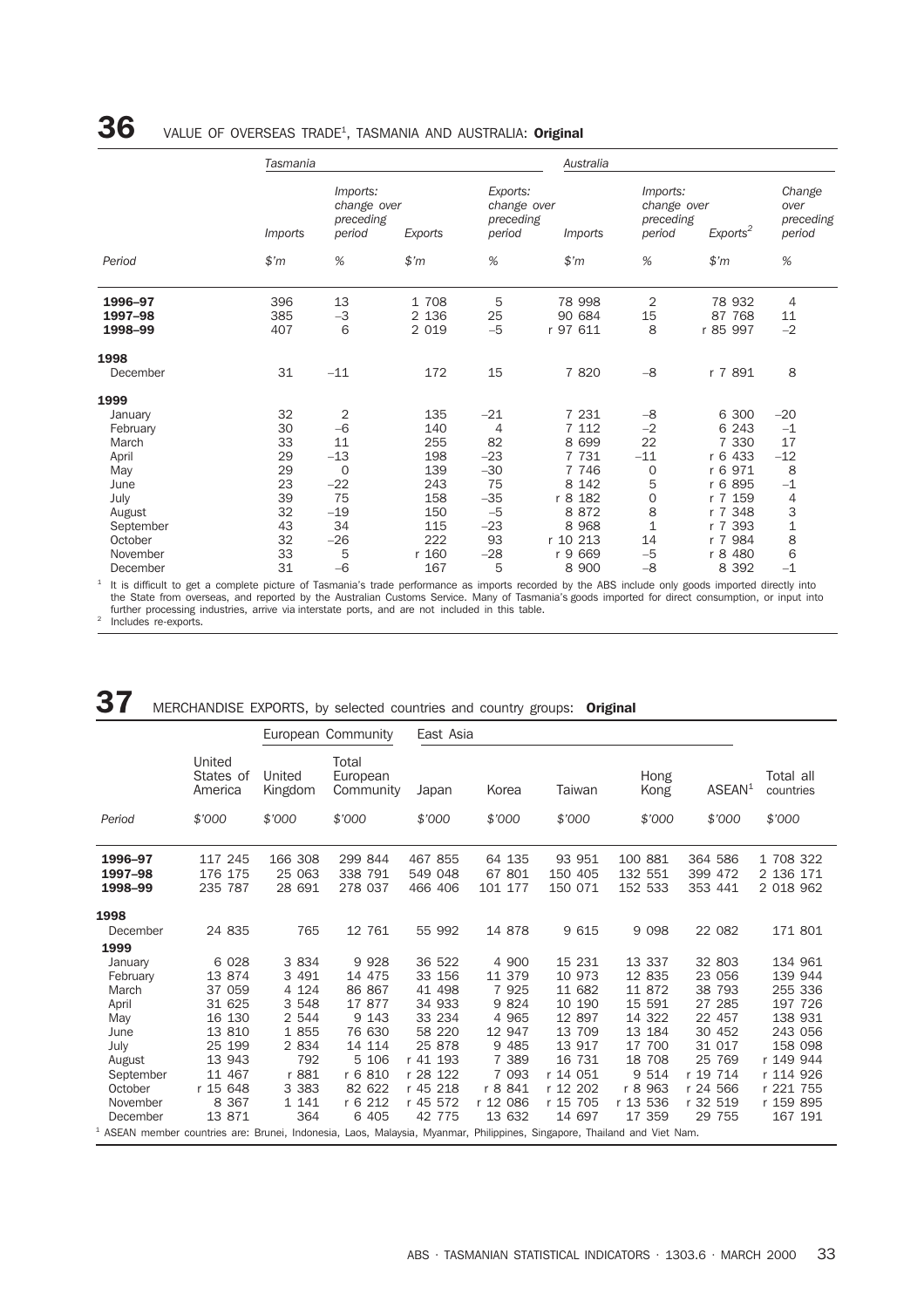## $\bf{36}$  value of overseas trade<sup>1</sup>, tasmania and australia: **Original**

|                                                          |                                                                                   |                                                                    |                                                                          | Australia                                                                                                 |                                                                      |                                                                                                                        |                                                                              |
|----------------------------------------------------------|-----------------------------------------------------------------------------------|--------------------------------------------------------------------|--------------------------------------------------------------------------|-----------------------------------------------------------------------------------------------------------|----------------------------------------------------------------------|------------------------------------------------------------------------------------------------------------------------|------------------------------------------------------------------------------|
| <i>Imports</i>                                           | Imports:<br>period                                                                | Exports                                                            | period                                                                   | <i>Imports</i>                                                                                            | period                                                               | Exports <sup>2</sup>                                                                                                   | Change<br>over<br>preceding<br>period                                        |
| \$m\$                                                    | %                                                                                 | \$'m                                                               | %                                                                        | $$^{\prime}m$                                                                                             | %                                                                    | \$m                                                                                                                    | %                                                                            |
| 396<br>385<br>407                                        | 13<br>$-3$<br>6                                                                   | 1 708<br>2 1 3 6<br>2 0 1 9                                        | 5<br>25<br>$-5$                                                          | 78 998<br>90 684<br>r 97 611                                                                              | $\overline{2}$<br>15<br>8                                            | 78 932<br>87 768<br>r 85 997                                                                                           | $\overline{4}$<br>11<br>$-2$                                                 |
| 31                                                       | $-11$                                                                             | 172                                                                | 15                                                                       | 7 8 20                                                                                                    | $-8$                                                                 | r 7 891                                                                                                                | 8                                                                            |
| 32<br>30<br>33<br>29<br>29<br>23<br>39<br>32<br>43<br>32 | $\overline{2}$<br>$-6$<br>11<br>$-13$<br>0<br>$-22$<br>75<br>$-19$<br>34<br>$-26$ | 135<br>140<br>255<br>198<br>139<br>243<br>158<br>150<br>115<br>222 | $-21$<br>4<br>82<br>$-23$<br>$-30$<br>75<br>$-35$<br>$-5$<br>$-23$<br>93 | 7 231<br>7 1 1 2<br>8 6 9 9<br>7 7 3 1<br>7 7 4 6<br>8 1 4 2<br>r 8 182<br>8 8 7 2<br>8 9 6 8<br>r 10 213 | $-8$<br>$-2$<br>22<br>$-11$<br>$\mathbf 0$<br>5<br>0<br>8<br>1<br>14 | 6 300<br>6 2 4 3<br>7 3 3 0<br>433<br>r <sub>6</sub><br>r 6 971<br>r 6 895<br>r 7 159<br>r 7 348<br>r 7 393<br>r 7 984 | $-20$<br>$-1$<br>17<br>$-12$<br>8<br>$-1$<br>4<br>3<br>$\mathbf 1$<br>8<br>6 |
|                                                          | 33<br>31                                                                          | Tasmania<br>5<br>$-6$                                              | change over<br>preceding<br>r 160                                        | $-28$                                                                                                     | Exports:<br>change over<br>preceding<br>r 9 669<br>5<br>167<br>8 900 | $-5$                                                                                                                   | Imports:<br>change over<br>preceding<br>r 8 480<br>$-8$<br>8 3 9 2           |

It is difficult to get a complete picture of Tasmania's trade performance as imports recorded by the ABS include only goods imported directly into<br>The State from overseas, and reported by the Australian Customs Service. Ma further processing industries, arrive via interstate ports, and are not included in this table.

<sup>2</sup> Includes re-exports.

### 37 MERCHANDISE EXPORTS, by selected countries and country groups: Original

|                                                                                                                                     |                                |                             | European Community             | East Asia                     |                             |                              |                               |                               |                                     |
|-------------------------------------------------------------------------------------------------------------------------------------|--------------------------------|-----------------------------|--------------------------------|-------------------------------|-----------------------------|------------------------------|-------------------------------|-------------------------------|-------------------------------------|
|                                                                                                                                     | United<br>States of<br>America | United<br>Kingdom           | Total<br>European<br>Community | Japan                         | Korea                       | Taiwan                       | Hong<br>Kong                  | ASEAN <sup>1</sup>            | Total all<br>countries              |
| Period                                                                                                                              | \$'000                         | \$'000                      | \$'000                         | \$'000                        | \$'000                      | \$'000                       | \$'000                        | \$7000                        | \$'000                              |
| 1996-97<br>1997-98<br>1998-99                                                                                                       | 117 245<br>176 175<br>235 787  | 166 308<br>25 063<br>28 691 | 299 844<br>338 791<br>278 037  | 467 855<br>549 048<br>466 406 | 64 135<br>67 801<br>101 177 | 93 951<br>150 405<br>150 071 | 100 881<br>132 551<br>152 533 | 364 586<br>399 472<br>353 441 | 1 708 322<br>2 136 171<br>2 018 962 |
| 1998                                                                                                                                |                                |                             |                                |                               |                             |                              |                               |                               |                                     |
| December                                                                                                                            | 24 835                         | 765                         | 12 761                         | 55 992                        | 14 878                      | 9 615                        | 9 0 9 8                       | 22 082                        | 171 801                             |
| 1999                                                                                                                                |                                |                             |                                |                               |                             |                              |                               |                               |                                     |
| January                                                                                                                             | 6 0 28                         | 3 8 3 4                     | 9 9 28                         | 36 522                        | 4 900                       | 15 231                       | 13 337                        | 32 803                        | 134 961                             |
| February                                                                                                                            | 13 874                         | 3 4 9 1                     | 14 475                         | 33 156                        | 11 379                      | 10 973                       | 12 835                        | 23 056                        | 139 944                             |
| March                                                                                                                               | 37 059                         | 4 1 2 4                     | 86 867                         | 41 498                        | 7 9 2 5                     | 11 682                       | 11 872                        | 38 793                        | 255 336                             |
| April                                                                                                                               | 31 625                         | 3 548                       | 17 877                         | 34 933                        | 9 8 2 4                     | 10 190                       | 15 591                        | 27 285                        | 197 726                             |
| May                                                                                                                                 | 16 130                         | 2 544                       | 9 1 4 3                        | 33 234                        | 4 9 6 5                     | 12 897                       | 14 322                        | 22 457                        | 138 931                             |
| June                                                                                                                                | 13 810                         | 1 855                       | 76 630                         | 58 220                        | 12 947                      | 13 709                       | 13 184                        | 30 452                        | 243 056                             |
| July                                                                                                                                | 25 199                         | 2 8 3 4                     | 14 114                         | 25 878                        | 9 4 8 5                     | 13 917                       | 17 700                        | 31 017                        | 158 098                             |
| August                                                                                                                              | 13 943                         | 792                         | 5 106                          | r 41 193                      | 7 389                       | 16 731                       | 18 708                        | 25 769                        | r 149 944                           |
| September                                                                                                                           | 11 467                         | r 881                       | r 6 810                        | r 28 122                      | 7 0 9 3                     | r 14 051                     | 9 5 1 4                       | r 19 714                      | r 114 926                           |
| October                                                                                                                             | r 15 648                       | 3 3 8 3                     | 82 622                         | r 45 218                      | r 8 841                     | r 12 202                     | r 8 963                       | r 24 566                      | r 221 755                           |
| November                                                                                                                            | 8 3 6 7                        | 1 1 4 1                     | r 6 212                        | r 45 572                      | r 12 086                    | r 15 705                     | r 13 536                      | r 32 519                      | r 159 895                           |
| December                                                                                                                            | 13 871                         | 364                         | 6 4 0 5                        | 42 775                        | 13 632                      | 14 697                       | 17 359                        | 29 755                        | 167 191                             |
| <sup>1</sup> ASEAN member countries are: Brunei, Indonesia, Laos, Malaysia, Myanmar, Philippines, Singapore, Thailand and Viet Nam. |                                |                             |                                |                               |                             |                              |                               |                               |                                     |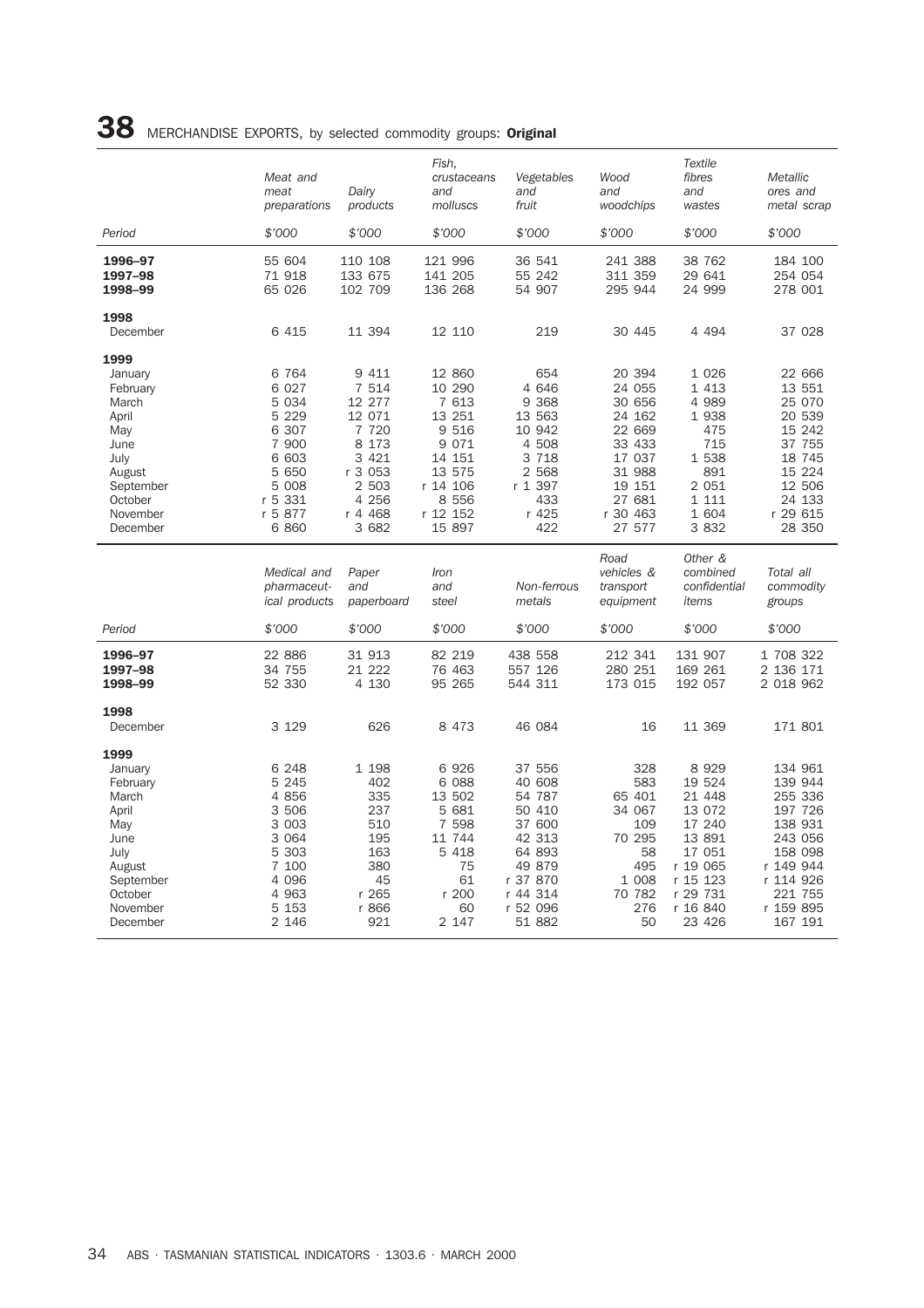|                                                                                                                                | Meat and<br>meat<br>preparations                                                                                         | Dairy<br>products                                                                                                    | Fish,<br>crustaceans<br>and<br>molluscs                                                                                    | Vegetables<br>and<br>fruit                                                                                   | Wood<br>and<br>woodchips                                                                                               | <b>Textile</b><br>fibres<br>and<br>wastes                                                                    | Metallic<br>ores and<br>metal scrap                                                                                    |
|--------------------------------------------------------------------------------------------------------------------------------|--------------------------------------------------------------------------------------------------------------------------|----------------------------------------------------------------------------------------------------------------------|----------------------------------------------------------------------------------------------------------------------------|--------------------------------------------------------------------------------------------------------------|------------------------------------------------------------------------------------------------------------------------|--------------------------------------------------------------------------------------------------------------|------------------------------------------------------------------------------------------------------------------------|
| Period                                                                                                                         | \$'000                                                                                                                   | \$'000                                                                                                               | \$'000                                                                                                                     | \$'000                                                                                                       | \$'000                                                                                                                 | \$'000                                                                                                       | \$'000                                                                                                                 |
| 1996-97<br>1997-98<br>1998-99                                                                                                  | 55 604<br>71 918<br>65 026                                                                                               | 110 108<br>133 675<br>102 709                                                                                        | 121 996<br>141 205<br>136 268                                                                                              | 36 541<br>55 242<br>54 907                                                                                   | 241 388<br>311 359<br>295 944                                                                                          | 38 762<br>29 641<br>24 999                                                                                   | 184 100<br>254 054<br>278 001                                                                                          |
| 1998<br>December                                                                                                               | 6 4 1 5                                                                                                                  | 11 394                                                                                                               | 12 110                                                                                                                     | 219                                                                                                          | 30 445                                                                                                                 | 4 4 9 4                                                                                                      | 37 028                                                                                                                 |
| 1999<br>January<br>February<br>March<br>April<br>May<br>June<br>July<br>August<br>September<br>October<br>November<br>December | 6 7 6 4<br>6 0 2 7<br>5 0 3 4<br>5 2 2 9<br>6 307<br>7 900<br>6 603<br>5 650<br>5 0 0 8<br>r 5 331<br>r 5 877<br>6 8 6 0 | 9 4 1 1<br>7 514<br>12 277<br>12 071<br>7 7 2 0<br>8 173<br>3 4 2 1<br>r 3 053<br>2 503<br>4 256<br>r 4 468<br>3 682 | 12 860<br>10 290<br>7 613<br>13 251<br>9 5 1 6<br>9 0 7 1<br>14 151<br>13 575<br>r 14 106<br>8 5 5 6<br>r 12 152<br>15 897 | 654<br>4 646<br>9 3 6 8<br>13 563<br>10 942<br>4 508<br>3 7 1 8<br>2 5 6 8<br>r 1 397<br>433<br>r 425<br>422 | 20 394<br>24 055<br>30 656<br>24 162<br>22 669<br>33 433<br>17 037<br>31 988<br>19 151<br>27 681<br>r 30 463<br>27 577 | 1 0 2 6<br>1 4 1 3<br>4 9 8 9<br>1 938<br>475<br>715<br>1 538<br>891<br>2 051<br>1 1 1 1<br>1 604<br>3 8 3 2 | 22 666<br>13 551<br>25 070<br>20 539<br>15 242<br>37 755<br>18 745<br>15 224<br>12 506<br>24 133<br>r 29 615<br>28 350 |
|                                                                                                                                |                                                                                                                          |                                                                                                                      |                                                                                                                            |                                                                                                              |                                                                                                                        |                                                                                                              |                                                                                                                        |
|                                                                                                                                | Medical and<br>pharmaceut-<br><i>ical products</i>                                                                       | Paper<br>and<br>paperboard                                                                                           | Iron<br>and<br>steel                                                                                                       | Non-ferrous<br>metals                                                                                        | Road<br>vehicles &<br>transport<br>equipment                                                                           | Other &<br>combined<br>confidential<br>items                                                                 | Total all<br>commodity<br>groups                                                                                       |
| Period                                                                                                                         | \$'000                                                                                                                   | \$'000                                                                                                               | \$'000                                                                                                                     | \$'000                                                                                                       | \$'000                                                                                                                 | \$'000                                                                                                       | \$'000                                                                                                                 |
| 1996-97<br>1997-98<br>1998-99                                                                                                  | 22 886<br>34 755<br>52 330                                                                                               | 31 913<br>21 222<br>4 130                                                                                            | 82 219<br>76 463<br>95 265                                                                                                 | 438 558<br>557 126<br>544 311                                                                                | 212 341<br>280 251<br>173 015                                                                                          | 131 907<br>169 261<br>192 057                                                                                | 1 708 322<br>2 136 171<br>2 018 962                                                                                    |
| 1998<br>December                                                                                                               | 3 1 2 9                                                                                                                  | 626                                                                                                                  | 8 4 7 3                                                                                                                    | 46 084                                                                                                       | 16                                                                                                                     | 11 369                                                                                                       | 171 801                                                                                                                |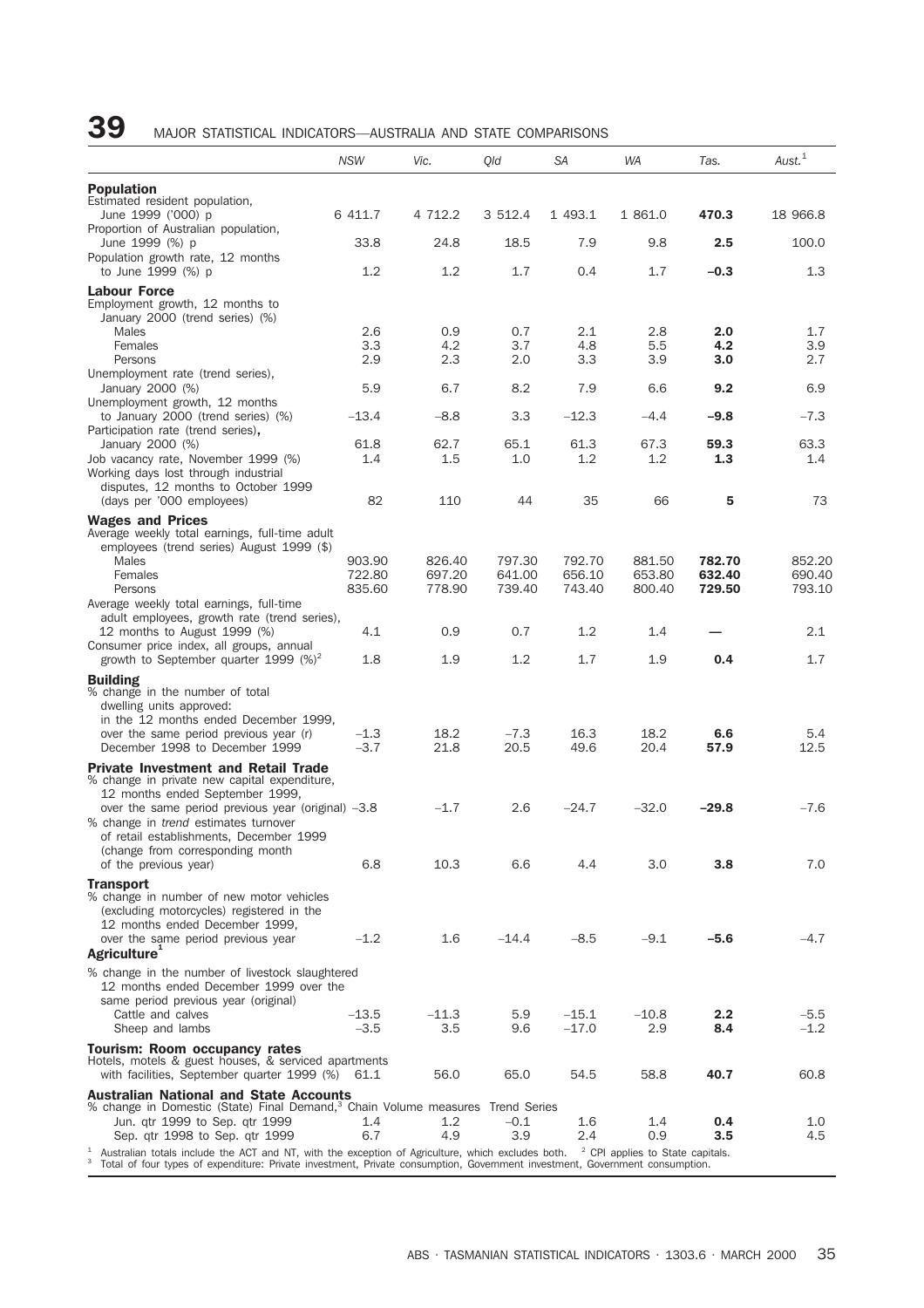| <b>Population</b><br>Estimated resident population,<br>6 411.7<br>4 712.2<br>3 512.4<br>1 493.1<br>1 861.0<br>470.3<br>18 966.8<br>June 1999 ('000) p<br>Proportion of Australian population,<br>33.8<br>24.8<br>18.5<br>7.9<br>9.8<br>2.5<br>100.0<br>June 1999 (%) p<br>Population growth rate, 12 months<br>to June 1999 (%) p<br>1.2<br>1.2<br>1.7<br>0.4<br>1.7<br>$-0.3$<br>1.3<br><b>Labour Force</b><br>Employment growth, 12 months to<br>January 2000 (trend series) (%)<br>2.6<br>0.9<br>0.7<br>2.1<br>2.8<br>2.0<br>1.7<br>Males<br>3.3<br>4.2<br>3.7<br>4.8<br>5.5<br>4.2<br>3.9<br>Females<br>2.9<br>2.3<br>3.3<br>Persons<br>2.0<br>3.9<br>3.0<br>2.7<br>Unemployment rate (trend series),<br>January 2000 (%)<br>5.9<br>6.7<br>8.2<br>7.9<br>6.6<br>9.2<br>6.9<br>Unemployment growth, 12 months<br>$-8.8$<br>$-12.3$<br>$-9.8$<br>$-7.3$<br>to January 2000 (trend series) (%)<br>$-13.4$<br>3.3<br>$-4.4$<br>Participation rate (trend series),<br>63.3<br>January 2000 (%)<br>61.8<br>62.7<br>65.1<br>61.3<br>67.3<br>59.3<br>1.5<br>Job vacancy rate, November 1999 (%)<br>1.4<br>1.0<br>$1.2\,$<br>1.2<br>1.3<br>1.4<br>Working days lost through industrial<br>disputes, 12 months to October 1999<br>82<br>110<br>44<br>35<br>66<br>73<br>(days per '000 employees)<br>5<br><b>Wages and Prices</b><br>Average weekly total earnings, full-time adult<br>employees (trend series) August 1999 (\$)<br>Males<br>903.90<br>826.40<br>797.30<br>792.70<br>881.50<br>782.70<br>852.20<br>656.10<br>690.40<br>Females<br>722.80<br>697.20<br>641.00<br>653.80<br>632.40<br>835.60<br>778.90<br>739.40<br>743.40<br>800.40<br>729.50<br>793.10<br>Persons<br>Average weekly total earnings, full-time<br>adult employees, growth rate (trend series),<br>4.1<br>0.9<br>0.7<br>1.2<br>1.4<br>2.1<br>12 months to August 1999 (%)<br>Consumer price index, all groups, annual<br>growth to September quarter 1999 $(\%)^2$<br>1.8<br>1.9<br>1.2<br>1.7<br>1.9<br>0.4<br>1.7<br><b>Building</b><br>% change in the number of total<br>dwelling units approved:<br>in the 12 months ended December 1999,<br>$-1.3$<br>18.2<br>18.2<br>over the same period previous year (r)<br>$-7.3$<br>16.3<br>6.6<br>5.4<br>$-3.7$<br>December 1998 to December 1999<br>21.8<br>20.5<br>49.6<br>20.4<br>57.9<br>12.5<br><b>Private Investment and Retail Trade</b><br>% change in private new capital expenditure,<br>12 months ended September 1999,<br>$-1.7$<br>$-24.7$<br>$-32.0$<br>$-7.6$<br>over the same period previous year (original) -3.8<br>2.6<br>$-29.8$<br>% change in trend estimates turnover<br>of retail establishments, December 1999<br>(change from corresponding month<br>6.8<br>6.6<br>of the previous year)<br>10.3<br>4.4<br>3.0<br>3.8<br>7.0<br><b>Transport</b><br>% change in number of new motor vehicles<br>(excluding motorcycles) registered in the<br>12 months ended December 1999,<br>$-1.2$<br>1.6<br>$-8.5$<br>$-9.1$<br>$-4.7$<br>over the same period previous year<br>$-14.4$<br>$-5.6$<br><b>Agriculture</b><br>% change in the number of livestock slaughtered<br>12 months ended December 1999 over the<br>same period previous year (original)<br>Cattle and calves<br>–13.5<br>$-11.3$<br>5.9<br>$-15.1$<br>$-10.8$<br>2.2<br>$-5.5$<br>3.5<br>$-3.5$<br>9.6<br>$-17.0$<br>2.9<br>8.4<br>$-1.2$<br>Sheep and lambs<br>Tourism: Room occupancy rates<br>Hotels, motels & guest houses, & serviced apartments<br>56.0<br>65.0<br>58.8<br>40.7<br>with facilities, September quarter 1999 (%) 61.1<br>54.5<br>60.8<br><b>Australian National and State Accounts</b><br>% change in Domestic (State) Final Demand, <sup>3</sup> Chain Volume measures Trend Series<br>Jun. qtr 1999 to Sep. qtr 1999<br>1.2<br>$-0.1$<br>1.6<br>1.4<br>1.0<br>1.4<br>0.4<br>6.7<br>4.9<br>3.9<br>2.4<br>0.9<br>Sep. qtr 1998 to Sep. qtr 1999<br>3.5<br>4.5<br>Australian totals include the ACT and NT, with the exception of Agriculture, which excludes both.<br><sup>2</sup> CPI applies to State capitals. | <b>NSW</b> | Vic. | Qld | <b>SA</b> | <b>WA</b> | Tas. | $A$ ust. $1$ |
|----------------------------------------------------------------------------------------------------------------------------------------------------------------------------------------------------------------------------------------------------------------------------------------------------------------------------------------------------------------------------------------------------------------------------------------------------------------------------------------------------------------------------------------------------------------------------------------------------------------------------------------------------------------------------------------------------------------------------------------------------------------------------------------------------------------------------------------------------------------------------------------------------------------------------------------------------------------------------------------------------------------------------------------------------------------------------------------------------------------------------------------------------------------------------------------------------------------------------------------------------------------------------------------------------------------------------------------------------------------------------------------------------------------------------------------------------------------------------------------------------------------------------------------------------------------------------------------------------------------------------------------------------------------------------------------------------------------------------------------------------------------------------------------------------------------------------------------------------------------------------------------------------------------------------------------------------------------------------------------------------------------------------------------------------------------------------------------------------------------------------------------------------------------------------------------------------------------------------------------------------------------------------------------------------------------------------------------------------------------------------------------------------------------------------------------------------------------------------------------------------------------------------------------------------------------------------------------------------------------------------------------------------------------------------------------------------------------------------------------------------------------------------------------------------------------------------------------------------------------------------------------------------------------------------------------------------------------------------------------------------------------------------------------------------------------------------------------------------------------------------------------------------------------------------------------------------------------------------------------------------------------------------------------------------------------------------------------------------------------------------------------------------------------------------------------------------------------------------------------------------------------------------------------------------------------------------------------------------------------------------------------------------------------------------------------------------------------------------------------------------------------------------------------------------------------------------------------------------------------------------------------------------------------------------------------------------------------------------------------------------------------------------------------------|------------|------|-----|-----------|-----------|------|--------------|
|                                                                                                                                                                                                                                                                                                                                                                                                                                                                                                                                                                                                                                                                                                                                                                                                                                                                                                                                                                                                                                                                                                                                                                                                                                                                                                                                                                                                                                                                                                                                                                                                                                                                                                                                                                                                                                                                                                                                                                                                                                                                                                                                                                                                                                                                                                                                                                                                                                                                                                                                                                                                                                                                                                                                                                                                                                                                                                                                                                                                                                                                                                                                                                                                                                                                                                                                                                                                                                                                                                                                                                                                                                                                                                                                                                                                                                                                                                                                                                                                                                              |            |      |     |           |           |      |              |
|                                                                                                                                                                                                                                                                                                                                                                                                                                                                                                                                                                                                                                                                                                                                                                                                                                                                                                                                                                                                                                                                                                                                                                                                                                                                                                                                                                                                                                                                                                                                                                                                                                                                                                                                                                                                                                                                                                                                                                                                                                                                                                                                                                                                                                                                                                                                                                                                                                                                                                                                                                                                                                                                                                                                                                                                                                                                                                                                                                                                                                                                                                                                                                                                                                                                                                                                                                                                                                                                                                                                                                                                                                                                                                                                                                                                                                                                                                                                                                                                                                              |            |      |     |           |           |      |              |
|                                                                                                                                                                                                                                                                                                                                                                                                                                                                                                                                                                                                                                                                                                                                                                                                                                                                                                                                                                                                                                                                                                                                                                                                                                                                                                                                                                                                                                                                                                                                                                                                                                                                                                                                                                                                                                                                                                                                                                                                                                                                                                                                                                                                                                                                                                                                                                                                                                                                                                                                                                                                                                                                                                                                                                                                                                                                                                                                                                                                                                                                                                                                                                                                                                                                                                                                                                                                                                                                                                                                                                                                                                                                                                                                                                                                                                                                                                                                                                                                                                              |            |      |     |           |           |      |              |
|                                                                                                                                                                                                                                                                                                                                                                                                                                                                                                                                                                                                                                                                                                                                                                                                                                                                                                                                                                                                                                                                                                                                                                                                                                                                                                                                                                                                                                                                                                                                                                                                                                                                                                                                                                                                                                                                                                                                                                                                                                                                                                                                                                                                                                                                                                                                                                                                                                                                                                                                                                                                                                                                                                                                                                                                                                                                                                                                                                                                                                                                                                                                                                                                                                                                                                                                                                                                                                                                                                                                                                                                                                                                                                                                                                                                                                                                                                                                                                                                                                              |            |      |     |           |           |      |              |
|                                                                                                                                                                                                                                                                                                                                                                                                                                                                                                                                                                                                                                                                                                                                                                                                                                                                                                                                                                                                                                                                                                                                                                                                                                                                                                                                                                                                                                                                                                                                                                                                                                                                                                                                                                                                                                                                                                                                                                                                                                                                                                                                                                                                                                                                                                                                                                                                                                                                                                                                                                                                                                                                                                                                                                                                                                                                                                                                                                                                                                                                                                                                                                                                                                                                                                                                                                                                                                                                                                                                                                                                                                                                                                                                                                                                                                                                                                                                                                                                                                              |            |      |     |           |           |      |              |
|                                                                                                                                                                                                                                                                                                                                                                                                                                                                                                                                                                                                                                                                                                                                                                                                                                                                                                                                                                                                                                                                                                                                                                                                                                                                                                                                                                                                                                                                                                                                                                                                                                                                                                                                                                                                                                                                                                                                                                                                                                                                                                                                                                                                                                                                                                                                                                                                                                                                                                                                                                                                                                                                                                                                                                                                                                                                                                                                                                                                                                                                                                                                                                                                                                                                                                                                                                                                                                                                                                                                                                                                                                                                                                                                                                                                                                                                                                                                                                                                                                              |            |      |     |           |           |      |              |
|                                                                                                                                                                                                                                                                                                                                                                                                                                                                                                                                                                                                                                                                                                                                                                                                                                                                                                                                                                                                                                                                                                                                                                                                                                                                                                                                                                                                                                                                                                                                                                                                                                                                                                                                                                                                                                                                                                                                                                                                                                                                                                                                                                                                                                                                                                                                                                                                                                                                                                                                                                                                                                                                                                                                                                                                                                                                                                                                                                                                                                                                                                                                                                                                                                                                                                                                                                                                                                                                                                                                                                                                                                                                                                                                                                                                                                                                                                                                                                                                                                              |            |      |     |           |           |      |              |
|                                                                                                                                                                                                                                                                                                                                                                                                                                                                                                                                                                                                                                                                                                                                                                                                                                                                                                                                                                                                                                                                                                                                                                                                                                                                                                                                                                                                                                                                                                                                                                                                                                                                                                                                                                                                                                                                                                                                                                                                                                                                                                                                                                                                                                                                                                                                                                                                                                                                                                                                                                                                                                                                                                                                                                                                                                                                                                                                                                                                                                                                                                                                                                                                                                                                                                                                                                                                                                                                                                                                                                                                                                                                                                                                                                                                                                                                                                                                                                                                                                              |            |      |     |           |           |      |              |
|                                                                                                                                                                                                                                                                                                                                                                                                                                                                                                                                                                                                                                                                                                                                                                                                                                                                                                                                                                                                                                                                                                                                                                                                                                                                                                                                                                                                                                                                                                                                                                                                                                                                                                                                                                                                                                                                                                                                                                                                                                                                                                                                                                                                                                                                                                                                                                                                                                                                                                                                                                                                                                                                                                                                                                                                                                                                                                                                                                                                                                                                                                                                                                                                                                                                                                                                                                                                                                                                                                                                                                                                                                                                                                                                                                                                                                                                                                                                                                                                                                              |            |      |     |           |           |      |              |
|                                                                                                                                                                                                                                                                                                                                                                                                                                                                                                                                                                                                                                                                                                                                                                                                                                                                                                                                                                                                                                                                                                                                                                                                                                                                                                                                                                                                                                                                                                                                                                                                                                                                                                                                                                                                                                                                                                                                                                                                                                                                                                                                                                                                                                                                                                                                                                                                                                                                                                                                                                                                                                                                                                                                                                                                                                                                                                                                                                                                                                                                                                                                                                                                                                                                                                                                                                                                                                                                                                                                                                                                                                                                                                                                                                                                                                                                                                                                                                                                                                              |            |      |     |           |           |      |              |
|                                                                                                                                                                                                                                                                                                                                                                                                                                                                                                                                                                                                                                                                                                                                                                                                                                                                                                                                                                                                                                                                                                                                                                                                                                                                                                                                                                                                                                                                                                                                                                                                                                                                                                                                                                                                                                                                                                                                                                                                                                                                                                                                                                                                                                                                                                                                                                                                                                                                                                                                                                                                                                                                                                                                                                                                                                                                                                                                                                                                                                                                                                                                                                                                                                                                                                                                                                                                                                                                                                                                                                                                                                                                                                                                                                                                                                                                                                                                                                                                                                              |            |      |     |           |           |      |              |
|                                                                                                                                                                                                                                                                                                                                                                                                                                                                                                                                                                                                                                                                                                                                                                                                                                                                                                                                                                                                                                                                                                                                                                                                                                                                                                                                                                                                                                                                                                                                                                                                                                                                                                                                                                                                                                                                                                                                                                                                                                                                                                                                                                                                                                                                                                                                                                                                                                                                                                                                                                                                                                                                                                                                                                                                                                                                                                                                                                                                                                                                                                                                                                                                                                                                                                                                                                                                                                                                                                                                                                                                                                                                                                                                                                                                                                                                                                                                                                                                                                              |            |      |     |           |           |      |              |
|                                                                                                                                                                                                                                                                                                                                                                                                                                                                                                                                                                                                                                                                                                                                                                                                                                                                                                                                                                                                                                                                                                                                                                                                                                                                                                                                                                                                                                                                                                                                                                                                                                                                                                                                                                                                                                                                                                                                                                                                                                                                                                                                                                                                                                                                                                                                                                                                                                                                                                                                                                                                                                                                                                                                                                                                                                                                                                                                                                                                                                                                                                                                                                                                                                                                                                                                                                                                                                                                                                                                                                                                                                                                                                                                                                                                                                                                                                                                                                                                                                              |            |      |     |           |           |      |              |
|                                                                                                                                                                                                                                                                                                                                                                                                                                                                                                                                                                                                                                                                                                                                                                                                                                                                                                                                                                                                                                                                                                                                                                                                                                                                                                                                                                                                                                                                                                                                                                                                                                                                                                                                                                                                                                                                                                                                                                                                                                                                                                                                                                                                                                                                                                                                                                                                                                                                                                                                                                                                                                                                                                                                                                                                                                                                                                                                                                                                                                                                                                                                                                                                                                                                                                                                                                                                                                                                                                                                                                                                                                                                                                                                                                                                                                                                                                                                                                                                                                              |            |      |     |           |           |      |              |
|                                                                                                                                                                                                                                                                                                                                                                                                                                                                                                                                                                                                                                                                                                                                                                                                                                                                                                                                                                                                                                                                                                                                                                                                                                                                                                                                                                                                                                                                                                                                                                                                                                                                                                                                                                                                                                                                                                                                                                                                                                                                                                                                                                                                                                                                                                                                                                                                                                                                                                                                                                                                                                                                                                                                                                                                                                                                                                                                                                                                                                                                                                                                                                                                                                                                                                                                                                                                                                                                                                                                                                                                                                                                                                                                                                                                                                                                                                                                                                                                                                              |            |      |     |           |           |      |              |
|                                                                                                                                                                                                                                                                                                                                                                                                                                                                                                                                                                                                                                                                                                                                                                                                                                                                                                                                                                                                                                                                                                                                                                                                                                                                                                                                                                                                                                                                                                                                                                                                                                                                                                                                                                                                                                                                                                                                                                                                                                                                                                                                                                                                                                                                                                                                                                                                                                                                                                                                                                                                                                                                                                                                                                                                                                                                                                                                                                                                                                                                                                                                                                                                                                                                                                                                                                                                                                                                                                                                                                                                                                                                                                                                                                                                                                                                                                                                                                                                                                              |            |      |     |           |           |      |              |
|                                                                                                                                                                                                                                                                                                                                                                                                                                                                                                                                                                                                                                                                                                                                                                                                                                                                                                                                                                                                                                                                                                                                                                                                                                                                                                                                                                                                                                                                                                                                                                                                                                                                                                                                                                                                                                                                                                                                                                                                                                                                                                                                                                                                                                                                                                                                                                                                                                                                                                                                                                                                                                                                                                                                                                                                                                                                                                                                                                                                                                                                                                                                                                                                                                                                                                                                                                                                                                                                                                                                                                                                                                                                                                                                                                                                                                                                                                                                                                                                                                              |            |      |     |           |           |      |              |
|                                                                                                                                                                                                                                                                                                                                                                                                                                                                                                                                                                                                                                                                                                                                                                                                                                                                                                                                                                                                                                                                                                                                                                                                                                                                                                                                                                                                                                                                                                                                                                                                                                                                                                                                                                                                                                                                                                                                                                                                                                                                                                                                                                                                                                                                                                                                                                                                                                                                                                                                                                                                                                                                                                                                                                                                                                                                                                                                                                                                                                                                                                                                                                                                                                                                                                                                                                                                                                                                                                                                                                                                                                                                                                                                                                                                                                                                                                                                                                                                                                              |            |      |     |           |           |      |              |
|                                                                                                                                                                                                                                                                                                                                                                                                                                                                                                                                                                                                                                                                                                                                                                                                                                                                                                                                                                                                                                                                                                                                                                                                                                                                                                                                                                                                                                                                                                                                                                                                                                                                                                                                                                                                                                                                                                                                                                                                                                                                                                                                                                                                                                                                                                                                                                                                                                                                                                                                                                                                                                                                                                                                                                                                                                                                                                                                                                                                                                                                                                                                                                                                                                                                                                                                                                                                                                                                                                                                                                                                                                                                                                                                                                                                                                                                                                                                                                                                                                              |            |      |     |           |           |      |              |
|                                                                                                                                                                                                                                                                                                                                                                                                                                                                                                                                                                                                                                                                                                                                                                                                                                                                                                                                                                                                                                                                                                                                                                                                                                                                                                                                                                                                                                                                                                                                                                                                                                                                                                                                                                                                                                                                                                                                                                                                                                                                                                                                                                                                                                                                                                                                                                                                                                                                                                                                                                                                                                                                                                                                                                                                                                                                                                                                                                                                                                                                                                                                                                                                                                                                                                                                                                                                                                                                                                                                                                                                                                                                                                                                                                                                                                                                                                                                                                                                                                              |            |      |     |           |           |      |              |
|                                                                                                                                                                                                                                                                                                                                                                                                                                                                                                                                                                                                                                                                                                                                                                                                                                                                                                                                                                                                                                                                                                                                                                                                                                                                                                                                                                                                                                                                                                                                                                                                                                                                                                                                                                                                                                                                                                                                                                                                                                                                                                                                                                                                                                                                                                                                                                                                                                                                                                                                                                                                                                                                                                                                                                                                                                                                                                                                                                                                                                                                                                                                                                                                                                                                                                                                                                                                                                                                                                                                                                                                                                                                                                                                                                                                                                                                                                                                                                                                                                              |            |      |     |           |           |      |              |
|                                                                                                                                                                                                                                                                                                                                                                                                                                                                                                                                                                                                                                                                                                                                                                                                                                                                                                                                                                                                                                                                                                                                                                                                                                                                                                                                                                                                                                                                                                                                                                                                                                                                                                                                                                                                                                                                                                                                                                                                                                                                                                                                                                                                                                                                                                                                                                                                                                                                                                                                                                                                                                                                                                                                                                                                                                                                                                                                                                                                                                                                                                                                                                                                                                                                                                                                                                                                                                                                                                                                                                                                                                                                                                                                                                                                                                                                                                                                                                                                                                              |            |      |     |           |           |      |              |
|                                                                                                                                                                                                                                                                                                                                                                                                                                                                                                                                                                                                                                                                                                                                                                                                                                                                                                                                                                                                                                                                                                                                                                                                                                                                                                                                                                                                                                                                                                                                                                                                                                                                                                                                                                                                                                                                                                                                                                                                                                                                                                                                                                                                                                                                                                                                                                                                                                                                                                                                                                                                                                                                                                                                                                                                                                                                                                                                                                                                                                                                                                                                                                                                                                                                                                                                                                                                                                                                                                                                                                                                                                                                                                                                                                                                                                                                                                                                                                                                                                              |            |      |     |           |           |      |              |
|                                                                                                                                                                                                                                                                                                                                                                                                                                                                                                                                                                                                                                                                                                                                                                                                                                                                                                                                                                                                                                                                                                                                                                                                                                                                                                                                                                                                                                                                                                                                                                                                                                                                                                                                                                                                                                                                                                                                                                                                                                                                                                                                                                                                                                                                                                                                                                                                                                                                                                                                                                                                                                                                                                                                                                                                                                                                                                                                                                                                                                                                                                                                                                                                                                                                                                                                                                                                                                                                                                                                                                                                                                                                                                                                                                                                                                                                                                                                                                                                                                              |            |      |     |           |           |      |              |
|                                                                                                                                                                                                                                                                                                                                                                                                                                                                                                                                                                                                                                                                                                                                                                                                                                                                                                                                                                                                                                                                                                                                                                                                                                                                                                                                                                                                                                                                                                                                                                                                                                                                                                                                                                                                                                                                                                                                                                                                                                                                                                                                                                                                                                                                                                                                                                                                                                                                                                                                                                                                                                                                                                                                                                                                                                                                                                                                                                                                                                                                                                                                                                                                                                                                                                                                                                                                                                                                                                                                                                                                                                                                                                                                                                                                                                                                                                                                                                                                                                              |            |      |     |           |           |      |              |
|                                                                                                                                                                                                                                                                                                                                                                                                                                                                                                                                                                                                                                                                                                                                                                                                                                                                                                                                                                                                                                                                                                                                                                                                                                                                                                                                                                                                                                                                                                                                                                                                                                                                                                                                                                                                                                                                                                                                                                                                                                                                                                                                                                                                                                                                                                                                                                                                                                                                                                                                                                                                                                                                                                                                                                                                                                                                                                                                                                                                                                                                                                                                                                                                                                                                                                                                                                                                                                                                                                                                                                                                                                                                                                                                                                                                                                                                                                                                                                                                                                              |            |      |     |           |           |      |              |
|                                                                                                                                                                                                                                                                                                                                                                                                                                                                                                                                                                                                                                                                                                                                                                                                                                                                                                                                                                                                                                                                                                                                                                                                                                                                                                                                                                                                                                                                                                                                                                                                                                                                                                                                                                                                                                                                                                                                                                                                                                                                                                                                                                                                                                                                                                                                                                                                                                                                                                                                                                                                                                                                                                                                                                                                                                                                                                                                                                                                                                                                                                                                                                                                                                                                                                                                                                                                                                                                                                                                                                                                                                                                                                                                                                                                                                                                                                                                                                                                                                              |            |      |     |           |           |      |              |
|                                                                                                                                                                                                                                                                                                                                                                                                                                                                                                                                                                                                                                                                                                                                                                                                                                                                                                                                                                                                                                                                                                                                                                                                                                                                                                                                                                                                                                                                                                                                                                                                                                                                                                                                                                                                                                                                                                                                                                                                                                                                                                                                                                                                                                                                                                                                                                                                                                                                                                                                                                                                                                                                                                                                                                                                                                                                                                                                                                                                                                                                                                                                                                                                                                                                                                                                                                                                                                                                                                                                                                                                                                                                                                                                                                                                                                                                                                                                                                                                                                              |            |      |     |           |           |      |              |
|                                                                                                                                                                                                                                                                                                                                                                                                                                                                                                                                                                                                                                                                                                                                                                                                                                                                                                                                                                                                                                                                                                                                                                                                                                                                                                                                                                                                                                                                                                                                                                                                                                                                                                                                                                                                                                                                                                                                                                                                                                                                                                                                                                                                                                                                                                                                                                                                                                                                                                                                                                                                                                                                                                                                                                                                                                                                                                                                                                                                                                                                                                                                                                                                                                                                                                                                                                                                                                                                                                                                                                                                                                                                                                                                                                                                                                                                                                                                                                                                                                              |            |      |     |           |           |      |              |
|                                                                                                                                                                                                                                                                                                                                                                                                                                                                                                                                                                                                                                                                                                                                                                                                                                                                                                                                                                                                                                                                                                                                                                                                                                                                                                                                                                                                                                                                                                                                                                                                                                                                                                                                                                                                                                                                                                                                                                                                                                                                                                                                                                                                                                                                                                                                                                                                                                                                                                                                                                                                                                                                                                                                                                                                                                                                                                                                                                                                                                                                                                                                                                                                                                                                                                                                                                                                                                                                                                                                                                                                                                                                                                                                                                                                                                                                                                                                                                                                                                              |            |      |     |           |           |      |              |
|                                                                                                                                                                                                                                                                                                                                                                                                                                                                                                                                                                                                                                                                                                                                                                                                                                                                                                                                                                                                                                                                                                                                                                                                                                                                                                                                                                                                                                                                                                                                                                                                                                                                                                                                                                                                                                                                                                                                                                                                                                                                                                                                                                                                                                                                                                                                                                                                                                                                                                                                                                                                                                                                                                                                                                                                                                                                                                                                                                                                                                                                                                                                                                                                                                                                                                                                                                                                                                                                                                                                                                                                                                                                                                                                                                                                                                                                                                                                                                                                                                              |            |      |     |           |           |      |              |
|                                                                                                                                                                                                                                                                                                                                                                                                                                                                                                                                                                                                                                                                                                                                                                                                                                                                                                                                                                                                                                                                                                                                                                                                                                                                                                                                                                                                                                                                                                                                                                                                                                                                                                                                                                                                                                                                                                                                                                                                                                                                                                                                                                                                                                                                                                                                                                                                                                                                                                                                                                                                                                                                                                                                                                                                                                                                                                                                                                                                                                                                                                                                                                                                                                                                                                                                                                                                                                                                                                                                                                                                                                                                                                                                                                                                                                                                                                                                                                                                                                              |            |      |     |           |           |      |              |
|                                                                                                                                                                                                                                                                                                                                                                                                                                                                                                                                                                                                                                                                                                                                                                                                                                                                                                                                                                                                                                                                                                                                                                                                                                                                                                                                                                                                                                                                                                                                                                                                                                                                                                                                                                                                                                                                                                                                                                                                                                                                                                                                                                                                                                                                                                                                                                                                                                                                                                                                                                                                                                                                                                                                                                                                                                                                                                                                                                                                                                                                                                                                                                                                                                                                                                                                                                                                                                                                                                                                                                                                                                                                                                                                                                                                                                                                                                                                                                                                                                              |            |      |     |           |           |      |              |
|                                                                                                                                                                                                                                                                                                                                                                                                                                                                                                                                                                                                                                                                                                                                                                                                                                                                                                                                                                                                                                                                                                                                                                                                                                                                                                                                                                                                                                                                                                                                                                                                                                                                                                                                                                                                                                                                                                                                                                                                                                                                                                                                                                                                                                                                                                                                                                                                                                                                                                                                                                                                                                                                                                                                                                                                                                                                                                                                                                                                                                                                                                                                                                                                                                                                                                                                                                                                                                                                                                                                                                                                                                                                                                                                                                                                                                                                                                                                                                                                                                              |            |      |     |           |           |      |              |
|                                                                                                                                                                                                                                                                                                                                                                                                                                                                                                                                                                                                                                                                                                                                                                                                                                                                                                                                                                                                                                                                                                                                                                                                                                                                                                                                                                                                                                                                                                                                                                                                                                                                                                                                                                                                                                                                                                                                                                                                                                                                                                                                                                                                                                                                                                                                                                                                                                                                                                                                                                                                                                                                                                                                                                                                                                                                                                                                                                                                                                                                                                                                                                                                                                                                                                                                                                                                                                                                                                                                                                                                                                                                                                                                                                                                                                                                                                                                                                                                                                              |            |      |     |           |           |      |              |
|                                                                                                                                                                                                                                                                                                                                                                                                                                                                                                                                                                                                                                                                                                                                                                                                                                                                                                                                                                                                                                                                                                                                                                                                                                                                                                                                                                                                                                                                                                                                                                                                                                                                                                                                                                                                                                                                                                                                                                                                                                                                                                                                                                                                                                                                                                                                                                                                                                                                                                                                                                                                                                                                                                                                                                                                                                                                                                                                                                                                                                                                                                                                                                                                                                                                                                                                                                                                                                                                                                                                                                                                                                                                                                                                                                                                                                                                                                                                                                                                                                              |            |      |     |           |           |      |              |
|                                                                                                                                                                                                                                                                                                                                                                                                                                                                                                                                                                                                                                                                                                                                                                                                                                                                                                                                                                                                                                                                                                                                                                                                                                                                                                                                                                                                                                                                                                                                                                                                                                                                                                                                                                                                                                                                                                                                                                                                                                                                                                                                                                                                                                                                                                                                                                                                                                                                                                                                                                                                                                                                                                                                                                                                                                                                                                                                                                                                                                                                                                                                                                                                                                                                                                                                                                                                                                                                                                                                                                                                                                                                                                                                                                                                                                                                                                                                                                                                                                              |            |      |     |           |           |      |              |
|                                                                                                                                                                                                                                                                                                                                                                                                                                                                                                                                                                                                                                                                                                                                                                                                                                                                                                                                                                                                                                                                                                                                                                                                                                                                                                                                                                                                                                                                                                                                                                                                                                                                                                                                                                                                                                                                                                                                                                                                                                                                                                                                                                                                                                                                                                                                                                                                                                                                                                                                                                                                                                                                                                                                                                                                                                                                                                                                                                                                                                                                                                                                                                                                                                                                                                                                                                                                                                                                                                                                                                                                                                                                                                                                                                                                                                                                                                                                                                                                                                              |            |      |     |           |           |      |              |
|                                                                                                                                                                                                                                                                                                                                                                                                                                                                                                                                                                                                                                                                                                                                                                                                                                                                                                                                                                                                                                                                                                                                                                                                                                                                                                                                                                                                                                                                                                                                                                                                                                                                                                                                                                                                                                                                                                                                                                                                                                                                                                                                                                                                                                                                                                                                                                                                                                                                                                                                                                                                                                                                                                                                                                                                                                                                                                                                                                                                                                                                                                                                                                                                                                                                                                                                                                                                                                                                                                                                                                                                                                                                                                                                                                                                                                                                                                                                                                                                                                              |            |      |     |           |           |      |              |
|                                                                                                                                                                                                                                                                                                                                                                                                                                                                                                                                                                                                                                                                                                                                                                                                                                                                                                                                                                                                                                                                                                                                                                                                                                                                                                                                                                                                                                                                                                                                                                                                                                                                                                                                                                                                                                                                                                                                                                                                                                                                                                                                                                                                                                                                                                                                                                                                                                                                                                                                                                                                                                                                                                                                                                                                                                                                                                                                                                                                                                                                                                                                                                                                                                                                                                                                                                                                                                                                                                                                                                                                                                                                                                                                                                                                                                                                                                                                                                                                                                              |            |      |     |           |           |      |              |
|                                                                                                                                                                                                                                                                                                                                                                                                                                                                                                                                                                                                                                                                                                                                                                                                                                                                                                                                                                                                                                                                                                                                                                                                                                                                                                                                                                                                                                                                                                                                                                                                                                                                                                                                                                                                                                                                                                                                                                                                                                                                                                                                                                                                                                                                                                                                                                                                                                                                                                                                                                                                                                                                                                                                                                                                                                                                                                                                                                                                                                                                                                                                                                                                                                                                                                                                                                                                                                                                                                                                                                                                                                                                                                                                                                                                                                                                                                                                                                                                                                              |            |      |     |           |           |      |              |
|                                                                                                                                                                                                                                                                                                                                                                                                                                                                                                                                                                                                                                                                                                                                                                                                                                                                                                                                                                                                                                                                                                                                                                                                                                                                                                                                                                                                                                                                                                                                                                                                                                                                                                                                                                                                                                                                                                                                                                                                                                                                                                                                                                                                                                                                                                                                                                                                                                                                                                                                                                                                                                                                                                                                                                                                                                                                                                                                                                                                                                                                                                                                                                                                                                                                                                                                                                                                                                                                                                                                                                                                                                                                                                                                                                                                                                                                                                                                                                                                                                              |            |      |     |           |           |      |              |
|                                                                                                                                                                                                                                                                                                                                                                                                                                                                                                                                                                                                                                                                                                                                                                                                                                                                                                                                                                                                                                                                                                                                                                                                                                                                                                                                                                                                                                                                                                                                                                                                                                                                                                                                                                                                                                                                                                                                                                                                                                                                                                                                                                                                                                                                                                                                                                                                                                                                                                                                                                                                                                                                                                                                                                                                                                                                                                                                                                                                                                                                                                                                                                                                                                                                                                                                                                                                                                                                                                                                                                                                                                                                                                                                                                                                                                                                                                                                                                                                                                              |            |      |     |           |           |      |              |
|                                                                                                                                                                                                                                                                                                                                                                                                                                                                                                                                                                                                                                                                                                                                                                                                                                                                                                                                                                                                                                                                                                                                                                                                                                                                                                                                                                                                                                                                                                                                                                                                                                                                                                                                                                                                                                                                                                                                                                                                                                                                                                                                                                                                                                                                                                                                                                                                                                                                                                                                                                                                                                                                                                                                                                                                                                                                                                                                                                                                                                                                                                                                                                                                                                                                                                                                                                                                                                                                                                                                                                                                                                                                                                                                                                                                                                                                                                                                                                                                                                              |            |      |     |           |           |      |              |
|                                                                                                                                                                                                                                                                                                                                                                                                                                                                                                                                                                                                                                                                                                                                                                                                                                                                                                                                                                                                                                                                                                                                                                                                                                                                                                                                                                                                                                                                                                                                                                                                                                                                                                                                                                                                                                                                                                                                                                                                                                                                                                                                                                                                                                                                                                                                                                                                                                                                                                                                                                                                                                                                                                                                                                                                                                                                                                                                                                                                                                                                                                                                                                                                                                                                                                                                                                                                                                                                                                                                                                                                                                                                                                                                                                                                                                                                                                                                                                                                                                              |            |      |     |           |           |      |              |
| <sup>3</sup> Total of four types of expenditure: Private investment, Private consumption, Government investment, Government consumption.                                                                                                                                                                                                                                                                                                                                                                                                                                                                                                                                                                                                                                                                                                                                                                                                                                                                                                                                                                                                                                                                                                                                                                                                                                                                                                                                                                                                                                                                                                                                                                                                                                                                                                                                                                                                                                                                                                                                                                                                                                                                                                                                                                                                                                                                                                                                                                                                                                                                                                                                                                                                                                                                                                                                                                                                                                                                                                                                                                                                                                                                                                                                                                                                                                                                                                                                                                                                                                                                                                                                                                                                                                                                                                                                                                                                                                                                                                     |            |      |     |           |           |      |              |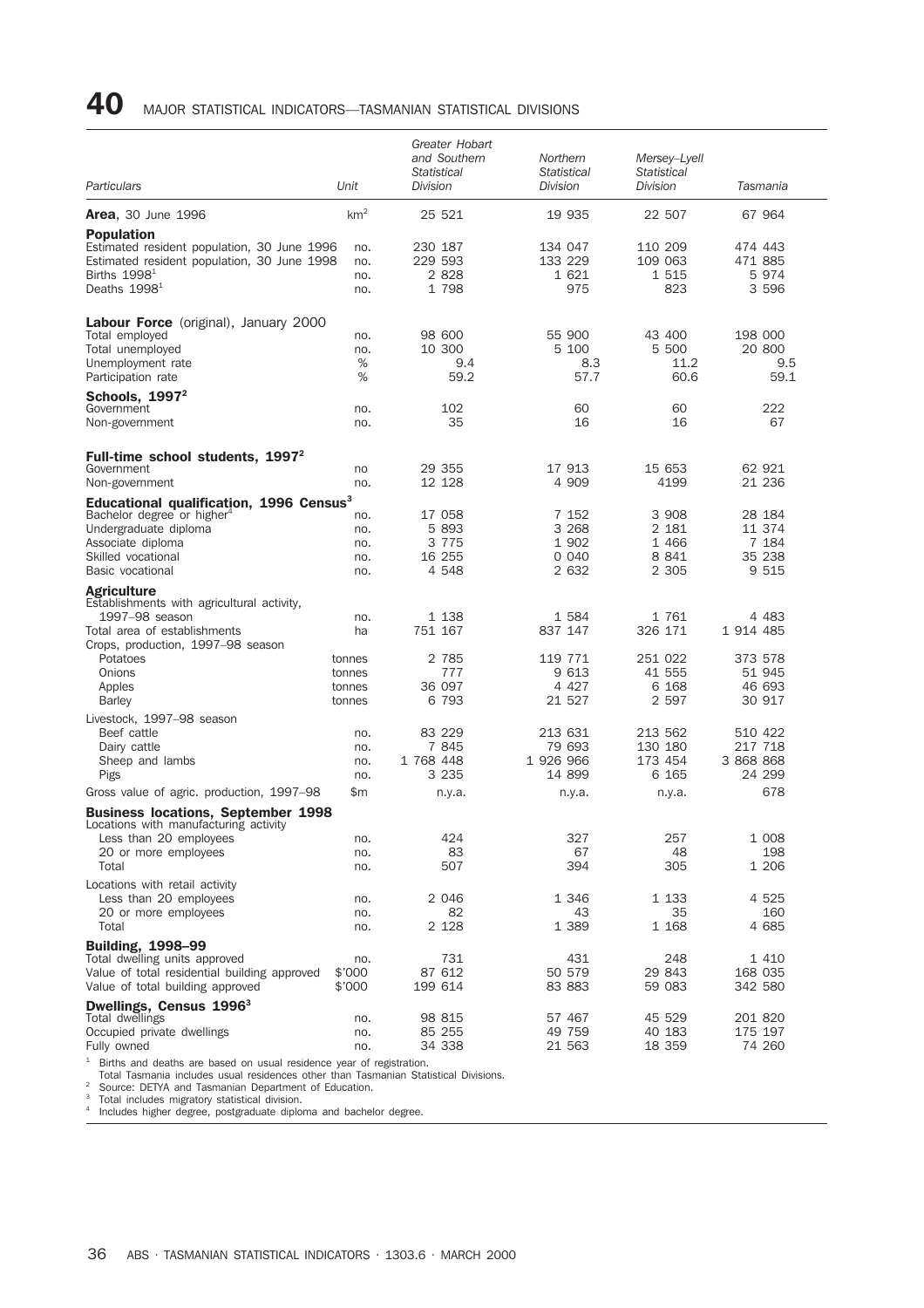### 40 MAJOR STATISTICAL INDICATORS—TASMANIAN STATISTICAL DIVISIONS

| Particulars                                                                                                                                                                           | Unit                                 | Greater Hobart<br>and Southern<br><b>Statistical</b><br><b>Division</b> | Northern<br>Statistical<br>Division           | Mersey-Lyell<br>Statistical<br><b>Division</b>  | Tasmania                                     |
|---------------------------------------------------------------------------------------------------------------------------------------------------------------------------------------|--------------------------------------|-------------------------------------------------------------------------|-----------------------------------------------|-------------------------------------------------|----------------------------------------------|
| <b>Area, 30 June 1996</b>                                                                                                                                                             | km <sup>2</sup>                      | 25 521                                                                  | 19 935                                        | 22 507                                          | 67 964                                       |
| <b>Population</b><br>Estimated resident population, 30 June 1996<br>Estimated resident population, 30 June 1998<br>Births $19981$<br>Deaths 1998 <sup>1</sup>                         | no.<br>no.<br>no.<br>no.             | 230 187<br>229 593<br>2 8 2 8<br>1 798                                  | 134 047<br>133 229<br>1 621<br>975            | 110 209<br>109 063<br>1 515<br>823              | 474 443<br>471 885<br>5974<br>3 596          |
| <b>Labour Force</b> (original), January 2000<br>Total employed<br>Total unemployed<br>Unemployment rate<br>Participation rate                                                         | no.<br>no.<br>%<br>%                 | 98 600<br>10 300<br>9.4<br>59.2                                         | 55 900<br>5 100<br>8.3<br>57.7                | 43 400<br>5 500<br>11.2<br>60.6                 | 198 000<br>20 800<br>9.5<br>59.1             |
| Schools, $1997^2$<br>Government<br>Non-government                                                                                                                                     | no.<br>no.                           | 102<br>35                                                               | 60<br>16                                      | 60<br>16                                        | 222<br>67                                    |
| Full-time school students, 1997 <sup>2</sup><br>Government<br>Non-government                                                                                                          | no<br>no.                            | 29 355<br>12 128                                                        | 17 913<br>4 909                               | 15 653<br>4199                                  | 62 921<br>21 236                             |
| Educational qualification, 1996 Census <sup>3</sup><br>Bachelor degree or higher <sup>4</sup><br>Undergraduate diploma<br>Associate diploma<br>Skilled vocational<br>Basic vocational | no.<br>no.<br>no.<br>no.<br>no.      | 17 058<br>5 8 9 3<br>3 7 7 5<br>16 255<br>4 548                         | 7 152<br>3 2 6 8<br>1 902<br>0 0 4 0<br>2 632 | 3 908<br>2 181<br>1 4 6 6<br>8 8 4 1<br>2 3 0 5 | 28 184<br>11 374<br>7 184<br>35 238<br>9 515 |
| <b>Agriculture</b>                                                                                                                                                                    |                                      |                                                                         |                                               |                                                 |                                              |
| Establishments with agricultural activity,<br>1997-98 season<br>Total area of establishments<br>Crops, production, 1997-98 season                                                     | no.<br>ha                            | 1 138<br>751 167                                                        | 1584<br>837 147                               | 1761<br>326 171                                 | 4 483<br>1 914 485                           |
| Potatoes<br>Onions<br>Apples<br><b>Barley</b>                                                                                                                                         | tonnes<br>tonnes<br>tonnes<br>tonnes | 2 785<br>777<br>36 097<br>6 793                                         | 119 771<br>9 613<br>4 4 2 7<br>21 527         | 251 022<br>41 555<br>6 1 6 8<br>2 5 9 7         | 373 578<br>51 945<br>46 693<br>30 917        |
| Livestock, 1997-98 season<br>Beef cattle<br>Dairy cattle<br>Sheep and lambs                                                                                                           | no.<br>no.<br>no.                    | 83 229<br>7 845<br>1 768 448                                            | 213 631<br>79 693<br>1 926 966                | 213 562<br>130 180<br>173 454                   | 510 422<br>217 718<br>3 868 868              |
| Pigs<br>Gross value of agric. production, 1997–98                                                                                                                                     | no.<br>\$m                           | 3 2 3 5<br>n.y.a.                                                       | 14 899<br>n.y.a.                              | 6 165<br>n.y.a.                                 | 24 299<br>678                                |
| <b>Business locations, September 1998</b><br>Locations with manufacturing activity                                                                                                    |                                      |                                                                         |                                               |                                                 |                                              |
| Less than 20 employees<br>20 or more employees<br>Total                                                                                                                               | no.<br>no.<br>no.                    | 424<br>83<br>507                                                        | 327<br>67<br>394                              | 257<br>48<br>305                                | 1 0 0 8<br>198<br>1 206                      |
| Locations with retail activity<br>Less than 20 employees<br>20 or more employees<br>Total                                                                                             | no.<br>no.<br>no.                    | 2 046<br>82<br>2 128                                                    | 1 346<br>43<br>1 389                          | 1 1 3 3<br>35<br>1 168                          | 4 525<br>160<br>4 685                        |
| <b>Building, 1998-99</b><br>Total dwelling units approved<br>Value of total residential building approved<br>Value of total building approved                                         | no.<br>\$'000<br>\$'000              | 731<br>87 612<br>199 614                                                | 431<br>50 579<br>83 883                       | 248<br>29 843<br>59 083                         | 1 410<br>168 035<br>342 580                  |
| Dwellings, Census 1996 <sup>3</sup><br>Total dwellings                                                                                                                                |                                      | 98 815                                                                  | 57 467                                        | 45 529                                          | 201 820                                      |
| Occupied private dwellings<br>Fully owned                                                                                                                                             | no.<br>no.<br>no.                    | 85 255<br>34 338                                                        | 49 759<br>21 563                              | 40 183<br>18 359                                | 175 197<br>74 260                            |

<sup>1</sup> Births and deaths are based on usual residence year of registration.<br>
Total Tasmania includes usual residences other than Tasmanian Statistical Divisions.<br>
<sup>2</sup> Source: DETYA and Tasmanian Department of Education.<br>
<sup>3</sup>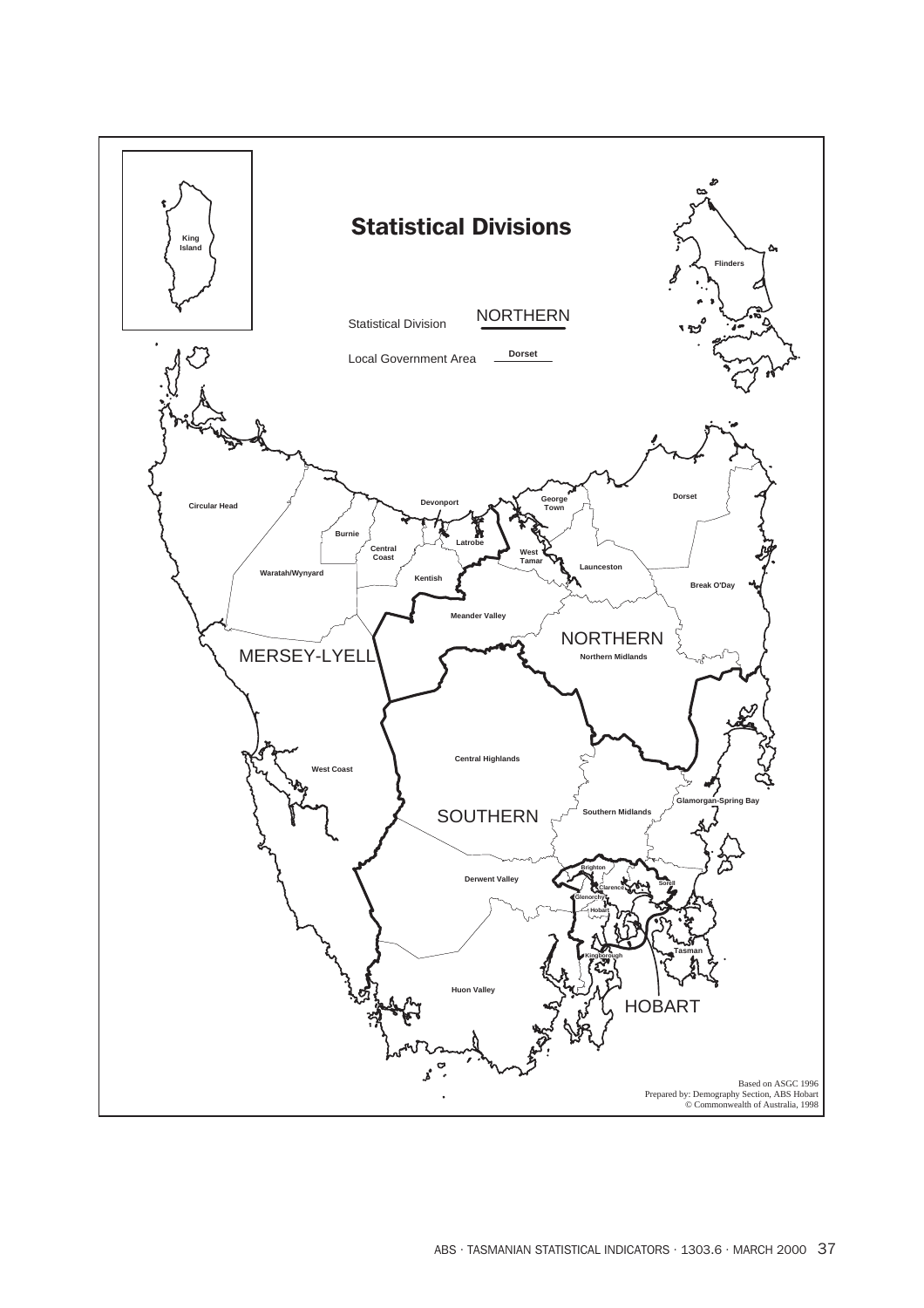